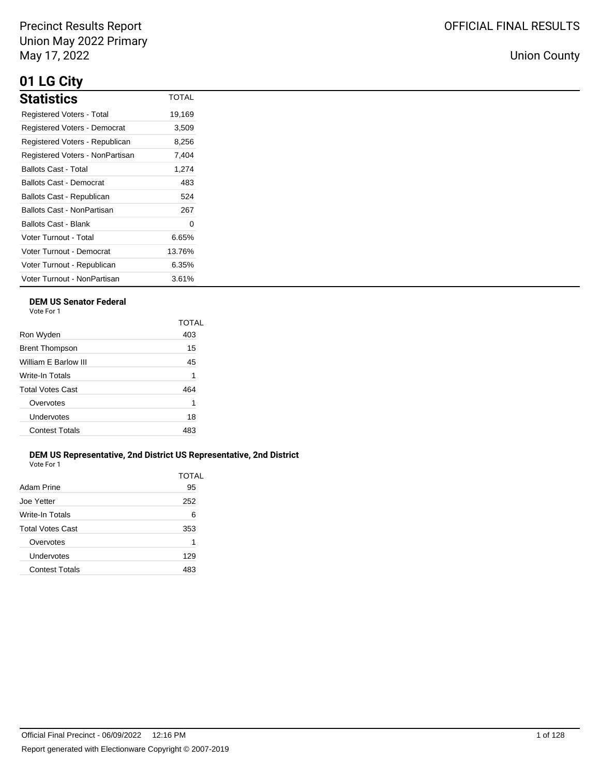# **01 LG City**

| <b>Statistics</b>                | <b>TOTAL</b> |
|----------------------------------|--------------|
| <b>Registered Voters - Total</b> | 19,169       |
| Registered Voters - Democrat     | 3,509        |
| Registered Voters - Republican   | 8,256        |
| Registered Voters - NonPartisan  | 7,404        |
| Ballots Cast - Total             | 1,274        |
| <b>Ballots Cast - Democrat</b>   | 483          |
| Ballots Cast - Republican        | 524          |
| Ballots Cast - NonPartisan       | 267          |
| <b>Ballots Cast - Blank</b>      | 0            |
| Voter Turnout - Total            | 6.65%        |
| Voter Turnout - Democrat         | 13.76%       |
| Voter Turnout - Republican       | 6.35%        |
| Voter Turnout - NonPartisan      | 3.61%        |

## **DEM US Senator Federal**

Vote For 1

|                         | TOTAL |
|-------------------------|-------|
| Ron Wyden               | 403   |
| <b>Brent Thompson</b>   | 15    |
| William E Barlow III    | 45    |
| Write-In Totals         | 1     |
| <b>Total Votes Cast</b> | 464   |
| Overvotes               | 1     |
| Undervotes              | 18    |
| <b>Contest Totals</b>   | 483   |
|                         |       |

#### **DEM US Representative, 2nd District US Representative, 2nd District** Vote For 1

| Adam Prine            | TOTAL<br>95 |
|-----------------------|-------------|
| Joe Yetter            | 252         |
| Write-In Totals       | 6           |
| Total Votes Cast      | 353         |
| Overvotes             | 1           |
| Undervotes            | 129         |
| <b>Contest Totals</b> | 483         |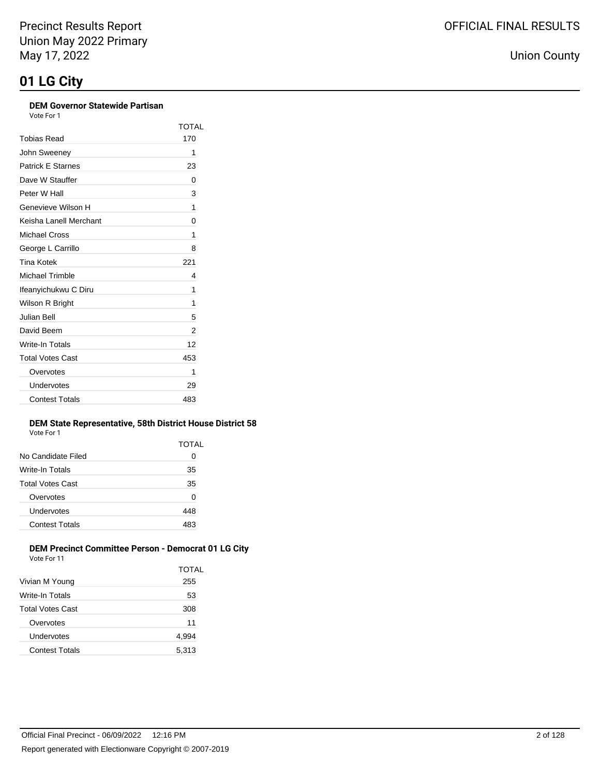#### **DEM Governor Statewide Partisan** Vote For 1

TOTAL

| <u>VULCIUI</u> |            |
|----------------|------------|
|                | <b>TOT</b> |
| Tobias Read    | 170        |
| John Sweenev   |            |

| John Sweeney             | 1   |
|--------------------------|-----|
| <b>Patrick E Starnes</b> | 23  |
| Dave W Stauffer          | 0   |
| Peter W Hall             | 3   |
| Genevieve Wilson H       | 1   |
| Keisha Lanell Merchant   | 0   |
| Michael Cross            | 1   |
| George L Carrillo        | 8   |
| <b>Tina Kotek</b>        | 221 |
| <b>Michael Trimble</b>   | 4   |
| Ifeanyichukwu C Diru     | 1   |
| Wilson R Bright          | 1   |
| Julian Bell              | 5   |
| David Beem               | 2   |
| <b>Write-In Totals</b>   | 12  |
| <b>Total Votes Cast</b>  | 453 |
| Overvotes                | 1   |
| Undervotes               | 29  |
| <b>Contest Totals</b>    | 483 |

#### **DEM State Representative, 58th District House District 58** Vote For 1

|                       | TOTAL |
|-----------------------|-------|
| No Candidate Filed    | O     |
| Write-In Totals       | 35    |
| Total Votes Cast      | 35    |
| Overvotes             | 0     |
| Undervotes            | 448   |
| <b>Contest Totals</b> | 483   |
|                       |       |

#### **DEM Precinct Committee Person - Democrat 01 LG City** Vote For 11

| VULE FUITI            |       |
|-----------------------|-------|
|                       | TOTAL |
| Vivian M Young        | 255   |
| Write-In Totals       | 53    |
| Total Votes Cast      | 308   |
| Overvotes             | 11    |
| Undervotes            | 4,994 |
| <b>Contest Totals</b> | 5,313 |
|                       |       |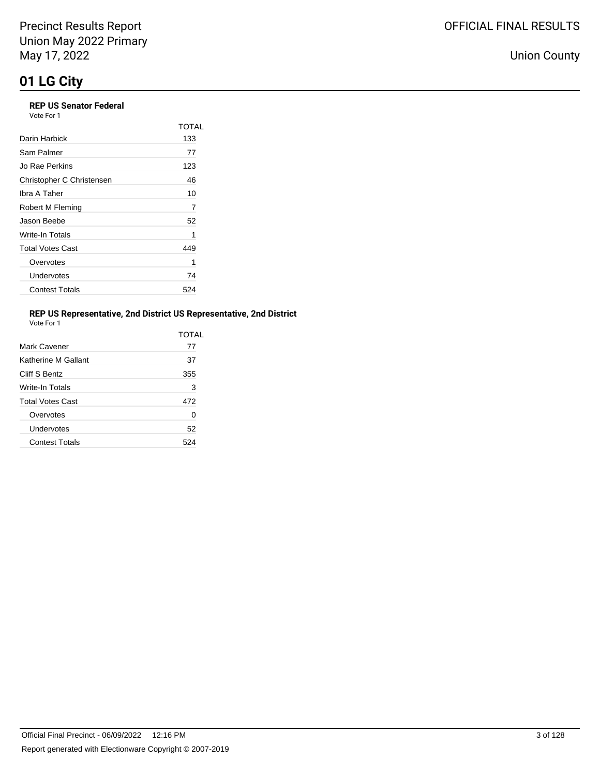### **REP US Senator Federal**

| Vote For 1 |  |  |
|------------|--|--|
|            |  |  |

|                           | TOTAL |
|---------------------------|-------|
| Darin Harbick             | 133   |
| Sam Palmer                | 77    |
| Jo Rae Perkins            | 123   |
| Christopher C Christensen | 46    |
| Ibra A Taher              | 10    |
| Robert M Fleming          | 7     |
| Jason Beebe               | 52    |
| Write-In Totals           | 1     |
| <b>Total Votes Cast</b>   | 449   |
| Overvotes                 | 1     |
| Undervotes                | 74    |
| <b>Contest Totals</b>     | 524   |

## **REP US Representative, 2nd District US Representative, 2nd District**

| Vote For |  |
|----------|--|
|          |  |

|                         | TOTAI |
|-------------------------|-------|
| Mark Cavener            | 77    |
| Katherine M Gallant     | 37    |
| Cliff S Bentz           | 355   |
| Write-In Totals         | 3     |
| <b>Total Votes Cast</b> | 472   |
| Overvotes               | 0     |
| Undervotes              | 52    |
| <b>Contest Totals</b>   | 524   |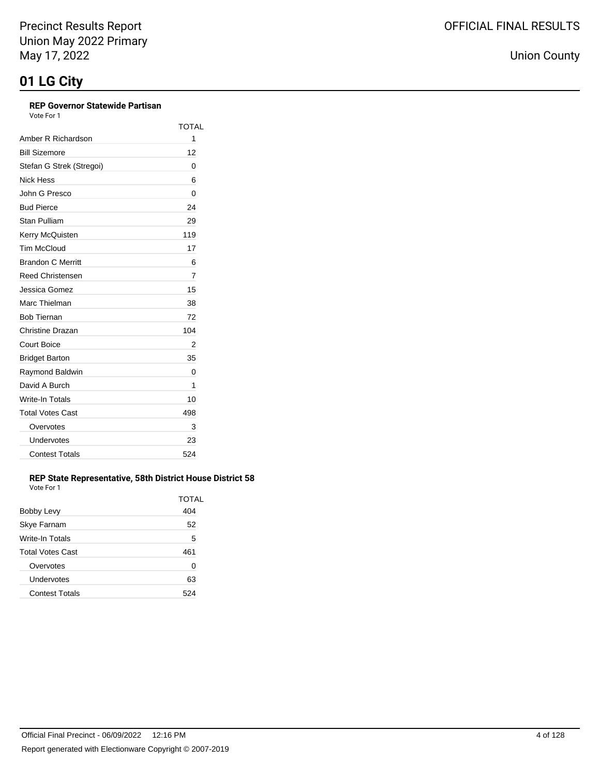## **REP Governor Statewide Partisan**

Vote For 1

|                          | TOTAL |
|--------------------------|-------|
| Amber R Richardson       | 1     |
| <b>Bill Sizemore</b>     | 12    |
| Stefan G Strek (Stregoi) | 0     |
| Nick Hess                | 6     |
| John G Presco            | 0     |
| <b>Bud Pierce</b>        | 24    |
| Stan Pulliam             | 29    |
| Kerry McQuisten          | 119   |
| <b>Tim McCloud</b>       | 17    |
| <b>Brandon C Merritt</b> | 6     |
| <b>Reed Christensen</b>  | 7     |
| Jessica Gomez            | 15    |
| Marc Thielman            | 38    |
| <b>Bob Tiernan</b>       | 72    |
| Christine Drazan         | 104   |
| <b>Court Boice</b>       | 2     |
| <b>Bridget Barton</b>    | 35    |
| Raymond Baldwin          | 0     |
| David A Burch            | 1     |
| Write-In Totals          | 10    |
| <b>Total Votes Cast</b>  | 498   |
| Overvotes                | 3     |
| Undervotes               | 23    |
| <b>Contest Totals</b>    | 524   |

#### **REP State Representative, 58th District House District 58** Vote For 1

|                         | TOTAL |
|-------------------------|-------|
| Bobby Levy              | 404   |
| Skye Farnam             | 52    |
| Write-In Totals         | 5     |
| <b>Total Votes Cast</b> | 461   |
| Overvotes               | 0     |
| Undervotes              | 63    |
| <b>Contest Totals</b>   |       |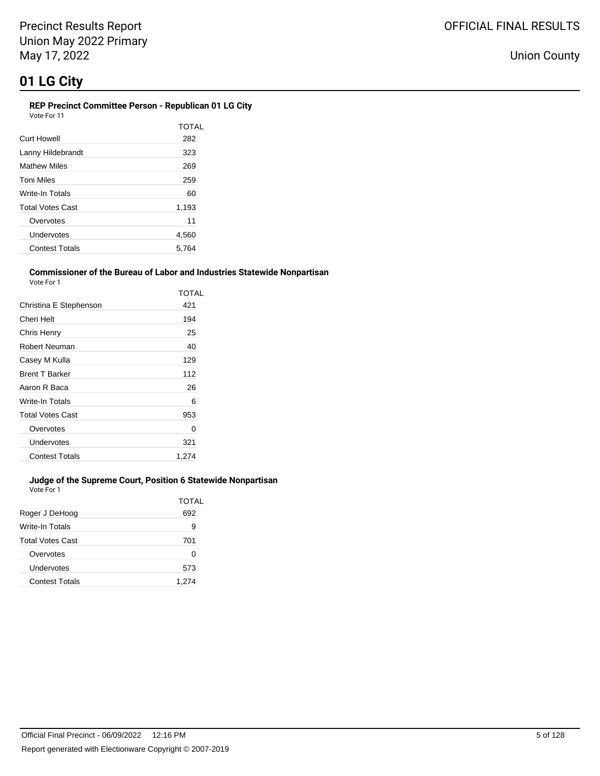Union County

#### **REP Precinct Committee Person - Republican 01 LG City** Vote For 11

| <b>Curt Howell</b>    | <b>TOTAL</b><br>282 |
|-----------------------|---------------------|
| Lanny Hildebrandt     | 323                 |
| <b>Mathew Miles</b>   | 269                 |
| Toni Miles            | 259                 |
| Write-In Totals       | 60                  |
| Total Votes Cast      | 1,193               |
| Overvotes             | 11                  |
| Undervotes            | 4,560               |
| <b>Contest Totals</b> | 5.764               |

### **Commissioner of the Bureau of Labor and Industries Statewide Nonpartisan**

| Vote For 1             |       |
|------------------------|-------|
|                        | TOTAL |
| Christina E Stephenson | 421   |
| Cheri Helt             | 194   |
| Chris Henry            | 25    |
| <b>Robert Neuman</b>   | 40    |
| Casey M Kulla          | 129   |
| <b>Brent T Barker</b>  | 112   |
| Aaron R Baca           | 26    |
| Write-In Totals        | 6     |
| Total Votes Cast       | 953   |
| Overvotes              | 0     |
| Undervotes             | 321   |
| <b>Contest Totals</b>  | 1.274 |

## **Judge of the Supreme Court, Position 6 Statewide Nonpartisan**

Vote For 1

|                         | TOTAL |
|-------------------------|-------|
| Roger J DeHoog          | 692   |
| Write-In Totals         | 9     |
| <b>Total Votes Cast</b> | 701   |
| Overvotes               | 0     |
| Undervotes              | 573   |
| <b>Contest Totals</b>   | 1.274 |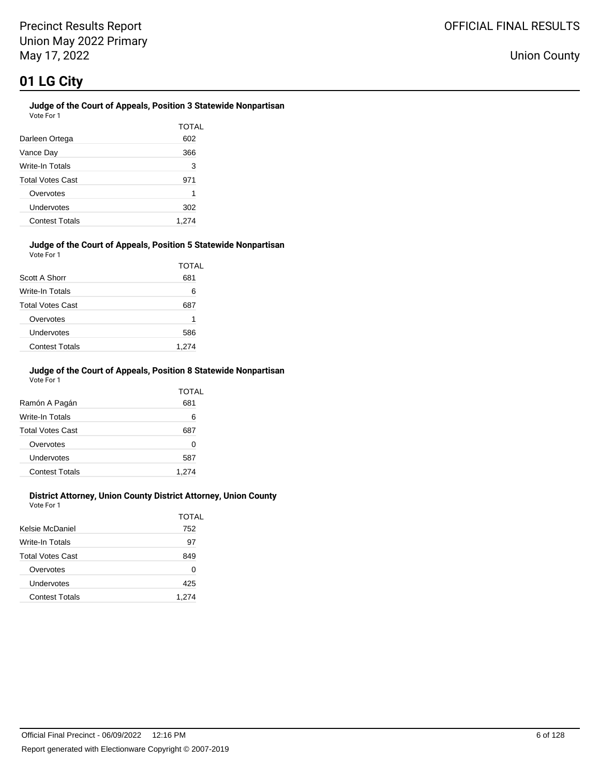#### **Judge of the Court of Appeals, Position 3 Statewide Nonpartisan** Vote For 1

|                         | TOTAL |
|-------------------------|-------|
| Darleen Ortega          | 602   |
| Vance Day               | 366   |
| Write-In Totals         | 3     |
| <b>Total Votes Cast</b> | 971   |
| Overvotes               | 1     |
| Undervotes              | 302   |
| <b>Contest Totals</b>   | 1,274 |

#### **Judge of the Court of Appeals, Position 5 Statewide Nonpartisan** Vote For 1

|                         | TOTAL |
|-------------------------|-------|
| Scott A Shorr           | 681   |
| Write-In Totals         | 6     |
| <b>Total Votes Cast</b> | 687   |
| Overvotes               | 1     |
| Undervotes              | 586   |
| <b>Contest Totals</b>   | 1,274 |

#### **Judge of the Court of Appeals, Position 8 Statewide Nonpartisan** Vote For 1

|                         | TOTAL<br>681 |
|-------------------------|--------------|
| Ramón A Pagán           |              |
| Write-In Totals         | 6            |
| <b>Total Votes Cast</b> | 687          |
| Overvotes               | 0            |
| Undervotes              | 587          |
| <b>Contest Totals</b>   | 1.274        |

### **District Attorney, Union County District Attorney, Union County**

Vote For 1

| Kelsie McDaniel       | TOTAI<br>752 |
|-----------------------|--------------|
|                       |              |
| Write-In Totals       | 97           |
| Total Votes Cast      | 849          |
| Overvotes             | 0            |
| Undervotes            | 425          |
| <b>Contest Totals</b> | 1,274        |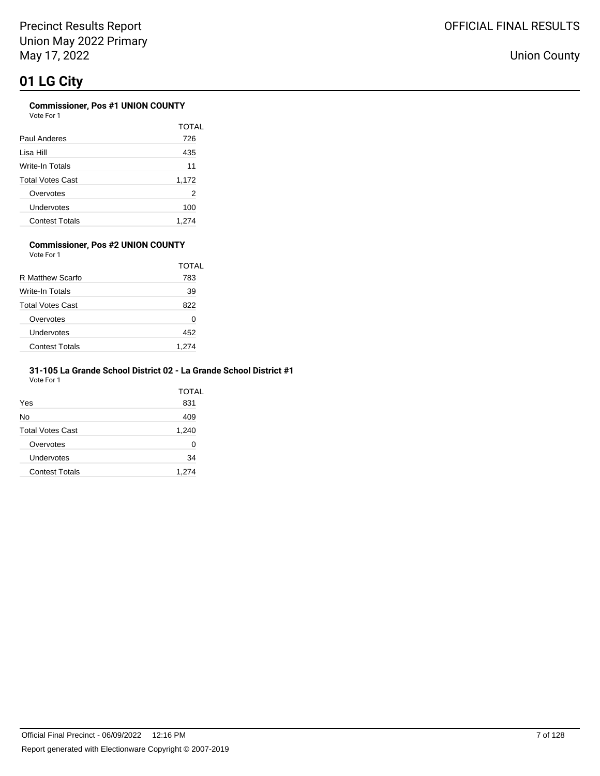## **Commissioner, Pos #1 UNION COUNTY**

Vote For 1

|                       | TOTAL |
|-----------------------|-------|
| Paul Anderes          | 726   |
| Lisa Hill             | 435   |
| Write-In Totals       | 11    |
| Total Votes Cast      | 1,172 |
| Overvotes             | 2     |
| Undervotes            | 100   |
| <b>Contest Totals</b> | 1,274 |

#### **Commissioner, Pos #2 UNION COUNTY** Vote For 1

|                       | TOTAL |
|-----------------------|-------|
| R Matthew Scarfo      | 783   |
| Write-In Totals       | 39    |
| Total Votes Cast      | 822   |
| Overvotes             | 0     |
| Undervotes            | 452   |
| <b>Contest Totals</b> | 1.274 |

#### **31-105 La Grande School District 02 - La Grande School District #1** Vote For 1

|                         | TOTAL |
|-------------------------|-------|
| Yes                     | 831   |
| No                      | 409   |
| <b>Total Votes Cast</b> | 1,240 |
| Overvotes               | Ω     |
| Undervotes              | 34    |
| <b>Contest Totals</b>   | 1,274 |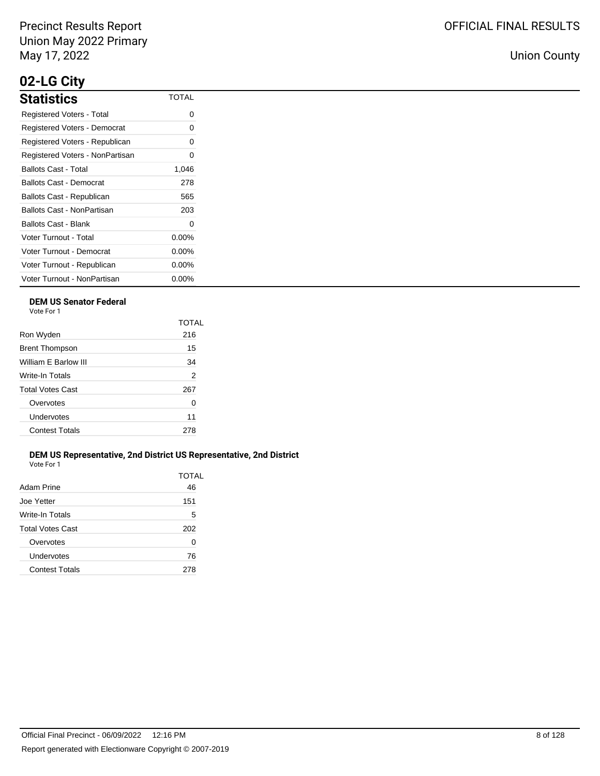# **02-LG City**

| <b>Statistics</b>               | <b>TOTAL</b> |
|---------------------------------|--------------|
| Registered Voters - Total       | Ω            |
| Registered Voters - Democrat    | ი            |
| Registered Voters - Republican  | Ω            |
| Registered Voters - NonPartisan | 0            |
| Ballots Cast - Total            | 1,046        |
| <b>Ballots Cast - Democrat</b>  | 278          |
| Ballots Cast - Republican       | 565          |
| Ballots Cast - NonPartisan      | 203          |
| Ballots Cast - Blank            | 0            |
| Voter Turnout - Total           | $0.00\%$     |
| Voter Turnout - Democrat        | $0.00\%$     |
| Voter Turnout - Republican      | $0.00\%$     |
| Voter Turnout - NonPartisan     | $0.00\%$     |

## **DEM US Senator Federal**

Vote For 1

|                         | TOTAL |
|-------------------------|-------|
| Ron Wyden               | 216   |
| <b>Brent Thompson</b>   | 15    |
| William F Barlow III    | 34    |
| <b>Write-In Totals</b>  | 2     |
| <b>Total Votes Cast</b> | 267   |
| Overvotes               | 0     |
| Undervotes              | 11    |
| <b>Contest Totals</b>   | 278   |
|                         |       |

#### **DEM US Representative, 2nd District US Representative, 2nd District** Vote For 1

| Adam Prine            | 46  |
|-----------------------|-----|
| Joe Yetter            | 151 |
| Write-In Totals       | 5   |
| Total Votes Cast      | 202 |
| Overvotes             | 0   |
| Undervotes            | 76  |
| <b>Contest Totals</b> | 278 |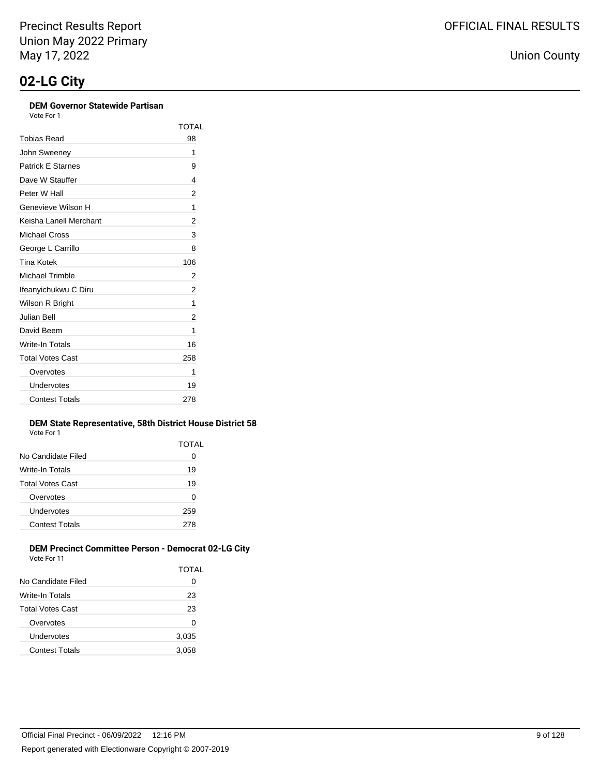### **DEM Governor Statewide Partisan**

Vote For 1

|                          | TOTAL |
|--------------------------|-------|
| Tobias Read              | 98    |
| John Sweeney             | 1     |
| <b>Patrick E Starnes</b> | 9     |
| Dave W Stauffer          | 4     |
| Peter W Hall             | 2     |
| Genevieve Wilson H       | 1     |
| Keisha Lanell Merchant   | 2     |
| Michael Cross            | 3     |
| George L Carrillo        | 8     |
| Tina Kotek               | 106   |
| Michael Trimble          | 2     |
| Ifeanyichukwu C Diru     | 2     |
| Wilson R Bright          | 1     |
| Julian Bell              | 2     |
| David Beem               | 1     |
| Write-In Totals          | 16    |
| <b>Total Votes Cast</b>  | 258   |
| Overvotes                | 1     |
| Undervotes               | 19    |
| <b>Contest Totals</b>    | 278   |

#### **DEM State Representative, 58th District House District 58** Vote For 1

| .                     |       |
|-----------------------|-------|
|                       | TOTAL |
| No Candidate Filed    | O     |
| Write-In Totals       | 19    |
| Total Votes Cast      | 19    |
| Overvotes             | 0     |
| Undervotes            | 259   |
| <b>Contest Totals</b> | 278   |
|                       |       |

#### **DEM Precinct Committee Person - Democrat 02-LG City** Vote For 11

| <b>V WILL I WILL I</b> |              |
|------------------------|--------------|
|                        | <b>TOTAL</b> |
| No Candidate Filed     | 0            |
| Write-In Totals        | 23           |
| Total Votes Cast       | 23           |
| Overvotes              | 0            |
| Undervotes             | 3,035        |
| <b>Contest Totals</b>  | 3,058        |
|                        |              |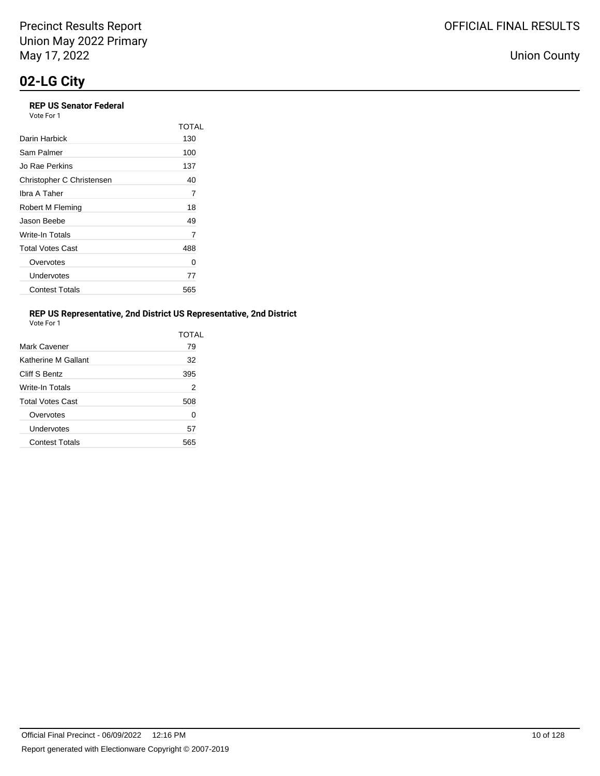## **REP US Senator Federal**

| Vote For 1 |  |
|------------|--|
|------------|--|

|                           | TOTAL |
|---------------------------|-------|
| Darin Harbick             | 130   |
| Sam Palmer                | 100   |
| Jo Rae Perkins            | 137   |
| Christopher C Christensen | 40    |
| Ibra A Taher              | 7     |
| Robert M Fleming          | 18    |
| Jason Beebe               | 49    |
| Write-In Totals           | 7     |
| <b>Total Votes Cast</b>   | 488   |
| Overvotes                 | Ω     |
| Undervotes                | 77    |
| <b>Contest Totals</b>     | 565   |

### **REP US Representative, 2nd District US Representative, 2nd District**

| Vote For |  |
|----------|--|
|          |  |

|                         | TOTAL |
|-------------------------|-------|
| Mark Cavener            | 79    |
| Katherine M Gallant     | 32    |
| Cliff S Bentz           | 395   |
| <b>Write-In Totals</b>  | 2     |
| <b>Total Votes Cast</b> | 508   |
| Overvotes               | 0     |
| Undervotes              | 57    |
| <b>Contest Totals</b>   | 565   |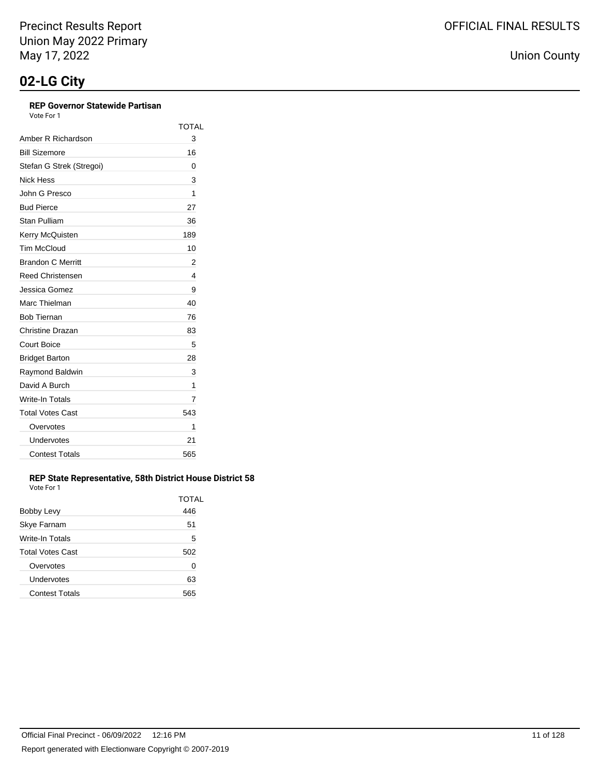## **REP Governor Statewide Partisan**

Vote For 1

|                          | TOTAL |
|--------------------------|-------|
| Amber R Richardson       | 3     |
| <b>Bill Sizemore</b>     | 16    |
| Stefan G Strek (Stregoi) | 0     |
| Nick Hess                | 3     |
| John G Presco            | 1     |
| <b>Bud Pierce</b>        | 27    |
| Stan Pulliam             | 36    |
| Kerry McQuisten          | 189   |
| <b>Tim McCloud</b>       | 10    |
| <b>Brandon C Merritt</b> | 2     |
| <b>Reed Christensen</b>  | 4     |
| Jessica Gomez            | 9     |
| Marc Thielman            | 40    |
| <b>Bob Tiernan</b>       | 76    |
| Christine Drazan         | 83    |
| <b>Court Boice</b>       | 5     |
| <b>Bridget Barton</b>    | 28    |
| Raymond Baldwin          | 3     |
| David A Burch            | 1     |
| Write-In Totals          | 7     |
| <b>Total Votes Cast</b>  | 543   |
| Overvotes                | 1     |
| Undervotes               | 21    |
| <b>Contest Totals</b>    | 565   |

#### **REP State Representative, 58th District House District 58** Vote For 1

| Bobby Levy              | TOTAL<br>446 |
|-------------------------|--------------|
| Skye Farnam             | 51           |
| Write-In Totals         | 5            |
| <b>Total Votes Cast</b> | 502          |
| Overvotes               | 0            |
| Undervotes              | 63           |
| <b>Contest Totals</b>   | 565          |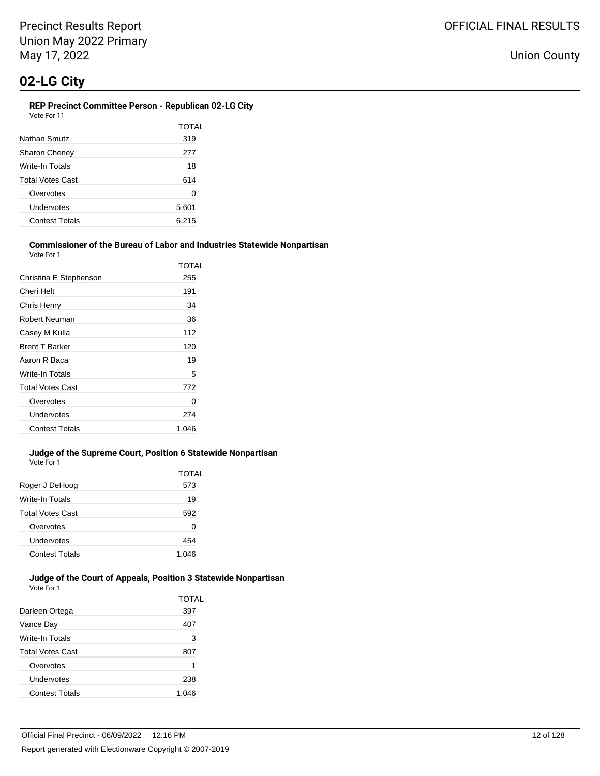#### **REP Precinct Committee Person - Republican 02-LG City** Vote For 11

|                         | TOTAL |
|-------------------------|-------|
| Nathan Smutz            | 319   |
| <b>Sharon Cheney</b>    | 277   |
| Write-In Totals         | 18    |
| <b>Total Votes Cast</b> | 614   |
| Overvotes               | 0     |
| Undervotes              | 5,601 |
| <b>Contest Totals</b>   | 6,215 |

#### **Commissioner of the Bureau of Labor and Industries Statewide Nonpartisan** Vote For 1

| TOTAL |
|-------|
| 255   |
| 191   |
| 34    |
| 36    |
| 112   |
| 120   |
| 19    |
| 5     |
| 772   |
| 0     |
| 274   |
| 1.046 |
|       |

#### **Judge of the Supreme Court, Position 6 Statewide Nonpartisan** Vote For 1

| Roger J DeHoog          | TOTAL<br>573 |
|-------------------------|--------------|
| Write-In Totals         | 19           |
| <b>Total Votes Cast</b> | 592          |
| Overvotes               | 0            |
| Undervotes              | 454          |
| <b>Contest Totals</b>   | 1,046        |

#### **Judge of the Court of Appeals, Position 3 Statewide Nonpartisan** Vote For 1

|                         | TOTAL |
|-------------------------|-------|
| Darleen Ortega          | 397   |
| Vance Day               | 407   |
| Write-In Totals         | 3     |
| <b>Total Votes Cast</b> | 807   |
| Overvotes               | 1     |
| Undervotes              | 238   |
| <b>Contest Totals</b>   | 1.046 |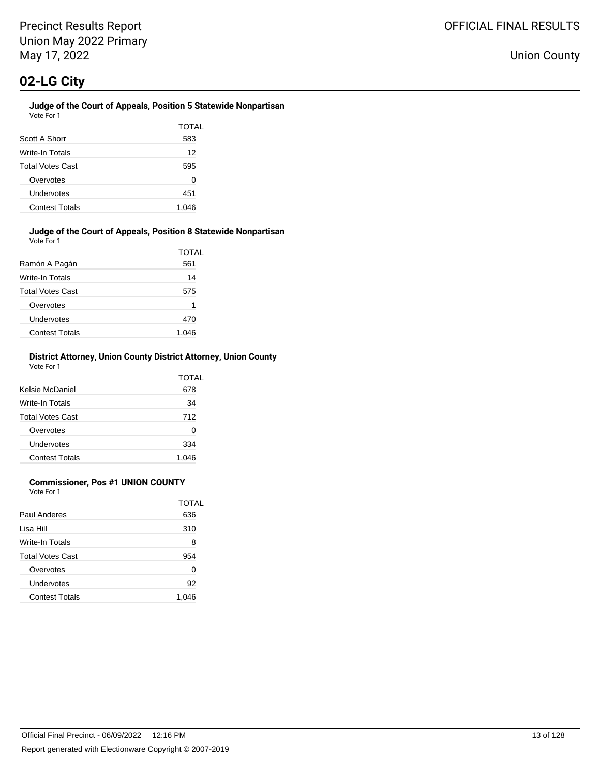# **Judge of the Court of Appeals, Position 5 Statewide Nonpartisan**

| Vote For 1              |       |
|-------------------------|-------|
|                         | TOTAL |
| Scott A Shorr           | 583   |
| Write-In Totals         | 12    |
| <b>Total Votes Cast</b> | 595   |
| Overvotes               | 0     |
| Undervotes              | 451   |
| <b>Contest Totals</b>   | 1,046 |

#### **Judge of the Court of Appeals, Position 8 Statewide Nonpartisan** Vote For 1

| Ramón A Pagán           | TOTAL<br>561 |
|-------------------------|--------------|
| Write-In Totals         | 14           |
| <b>Total Votes Cast</b> | 575          |
| Overvotes               | 1            |
| Undervotes              | 470          |
| <b>Contest Totals</b>   | 1.046        |

#### **District Attorney, Union County District Attorney, Union County** Vote For 1

| Kelsie McDaniel         | TOTAL<br>678 |
|-------------------------|--------------|
| Write-In Totals         | 34           |
| <b>Total Votes Cast</b> | 712          |
| Overvotes               | 0            |
| Undervotes              | 334          |
| <b>Contest Totals</b>   | 1.046        |

### **Commissioner, Pos #1 UNION COUNTY**

Vote For 1

|                         | TOTAL |
|-------------------------|-------|
| Paul Anderes            | 636   |
| Lisa Hill               | 310   |
| Write-In Totals         | 8     |
| <b>Total Votes Cast</b> | 954   |
| Overvotes               | 0     |
| Undervotes              | 92    |
| <b>Contest Totals</b>   | 1.046 |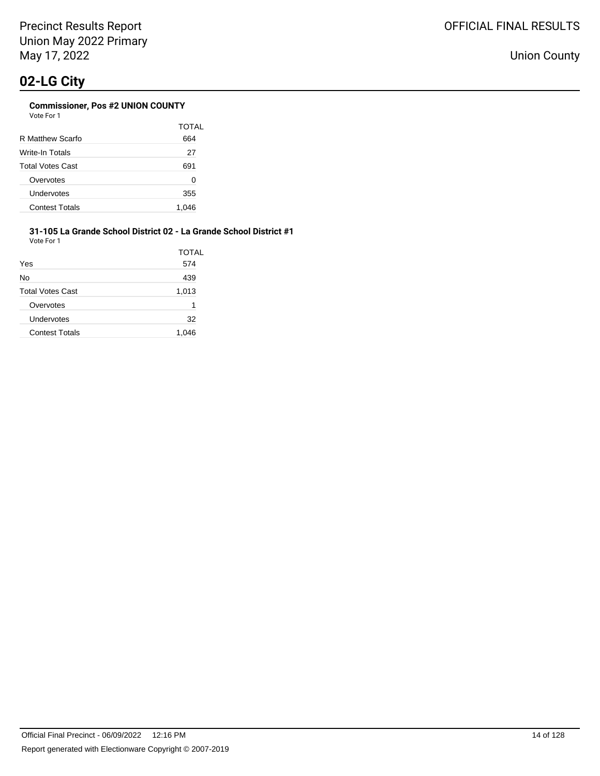|                         | TOTAL |
|-------------------------|-------|
| R Matthew Scarfo        | 664   |
| Write-In Totals         | 27    |
| <b>Total Votes Cast</b> | 691   |
| Overvotes               | 0     |
| Undervotes              | 355   |
| <b>Contest Totals</b>   | 1,046 |

#### **31-105 La Grande School District 02 - La Grande School District #1** Vote For 1

|                         | TOTAL |
|-------------------------|-------|
| Yes                     | 574   |
| No                      | 439   |
| <b>Total Votes Cast</b> | 1,013 |
| Overvotes               | 1     |
| Undervotes              | 32    |
| <b>Contest Totals</b>   | 1.046 |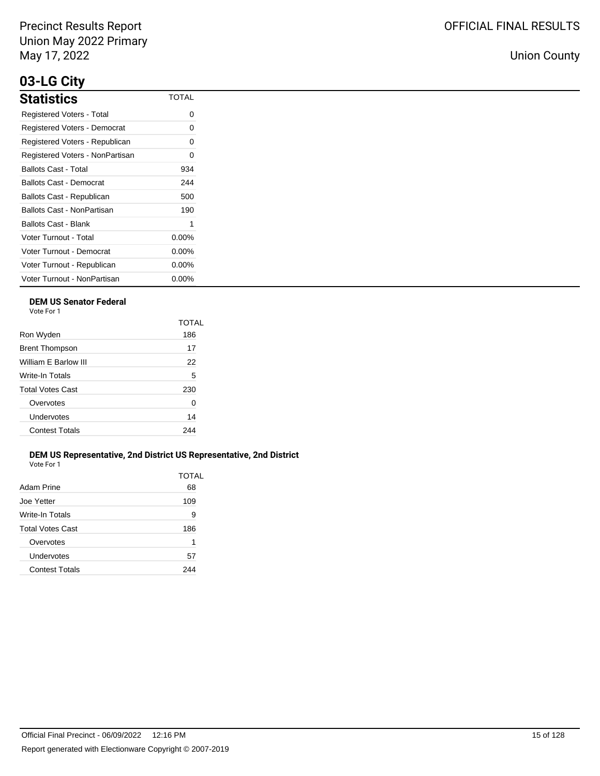# **03-LG City**

| <b>Statistics</b>               | <b>TOTAL</b> |
|---------------------------------|--------------|
| Registered Voters - Total       | Ω            |
| Registered Voters - Democrat    | ი            |
| Registered Voters - Republican  | Ω            |
| Registered Voters - NonPartisan | Ω            |
| Ballots Cast - Total            | 934          |
| Ballots Cast - Democrat         | 244          |
| Ballots Cast - Republican       | 500          |
| Ballots Cast - NonPartisan      | 190          |
| <b>Ballots Cast - Blank</b>     | 1            |
| Voter Turnout - Total           | $0.00\%$     |
| Voter Turnout - Democrat        | $0.00\%$     |
| Voter Turnout - Republican      | $0.00\%$     |
| Voter Turnout - NonPartisan     | $0.00\%$     |

## **DEM US Senator Federal**

Vote For 1

|                         | TOTAL |
|-------------------------|-------|
| Ron Wyden               | 186   |
| <b>Brent Thompson</b>   | 17    |
| William E Barlow III    | 22    |
| Write-In Totals         | 5     |
| <b>Total Votes Cast</b> | 230   |
| Overvotes               | 0     |
| Undervotes              | 14    |
| <b>Contest Totals</b>   | 244   |
|                         |       |

#### **DEM US Representative, 2nd District US Representative, 2nd District** Vote For 1

| Adam Prine            | 68  |
|-----------------------|-----|
| Joe Yetter            | 109 |
| Write-In Totals       | 9   |
| Total Votes Cast      | 186 |
| Overvotes             | 1   |
| Undervotes            | 57  |
| <b>Contest Totals</b> | 244 |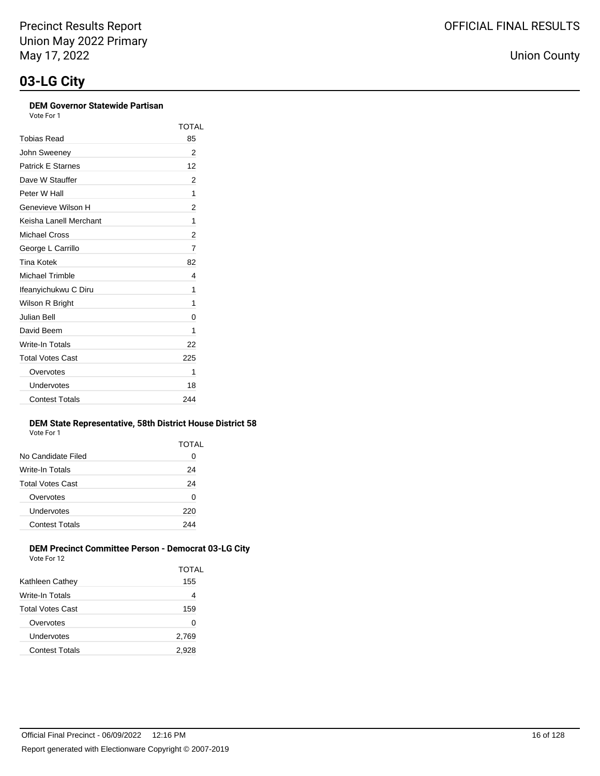### **DEM Governor Statewide Partisan**

Vote For 1

|                          | TOTAL |
|--------------------------|-------|
| Tobias Read              | 85    |
| John Sweenev             | 2     |
| <b>Patrick E Starnes</b> | 12    |
| Dave W Stauffer          | 2     |
| Peter W Hall             | 1     |
| Genevieve Wilson H       | 2     |
| Keisha Lanell Merchant   | 1     |
| Michael Cross            | 2     |
| George L Carrillo        | 7     |
| Tina Kotek               | 82    |
| Michael Trimble          | 4     |
| Ifeanyichukwu C Diru     | 1     |
| Wilson R Bright          | 1     |
| Julian Bell              | 0     |
| David Beem               | 1     |
| Write-In Totals          | 22    |
| <b>Total Votes Cast</b>  | 225   |
| Overvotes                | 1     |
| Undervotes               | 18    |
| <b>Contest Totals</b>    | 244   |

#### **DEM State Representative, 58th District House District 58** Vote For 1

| .                     |       |
|-----------------------|-------|
|                       | TOTAL |
| No Candidate Filed    | 0     |
| Write-In Totals       | 24    |
| Total Votes Cast      | 24    |
| Overvotes             | 0     |
| Undervotes            | 220   |
| <b>Contest Totals</b> | 244   |
|                       |       |

#### **DEM Precinct Committee Person - Democrat 03-LG City** Vote For 12

| VULE FUITZ            |              |
|-----------------------|--------------|
|                       | <b>TOTAL</b> |
| Kathleen Cathey       | 155          |
| Write-In Totals       | 4            |
| Total Votes Cast      | 159          |
| Overvotes             | 0            |
| Undervotes            | 2,769        |
| <b>Contest Totals</b> | 2,928        |
|                       |              |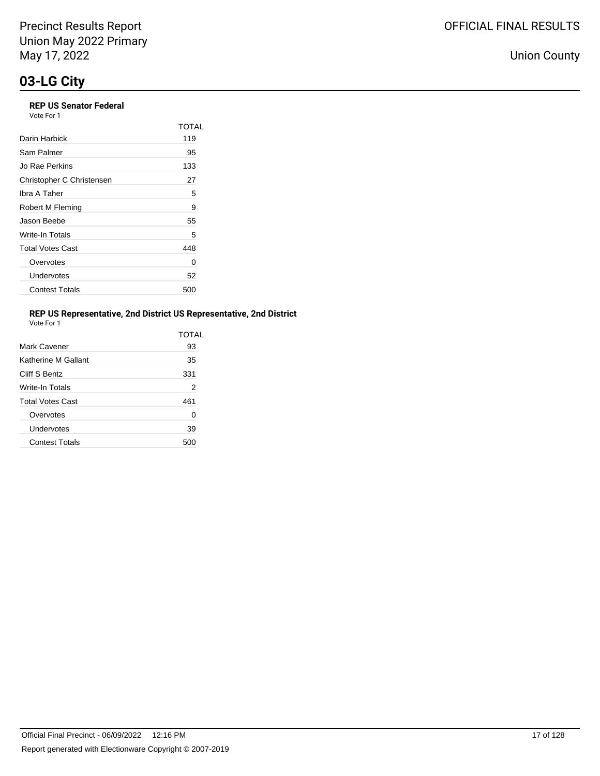## **REP US Senator Federal**

Vote For 1

|                           | <b>TOTAL</b> |
|---------------------------|--------------|
| Darin Harbick             | 119          |
| Sam Palmer                | 95           |
| Jo Rae Perkins            | 133          |
| Christopher C Christensen | 27           |
| Ibra A Taher              | 5            |
| Robert M Fleming          | 9            |
| Jason Beebe               | 55           |
| Write-In Totals           | 5            |
| <b>Total Votes Cast</b>   | 448          |
| Overvotes                 | 0            |
| Undervotes                | 52           |
| <b>Contest Totals</b>     | 500          |

### **REP US Representative, 2nd District US Representative, 2nd District**

Vote For 1

|                         | TOTAI |
|-------------------------|-------|
| Mark Cavener            | 93    |
| Katherine M Gallant     | 35    |
| Cliff S Bentz           | 331   |
| Write-In Totals         | 2     |
| <b>Total Votes Cast</b> | 461   |
| Overvotes               | 0     |
| Undervotes              | 39    |
| <b>Contest Totals</b>   | 500   |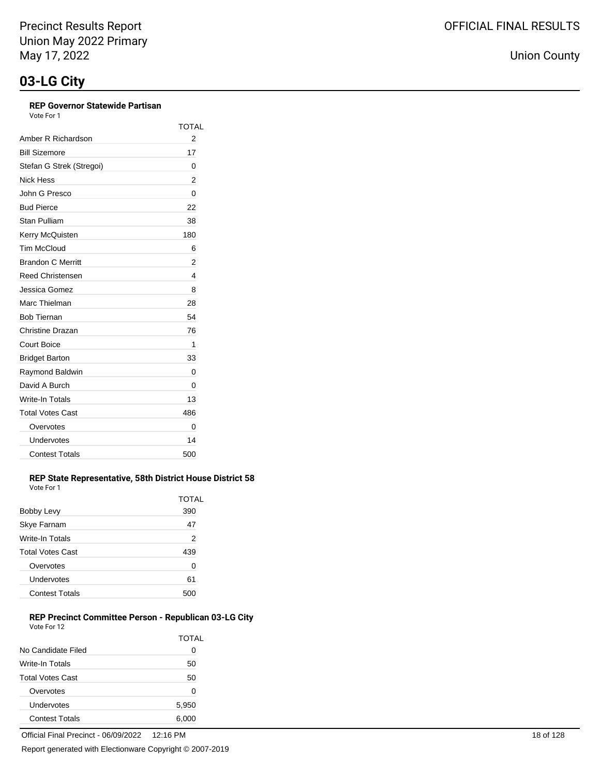### **REP Governor Statewide Partisan**

Vote For 1

|                          | TOTAL |
|--------------------------|-------|
| Amber R Richardson       | 2     |
| <b>Bill Sizemore</b>     | 17    |
| Stefan G Strek (Stregoi) | 0     |
| <b>Nick Hess</b>         | 2     |
| John G Presco            | 0     |
| <b>Bud Pierce</b>        | 22    |
| Stan Pulliam             | 38    |
| Kerry McQuisten          | 180   |
| <b>Tim McCloud</b>       | 6     |
| <b>Brandon C Merritt</b> | 2     |
| <b>Reed Christensen</b>  | 4     |
| Jessica Gomez            | 8     |
| Marc Thielman            | 28    |
| <b>Bob Tiernan</b>       | 54    |
| Christine Drazan         | 76    |
| Court Boice              | 1     |
| <b>Bridget Barton</b>    | 33    |
| Raymond Baldwin          | 0     |
| David A Burch            | 0     |
| <b>Write-In Totals</b>   | 13    |
| <b>Total Votes Cast</b>  | 486   |
| Overvotes                | 0     |
| Undervotes               | 14    |
| <b>Contest Totals</b>    | 500   |

#### **REP State Representative, 58th District House District 58** Vote For 1

| Bobby Levy              | TOTAL<br>390 |
|-------------------------|--------------|
| Skye Farnam             | 47           |
| Write-In Totals         | 2            |
| <b>Total Votes Cast</b> | 439          |
| Overvotes               | 0            |
| Undervotes              | 61           |
| <b>Contest Totals</b>   |              |

#### **REP Precinct Committee Person - Republican 03-LG City** Vote For 12

|                         | TOTAL        |
|-------------------------|--------------|
| No Candidate Filed      | $\mathbf{O}$ |
| Write-In Totals         | 50           |
| <b>Total Votes Cast</b> | 50           |
| Overvotes               | 0            |
| Undervotes              | 5,950        |
| <b>Contest Totals</b>   | 6,000        |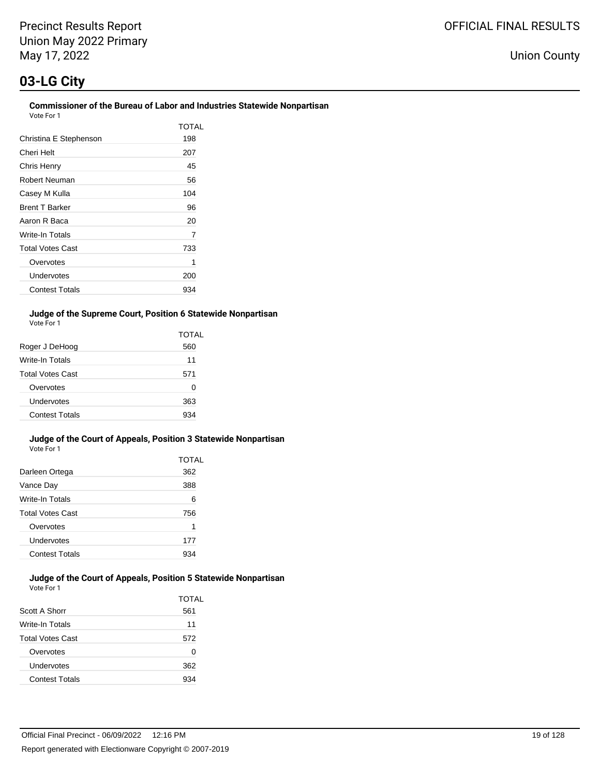Union County

#### **Commissioner of the Bureau of Labor and Industries Statewide Nonpartisan** Vote For 1

| 1 IU PU                 |       |
|-------------------------|-------|
|                         | TOTAL |
| Christina E Stephenson  | 198   |
| Cheri Helt              | 207   |
| Chris Henry             | 45    |
| Robert Neuman           | 56    |
| Casey M Kulla           | 104   |
| <b>Brent T Barker</b>   | 96    |
| Aaron R Baca            | 20    |
| Write-In Totals         | 7     |
| <b>Total Votes Cast</b> | 733   |
| Overvotes               | 1     |
| Undervotes              | 200   |
| <b>Contest Totals</b>   | 934   |

#### **Judge of the Supreme Court, Position 6 Statewide Nonpartisan** Vote For 1

|                         | TOTAL |
|-------------------------|-------|
| Roger J DeHoog          | 560   |
| Write-In Totals         | 11    |
| <b>Total Votes Cast</b> | 571   |
| Overvotes               | O     |
| Undervotes              | 363   |
| Contest Totals          | 934   |

#### **Judge of the Court of Appeals, Position 3 Statewide Nonpartisan** Vote For 1

|                         | TOTAL |
|-------------------------|-------|
| Darleen Ortega          | 362   |
| Vance Day               | 388   |
| Write-In Totals         | 6     |
| <b>Total Votes Cast</b> | 756   |
| Overvotes               | 1     |
| Undervotes              | 177   |
| <b>Contest Totals</b>   |       |

#### **Judge of the Court of Appeals, Position 5 Statewide Nonpartisan** Vote For 1

| Scott A Shorr           | TOTAL<br>561 |
|-------------------------|--------------|
| Write-In Totals         | 11           |
| <b>Total Votes Cast</b> | 572          |
| Overvotes               | 0            |
| Undervotes              | 362          |
| <b>Contest Totals</b>   | 934          |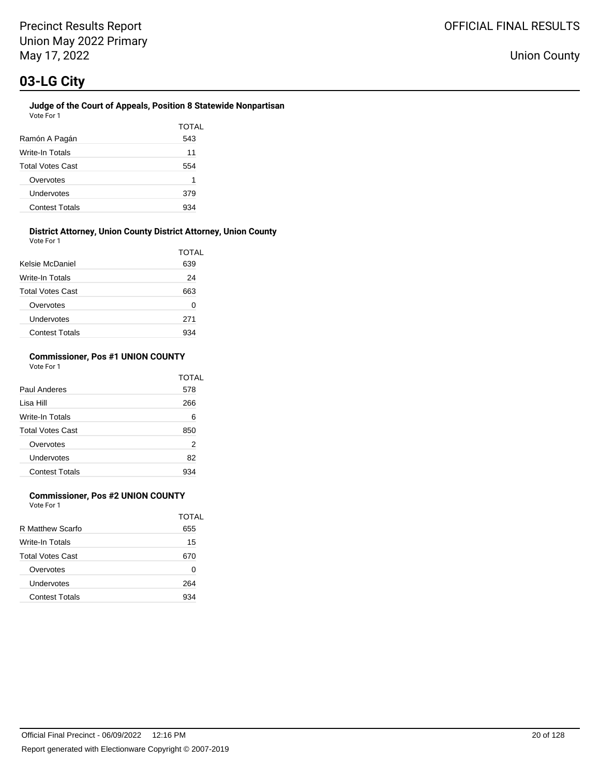#### **Judge of the Court of Appeals, Position 8 Statewide Nonpartisan** Vote For 1

| Ramón A Pagán           | TOTAL<br>543 |
|-------------------------|--------------|
| Write-In Totals         | 11           |
| <b>Total Votes Cast</b> | 554          |
| Overvotes               | 1            |
| Undervotes              | 379          |
| <b>Contest Totals</b>   |              |

#### **District Attorney, Union County District Attorney, Union County** Vote For 1

| <b>VAJILI I VJI I</b>   |       |
|-------------------------|-------|
|                         | TOTAL |
| Kelsie McDaniel         | 639   |
| Write-In Totals         | 24    |
| <b>Total Votes Cast</b> | 663   |
| Overvotes               | 0     |
| Undervotes              | 271   |
| <b>Contest Totals</b>   |       |

#### **Commissioner, Pos #1 UNION COUNTY** Vote For 1

|                         | <b>TOTAL</b> |
|-------------------------|--------------|
| Paul Anderes            | 578          |
| Lisa Hill               | 266          |
| Write-In Totals         | 6            |
| <b>Total Votes Cast</b> | 850          |
| Overvotes               | 2            |
| Undervotes              | 82           |
| <b>Contest Totals</b>   |              |

## **Commissioner, Pos #2 UNION COUNTY**

Vote For 1

|                         | TOTAL |
|-------------------------|-------|
| R Matthew Scarfo        | 655   |
| Write-In Totals         | 15    |
| <b>Total Votes Cast</b> | 670   |
| Overvotes               | Ω     |
| Undervotes              | 264   |
| <b>Contest Totals</b>   | 934   |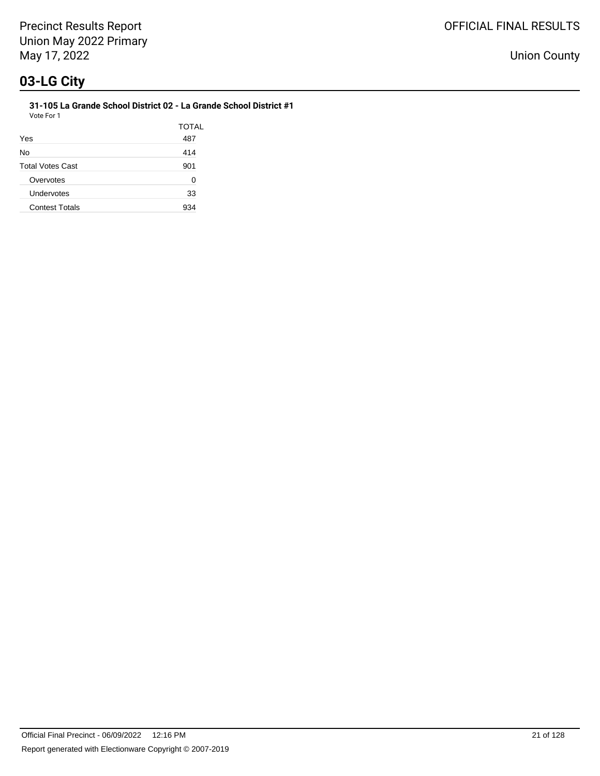**31-105 La Grande School District 02 - La Grande School District #1** Vote For 1

| Yes                     | <b>TOTAL</b><br>487 |
|-------------------------|---------------------|
| No                      | 414                 |
| <b>Total Votes Cast</b> | 901                 |
| Overvotes               | O                   |
| Undervotes              | 33                  |
| <b>Contest Totals</b>   | 934                 |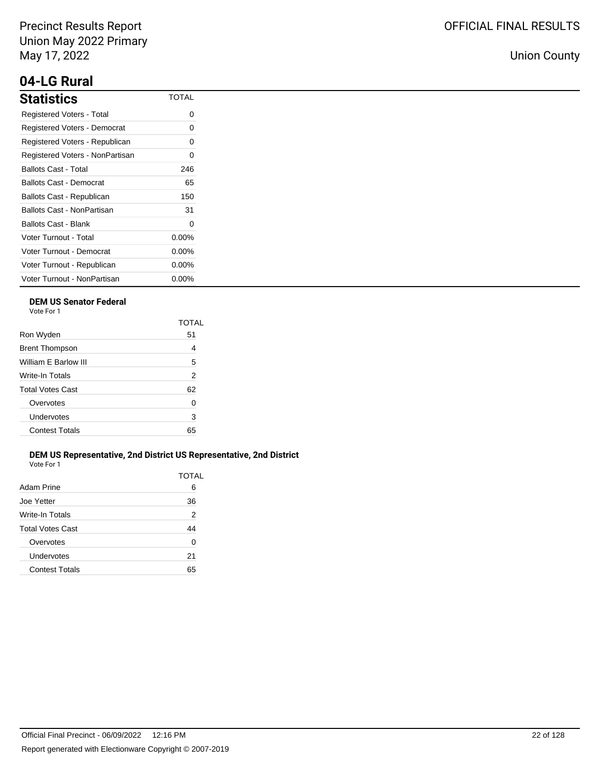# **04-LG Rural**

| <b>Statistics</b>               | <b>TOTAL</b> |
|---------------------------------|--------------|
| Registered Voters - Total       | Ω            |
| Registered Voters - Democrat    | 0            |
| Registered Voters - Republican  | 0            |
| Registered Voters - NonPartisan | ი            |
| Ballots Cast - Total            | 246          |
| Ballots Cast - Democrat         | 65           |
| Ballots Cast - Republican       | 150          |
| Ballots Cast - NonPartisan      | 31           |
| Ballots Cast - Blank            | 0            |
| Voter Turnout - Total           | 0.00%        |
| Voter Turnout - Democrat        | $0.00\%$     |
| Voter Turnout - Republican      | $0.00\%$     |
| Voter Turnout - NonPartisan     | $0.00\%$     |

## **DEM US Senator Federal**

Vote For 1

|                         | TOTAI          |
|-------------------------|----------------|
| Ron Wyden               | 51             |
| <b>Brent Thompson</b>   | 4              |
| William F Barlow III    | 5              |
| Write-In Totals         | $\overline{2}$ |
| <b>Total Votes Cast</b> | 62             |
| Overvotes               | 0              |
| Undervotes              | 3              |
| <b>Contest Totals</b>   | 65             |
|                         |                |

#### **DEM US Representative, 2nd District US Representative, 2nd District** Vote For 1

| Adam Prine              | TOTAL<br>6 |
|-------------------------|------------|
| Joe Yetter              | 36         |
| Write-In Totals         | 2          |
| <b>Total Votes Cast</b> | 44         |
| Overvotes               | U          |
| Undervotes              | 21         |
| <b>Contest Totals</b>   | 65         |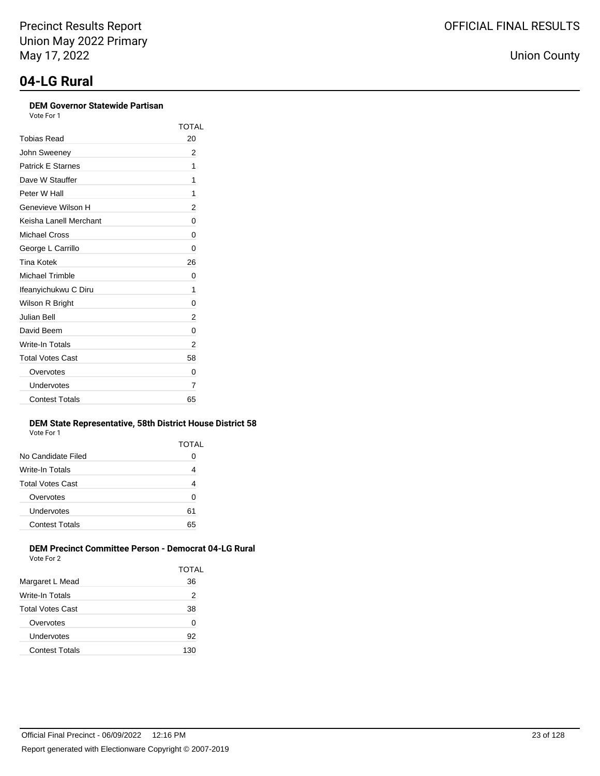# **DEM Governor Statewide Partisan**

TOTAL

| DEM GOVETIOL STATEWIGE FAITISALL<br>Vote For 1 |      |
|------------------------------------------------|------|
|                                                | TOT. |
| Tobias Read                                    | 20   |
| John Sweenev                                   | 2    |
| <b>Patrick E Starnes</b>                       | 1    |
| Dave W Stauffer                                | 1    |
| Peter W Hall                                   | 1    |
| Genevieve Wilson H                             | 2    |
| Keisha Lanell Merchant                         | 0    |
| Michael Cross                                  | 0    |
| $O_{\text{average}}$ $O_{\text{average}}$      | ⌒    |

| ו שוטוסו במווטו ויוטוסומות | ັ  |
|----------------------------|----|
| <b>Michael Cross</b>       | 0  |
| George L Carrillo          | ი  |
| Tina Kotek                 | 26 |
| Michael Trimble            | 0  |
| Ifeanyichukwu C Diru       | 1  |
| Wilson R Bright            | 0  |
| Julian Bell                | 2  |
| David Beem                 | 0  |
| Write-In Totals            | 2  |
| <b>Total Votes Cast</b>    | 58 |
| Overvotes                  | 0  |
| Undervotes                 | 7  |
| <b>Contest Totals</b>      | 65 |

#### **DEM State Representative, 58th District House District 58** Vote For 1

|                       | TOTAL |
|-----------------------|-------|
| No Candidate Filed    | Ω     |
| Write-In Totals       | 4     |
| Total Votes Cast      | 4     |
| Overvotes             | 0     |
| Undervotes            | 61    |
| <b>Contest Totals</b> | 65    |
|                       |       |

#### **DEM Precinct Committee Person - Democrat 04-LG Rural** Vote For 2

| VUEUML                  |       |
|-------------------------|-------|
|                         | TOTAL |
| Margaret L Mead         | 36    |
| Write-In Totals         | 2     |
| <b>Total Votes Cast</b> | 38    |
| Overvotes               | 0     |
| Undervotes              | 92    |
| <b>Contest Totals</b>   | 130   |
|                         |       |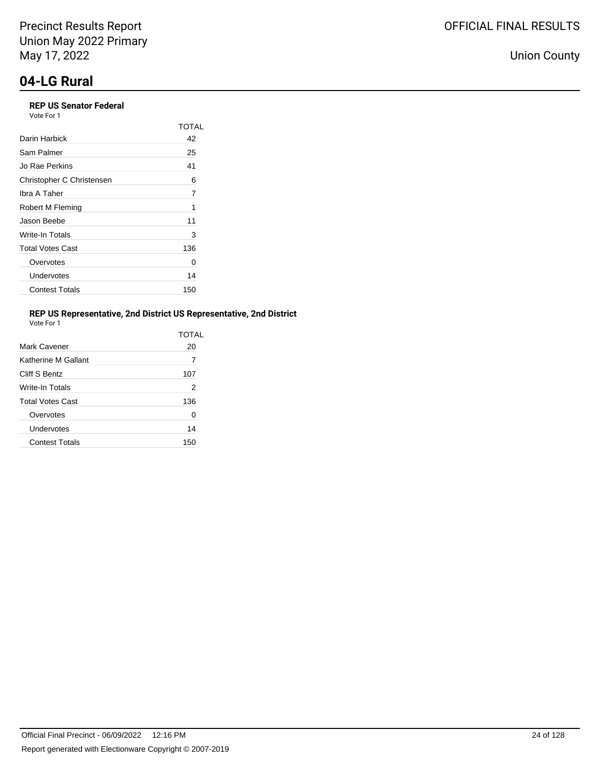## **REP US Senator Federal**

Vote For 1

|                           | TOTAL |
|---------------------------|-------|
| Darin Harbick             | 42    |
| Sam Palmer                | 25    |
| Jo Rae Perkins            | 41    |
| Christopher C Christensen | 6     |
| Ibra A Taher              | 7     |
| Robert M Fleming          | 1     |
| Jason Beebe               | 11    |
| Write-In Totals           | 3     |
| <b>Total Votes Cast</b>   | 136   |
| Overvotes                 | 0     |
| Undervotes                | 14    |
| <b>Contest Totals</b>     | 150   |

## **REP US Representative, 2nd District US Representative, 2nd District**

| Vote For 1 |  |
|------------|--|
|            |  |

|                         | TOTAL |
|-------------------------|-------|
| Mark Cavener            | 20    |
| Katherine M Gallant     | 7     |
| Cliff S Bentz           | 107   |
| Write-In Totals         | 2     |
| <b>Total Votes Cast</b> | 136   |
| Overvotes               | 0     |
| Undervotes              | 14    |
| <b>Contest Totals</b>   | 150   |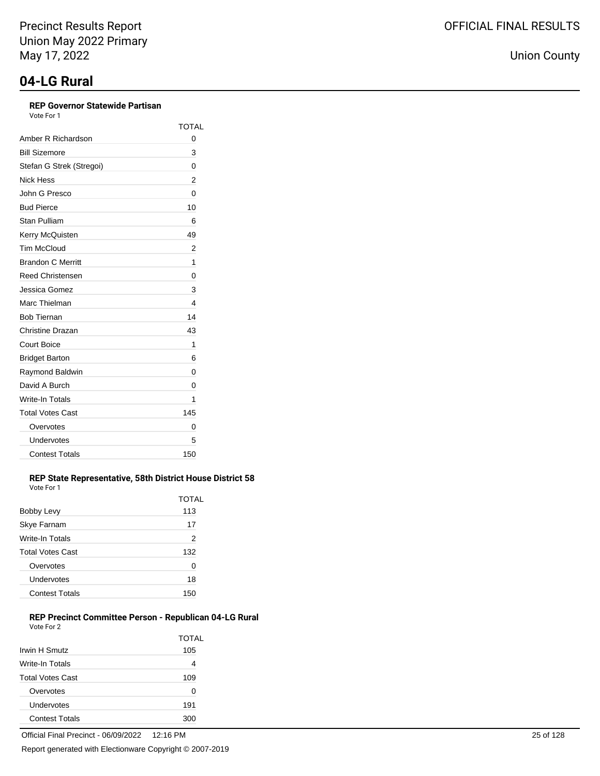## **REP Governor Statewide Partisan**

Vote For 1

|                          | <b>TOTAL</b> |
|--------------------------|--------------|
| Amber R Richardson       | 0            |
| <b>Bill Sizemore</b>     | 3            |
| Stefan G Strek (Stregoi) | 0            |
| Nick Hess                | 2            |
| John G Presco            | 0            |
| <b>Bud Pierce</b>        | 10           |
| <b>Stan Pulliam</b>      | 6            |
| Kerry McQuisten          | 49           |
| <b>Tim McCloud</b>       | 2            |
| <b>Brandon C Merritt</b> | 1            |
| <b>Reed Christensen</b>  | 0            |
| Jessica Gomez            | 3            |
| Marc Thielman            | 4            |
| <b>Bob Tiernan</b>       | 14           |
| Christine Drazan         | 43           |
| Court Boice              | 1            |
| <b>Bridget Barton</b>    | 6            |
| Raymond Baldwin          | 0            |
| David A Burch            | 0            |
| Write-In Totals          | 1            |
| <b>Total Votes Cast</b>  | 145          |
| Overvotes                | 0            |
| Undervotes               | 5            |
| <b>Contest Totals</b>    | 150          |

#### **REP State Representative, 58th District House District 58** Vote For 1

|                         | TOTAL |
|-------------------------|-------|
| Bobby Levy              | 113   |
| Skye Farnam             | 17    |
| Write-In Totals         | 2     |
| <b>Total Votes Cast</b> | 132   |
| Overvotes               | 0     |
| Undervotes              | 18    |
| <b>Contest Totals</b>   | 150   |

#### **REP Precinct Committee Person - Republican 04-LG Rural** Vote For 2

| Irwin H Smutz           | TOTAL<br>105 |
|-------------------------|--------------|
| Write-In Totals         | 4            |
| <b>Total Votes Cast</b> | 109          |
| Overvotes               | O            |
| Undervotes              | 191          |
| <b>Contest Totals</b>   | 30t          |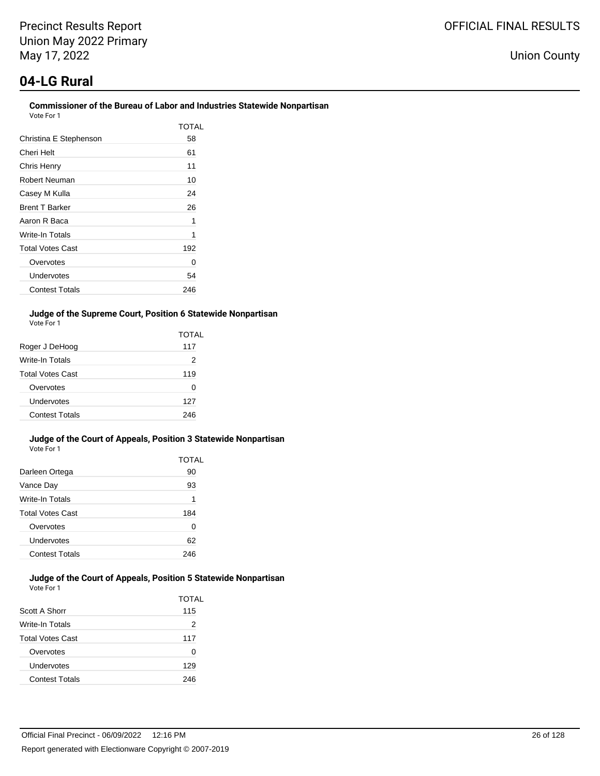# **04-LG Rural**

#### **Commissioner of the Bureau of Labor and Industries Statewide Nonpartisan** Vote For 1

| 1 U U U                 |       |
|-------------------------|-------|
|                         | TOTAI |
| Christina E Stephenson  | 58    |
| Cheri Helt              | 61    |
| Chris Henry             | 11    |
| Robert Neuman           | 10    |
| Casey M Kulla           | 24    |
| <b>Brent T Barker</b>   | 26    |
| Aaron R Baca            | 1     |
| Write-In Totals         | 1     |
| <b>Total Votes Cast</b> | 192   |
| Overvotes               | O     |
| Undervotes              | 54    |
| <b>Contest Totals</b>   | 246   |

#### **Judge of the Supreme Court, Position 6 Statewide Nonpartisan** Vote For 1

|                         | TOTAL |
|-------------------------|-------|
| Roger J DeHoog          | 117   |
| <b>Write-In Totals</b>  | 2     |
| <b>Total Votes Cast</b> | 119   |
| Overvotes               | O     |
| Undervotes              | 127   |
| Contest Totals          | 246   |

#### **Judge of the Court of Appeals, Position 3 Statewide Nonpartisan** Vote For 1

|                         | TOTAL |
|-------------------------|-------|
| Darleen Ortega          | 90    |
| Vance Day               | 93    |
| Write-In Totals         | 1     |
| <b>Total Votes Cast</b> | 184   |
| Overvotes               | O     |
| Undervotes              | 62    |
| <b>Contest Totals</b>   | 246   |

#### **Judge of the Court of Appeals, Position 5 Statewide Nonpartisan** Vote For 1

|                         | <b>TOTAL</b> |
|-------------------------|--------------|
| Scott A Shorr           | 115          |
| Write-In Totals         | 2            |
| <b>Total Votes Cast</b> | 117          |
| Overvotes               | O            |
| Undervotes              | 129          |
| <b>Contest Totals</b>   | 246          |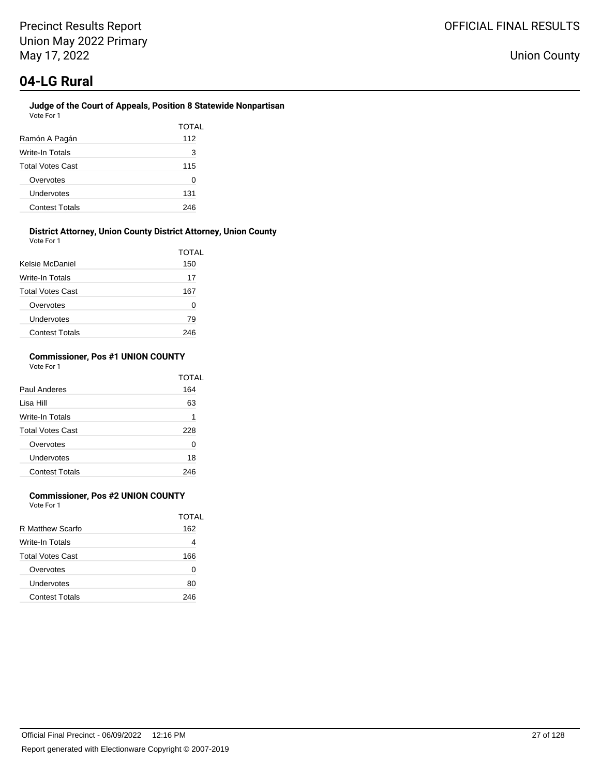#### **Judge of the Court of Appeals, Position 8 Statewide Nonpartisan** Vote For 1

| Ramón A Pagán           | TOTAL<br>112 |
|-------------------------|--------------|
| Write-In Totals         | 3            |
| <b>Total Votes Cast</b> | 115          |
| Overvotes               | O            |
| Undervotes              | 131          |
| <b>Contest Totals</b>   | 246          |

#### **District Attorney, Union County District Attorney, Union County** Vote For 1

| <b>VULLET UIL</b>       |       |
|-------------------------|-------|
|                         | TOTAL |
| Kelsie McDaniel         | 150   |
| Write-In Totals         | 17    |
| <b>Total Votes Cast</b> | 167   |
| Overvotes               | 0     |
| Undervotes              | 79    |
| <b>Contest Totals</b>   | 246   |

#### **Commissioner, Pos #1 UNION COUNTY** Vote For 1

|                         | TOTAI |
|-------------------------|-------|
| Paul Anderes            | 164   |
| Lisa Hill               | 63    |
| Write-In Totals         | 1     |
| <b>Total Votes Cast</b> | 228   |
| Overvotes               | 0     |
| Undervotes              | 18    |
| <b>Contest Totals</b>   | 246   |

## **Commissioner, Pos #2 UNION COUNTY**

Vote For 1

|                         | TOTAI |
|-------------------------|-------|
| R Matthew Scarfo        | 162   |
| Write-In Totals         | 4     |
| <b>Total Votes Cast</b> | 166   |
| Overvotes               | 0     |
| Undervotes              | 80    |
| Contest Totals          | 246   |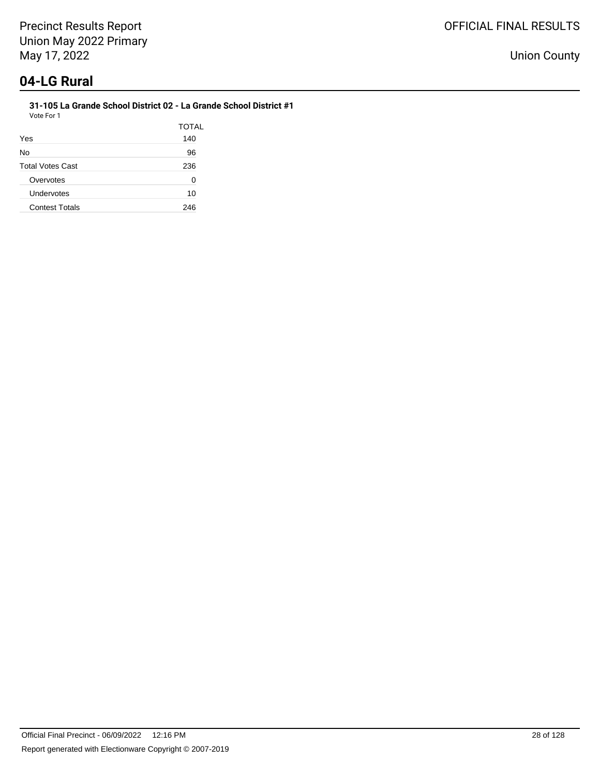#### **31-105 La Grande School District 02 - La Grande School District #1** Vote For 1

|                         | TOTAL |
|-------------------------|-------|
| Yes                     | 140   |
| No                      | 96    |
| <b>Total Votes Cast</b> | 236   |
| Overvotes               | 0     |
| Undervotes              | 10    |
| <b>Contest Totals</b>   | 246   |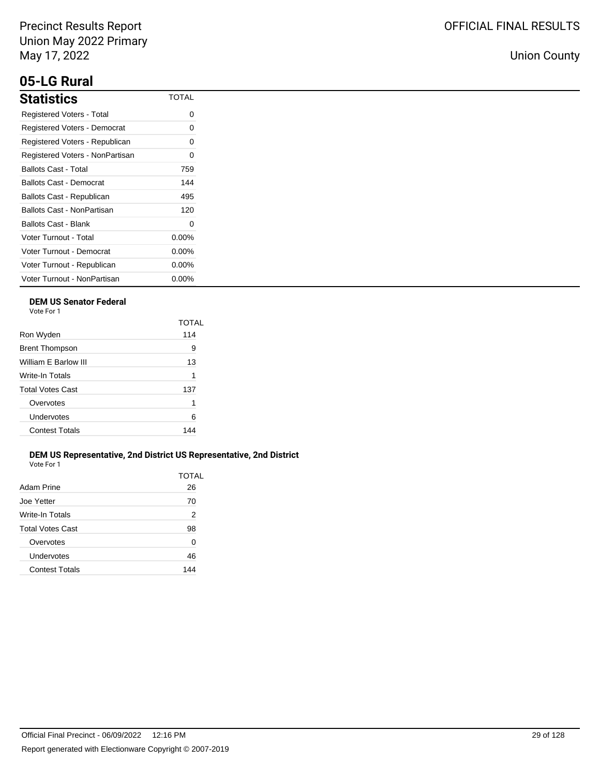# **05-LG Rural**

| <b>Statistics</b>               | TOTAL    |
|---------------------------------|----------|
| Registered Voters - Total       | ი        |
| Registered Voters - Democrat    | 0        |
| Registered Voters - Republican  | 0        |
| Registered Voters - NonPartisan | 0        |
| Ballots Cast - Total            | 759      |
| Ballots Cast - Democrat         | 144      |
| Ballots Cast - Republican       | 495      |
| Ballots Cast - NonPartisan      | 120      |
| Ballots Cast - Blank            | 0        |
| Voter Turnout - Total           | $0.00\%$ |
| Voter Turnout - Democrat        | $0.00\%$ |
| Voter Turnout - Republican      | $0.00\%$ |
| Voter Turnout - NonPartisan     | $0.00\%$ |

## **DEM US Senator Federal**

Vote For 1

|                         | TOTAL |
|-------------------------|-------|
| Ron Wyden               | 114   |
| <b>Brent Thompson</b>   | 9     |
| William E Barlow III    | 13    |
| Write-In Totals         | 1     |
| <b>Total Votes Cast</b> | 137   |
| Overvotes               | 1     |
| Undervotes              | 6     |
| <b>Contest Totals</b>   | 144   |
|                         |       |

#### **DEM US Representative, 2nd District US Representative, 2nd District** Vote For 1

| Adam Prine            | TOTAL<br>26 |
|-----------------------|-------------|
| Joe Yetter            | 70          |
| Write-In Totals       | 2           |
| Total Votes Cast      | 98          |
| Overvotes             | 0           |
| Undervotes            | 46          |
| <b>Contest Totals</b> | 144         |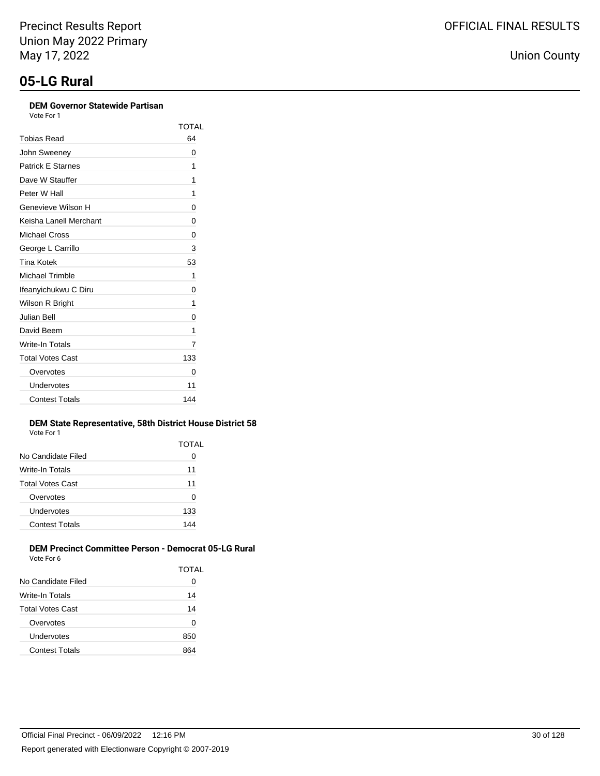### **DEM Governor Statewide Partisan**

Vote For 1

|                          | TOTAL |
|--------------------------|-------|
| Tobias Read              | 64    |
| John Sweeney             | 0     |
| <b>Patrick E Starnes</b> | 1     |
| Dave W Stauffer          | 1     |
| Peter W Hall             | 1     |
| Genevieve Wilson H       | 0     |
| Keisha Lanell Merchant   | 0     |
| Michael Cross            | 0     |
| George L Carrillo        | 3     |
| <b>Tina Kotek</b>        | 53    |
| <b>Michael Trimble</b>   | 1     |
| Ifeanyichukwu C Diru     | 0     |
| Wilson R Bright          | 1     |
| Julian Bell              | 0     |
| David Beem               | 1     |
| Write-In Totals          | 7     |
| <b>Total Votes Cast</b>  | 133   |
| Overvotes                | 0     |
| Undervotes               | 11    |
| <b>Contest Totals</b>    | 144   |

#### **DEM State Representative, 58th District House District 58** Vote For 1

|                       | TOTAL |
|-----------------------|-------|
| No Candidate Filed    | 0     |
| Write-In Totals       | 11    |
| Total Votes Cast      | 11    |
| Overvotes             | 0     |
| Undervotes            | 133   |
| <b>Contest Totals</b> | 144   |
|                       |       |

#### **DEM Precinct Committee Person - Democrat 05-LG Rural** Vote For 6

| , , , , , , , , ,     |       |
|-----------------------|-------|
|                       | TOTAL |
| No Candidate Filed    | O     |
| Write-In Totals       | 14    |
| Total Votes Cast      | 14    |
| Overvotes             | ŋ     |
| Undervotes            | 850   |
| <b>Contest Totals</b> |       |
|                       |       |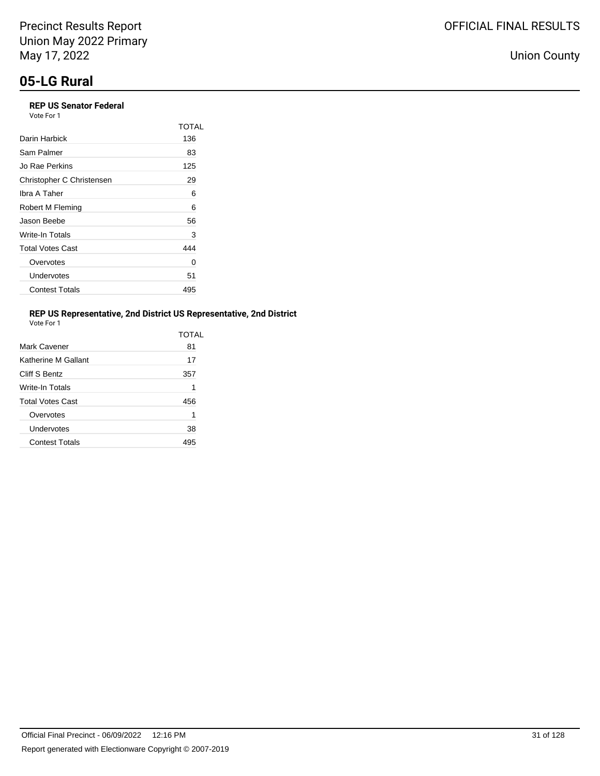# **05-LG Rural**

## **REP US Senator Federal**

| Vote For 1 |  |
|------------|--|
|------------|--|

|                           | TOTAL |
|---------------------------|-------|
| Darin Harbick             | 136   |
| Sam Palmer                | 83    |
| Jo Rae Perkins            | 125   |
| Christopher C Christensen | 29    |
| Ibra A Taher              | 6     |
| Robert M Fleming          | 6     |
| Jason Beebe               | 56    |
| Write-In Totals           | 3     |
| <b>Total Votes Cast</b>   | 444   |
| Overvotes                 | 0     |
| Undervotes                | 51    |
| <b>Contest Totals</b>     | 495   |

## **REP US Representative, 2nd District US Representative, 2nd District**

| Vote For |  |
|----------|--|
|          |  |

|                         | <b>TOTAL</b> |
|-------------------------|--------------|
| Mark Cavener            | 81           |
| Katherine M Gallant     | 17           |
| Cliff S Bentz           | 357          |
| <b>Write-In Totals</b>  | 1            |
| <b>Total Votes Cast</b> | 456          |
| Overvotes               | 1            |
| Undervotes              | 38           |
| <b>Contest Totals</b>   | 495          |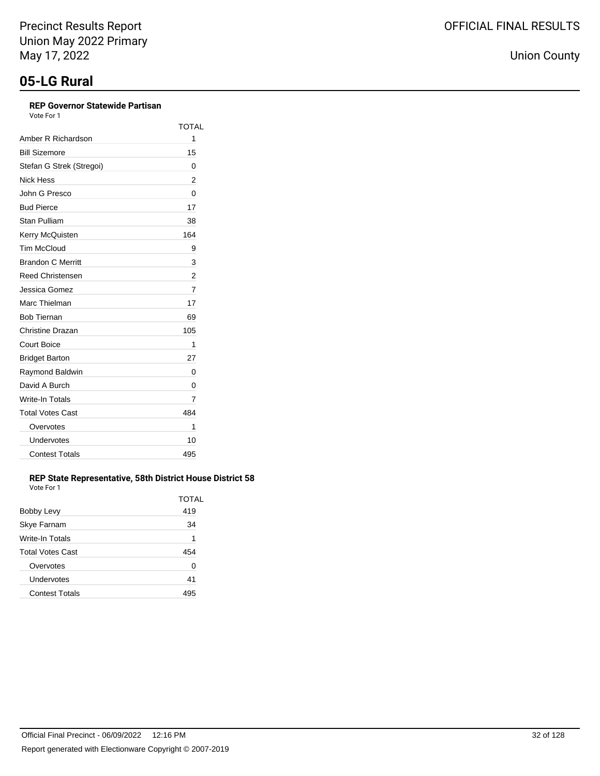## **REP Governor Statewide Partisan**

Vote For 1

|                          | <b>TOTAL</b> |
|--------------------------|--------------|
| Amber R Richardson       | 1            |
| <b>Bill Sizemore</b>     | 15           |
| Stefan G Strek (Stregoi) | 0            |
| <b>Nick Hess</b>         | 2            |
| John G Presco            | 0            |
| <b>Bud Pierce</b>        | 17           |
| Stan Pulliam             | 38           |
| Kerry McQuisten          | 164          |
| <b>Tim McCloud</b>       | 9            |
| <b>Brandon C Merritt</b> | 3            |
| <b>Reed Christensen</b>  | 2            |
| Jessica Gomez            | 7            |
| Marc Thielman            | 17           |
| <b>Bob Tiernan</b>       | 69           |
| Christine Drazan         | 105          |
| <b>Court Boice</b>       | 1            |
| <b>Bridget Barton</b>    | 27           |
| Raymond Baldwin          | 0            |
| David A Burch            | 0            |
| Write-In Totals          | 7            |
| <b>Total Votes Cast</b>  | 484          |
| Overvotes                | 1            |
| Undervotes               | 10           |
| <b>Contest Totals</b>    | 495          |

#### **REP State Representative, 58th District House District 58** Vote For 1

|                         | TOTAL |
|-------------------------|-------|
| Bobby Levy              | 419   |
| Skye Farnam             | 34    |
| Write-In Totals         | 1     |
| <b>Total Votes Cast</b> | 454   |
| Overvotes               | 0     |
| Undervotes              | 41    |
| <b>Contest Totals</b>   | 495   |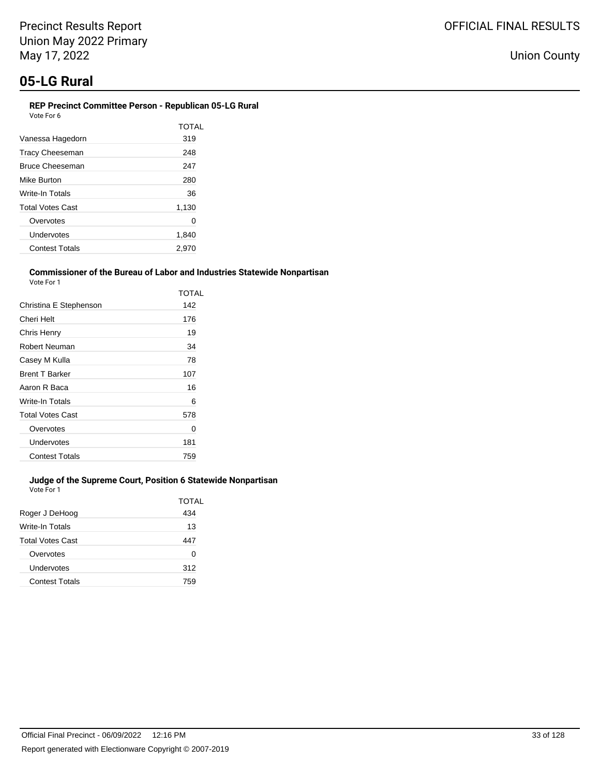#### **REP Precinct Committee Person - Republican 05-LG Rural** Vote For 6

| 1 U I U I U             |       |
|-------------------------|-------|
|                         | TOTAI |
| Vanessa Hagedorn        | 319   |
| <b>Tracy Cheeseman</b>  | 248   |
| <b>Bruce Cheeseman</b>  | 247   |
| Mike Burton             | 280   |
| Write-In Totals         | 36    |
| <b>Total Votes Cast</b> | 1,130 |
| Overvotes               | 0     |
| Undervotes              | 1,840 |
| <b>Contest Totals</b>   | 2.970 |

### **Commissioner of the Bureau of Labor and Industries Statewide Nonpartisan**

| Vote For 1              |       |
|-------------------------|-------|
|                         | TOTAL |
| Christina E Stephenson  | 142   |
| Cheri Helt              | 176   |
| Chris Henry             | 19    |
| Robert Neuman           | 34    |
| Casey M Kulla           | 78    |
| <b>Brent T Barker</b>   | 107   |
| Aaron R Baca            | 16    |
| Write-In Totals         | 6     |
| <b>Total Votes Cast</b> | 578   |
| Overvotes               | Ω     |
| Undervotes              | 181   |
| <b>Contest Totals</b>   | 759   |

## **Judge of the Supreme Court, Position 6 Statewide Nonpartisan**

Vote For 1

|                       | TOTAL |
|-----------------------|-------|
| Roger J DeHoog        | 434   |
| Write-In Totals       | 13    |
| Total Votes Cast      | 447   |
| Overvotes             | 0     |
| Undervotes            | 312   |
| <b>Contest Totals</b> | 759   |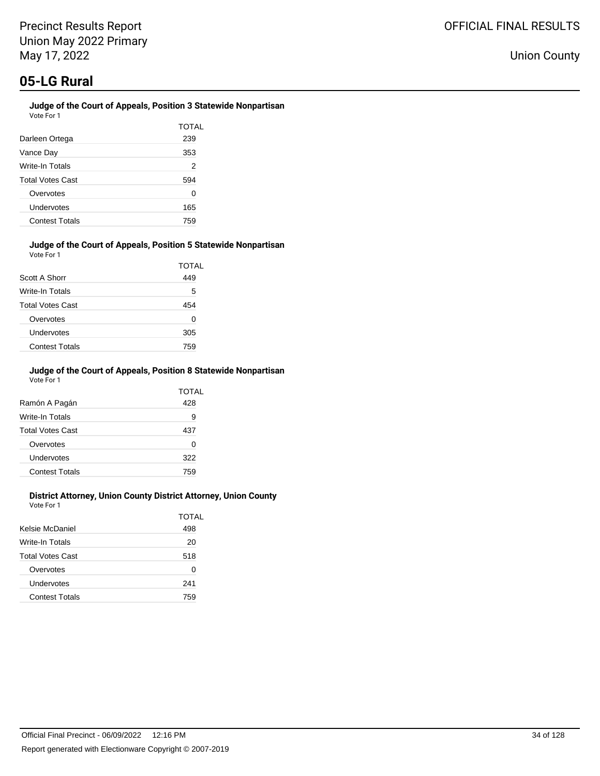#### **Judge of the Court of Appeals, Position 3 Statewide Nonpartisan** Vote For 1

| Darleen Ortega          | TOTAL<br>239 |
|-------------------------|--------------|
| Vance Day               | 353          |
| Write-In Totals         | 2            |
| <b>Total Votes Cast</b> | 594          |
| Overvotes               | 0            |
| Undervotes              | 165          |
| <b>Contest Totals</b>   | 759          |

#### **Judge of the Court of Appeals, Position 5 Statewide Nonpartisan** Vote For 1

|                         | TOTAL |
|-------------------------|-------|
| Scott A Shorr           | 449   |
| Write-In Totals         | 5     |
| <b>Total Votes Cast</b> | 454   |
| Overvotes               | 0     |
| Undervotes              | 305   |
| <b>Contest Totals</b>   | 759   |

#### **Judge of the Court of Appeals, Position 8 Statewide Nonpartisan** Vote For 1

|                         | TOTAL |
|-------------------------|-------|
| Ramón A Pagán           | 428   |
| Write-In Totals         | 9     |
| <b>Total Votes Cast</b> | 437   |
| Overvotes               | 0     |
| Undervotes              | 322   |
| <b>Contest Totals</b>   | 759   |

### **District Attorney, Union County District Attorney, Union County**

Vote For 1

|                       | TOTAL |
|-----------------------|-------|
| Kelsie McDaniel       | 498   |
| Write-In Totals       | 20    |
| Total Votes Cast      | 518   |
| Overvotes             | 0     |
| Undervotes            | 241   |
| <b>Contest Totals</b> | 759   |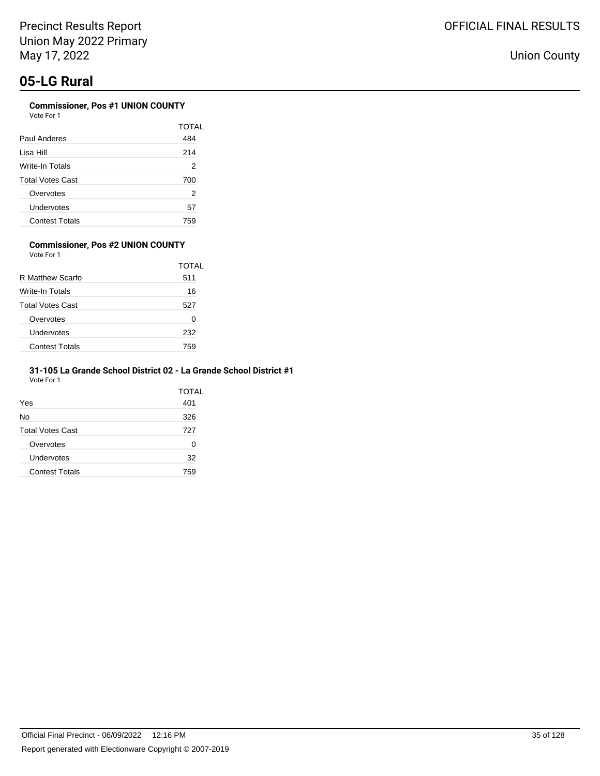### **Commissioner, Pos #1 UNION COUNTY**

| Vote For 1 |  |
|------------|--|
|            |  |

|                         | TOTAL |
|-------------------------|-------|
| Paul Anderes            | 484   |
| Lisa Hill               | 214   |
| Write-In Totals         | 2     |
| <b>Total Votes Cast</b> | 700   |
| Overvotes               | 2     |
| Undervotes              | 57    |
| <b>Contest Totals</b>   | 759   |

#### **Commissioner, Pos #2 UNION COUNTY** Vote For 1

|                         | TOTAL |
|-------------------------|-------|
| R Matthew Scarfo        | 511   |
| Write-In Totals         | 16    |
| <b>Total Votes Cast</b> | 527   |
| Overvotes               | O     |
| Undervotes              | 232   |
| <b>Contest Totals</b>   | 759   |

#### **31-105 La Grande School District 02 - La Grande School District #1** Vote For 1

|                         | TOTAL |
|-------------------------|-------|
| Yes                     | 401   |
| No                      | 326   |
| <b>Total Votes Cast</b> | 727   |
| Overvotes               | 0     |
| Undervotes              | 32    |
| <b>Contest Totals</b>   | 759   |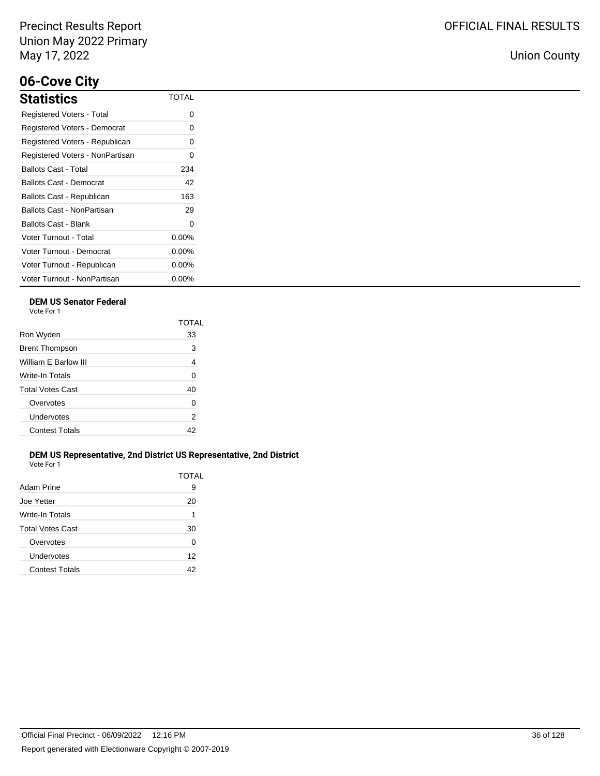# **06-Cove City**

| <b>Statistics</b>               | TOTAL    |
|---------------------------------|----------|
| Registered Voters - Total       | ი        |
| Registered Voters - Democrat    | 0        |
| Registered Voters - Republican  | 0        |
| Registered Voters - NonPartisan | O        |
| <b>Ballots Cast - Total</b>     | 234      |
| Ballots Cast - Democrat         | 42       |
| Ballots Cast - Republican       | 163      |
| Ballots Cast - NonPartisan      | 29       |
| Ballots Cast - Blank            | 0        |
| Voter Turnout - Total           | $0.00\%$ |
| Voter Turnout - Democrat        | $0.00\%$ |
| Voter Turnout - Republican      | $0.00\%$ |
| Voter Turnout - NonPartisan     | $0.00\%$ |

## **DEM US Senator Federal**

Vote For 1

|                         | TOTAL          |
|-------------------------|----------------|
| Ron Wyden               | 33             |
| <b>Brent Thompson</b>   | 3              |
| William F Barlow III    | $\overline{4}$ |
| Write-In Totals         | 0              |
| <b>Total Votes Cast</b> | 40             |
| Overvotes               | 0              |
| Undervotes              | 2              |
| <b>Contest Totals</b>   | 42             |
|                         |                |

#### **DEM US Representative, 2nd District US Representative, 2nd District** Vote For 1

| Adam Prine              | TOTAL<br>9 |
|-------------------------|------------|
| Joe Yetter              | 20         |
| Write-In Totals         | 1          |
| <b>Total Votes Cast</b> | 30         |
| Overvotes               | U          |
| Undervotes              | 12         |
| <b>Contest Totals</b>   | 42         |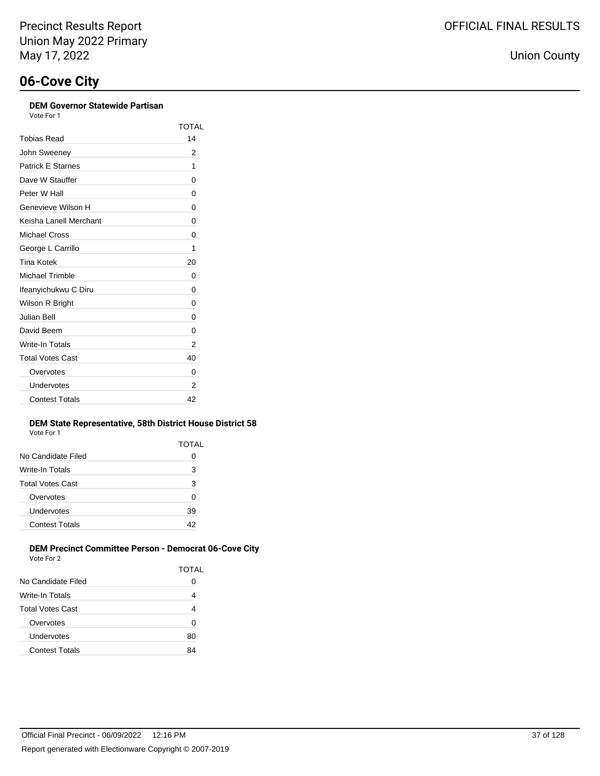### **DEM Governor Statewide Partisan**

TOTAL

| Vote For 1           |  |
|----------------------|--|
| obias Read           |  |
| $\sim$ $\sim$ $\sim$ |  |

| <b>Tobias Read</b>       | 14 |
|--------------------------|----|
| John Sweeney             | 2  |
| <b>Patrick E Starnes</b> | 1  |
| Dave W Stauffer          | 0  |
| Peter W Hall             | 0  |
| Genevieve Wilson H       | 0  |
| Keisha Lanell Merchant   | 0  |
| Michael Cross            | 0  |
| George L Carrillo        | 1  |
| Tina Kotek               | 20 |
| Michael Trimble          | 0  |
| Ifeanyichukwu C Diru     | 0  |
| Wilson R Bright          | 0  |
| <b>Julian Bell</b>       | 0  |
| David Beem               | 0  |
| <b>Write-In Totals</b>   | 2  |
| <b>Total Votes Cast</b>  | 40 |
| Overvotes                | 0  |
| Undervotes               | 2  |
| <b>Contest Totals</b>    | 42 |

#### **DEM State Representative, 58th District House District 58** Vote For 1

| VULCIUI I               |       |
|-------------------------|-------|
|                         | TOTAL |
| No Candidate Filed      | Ω     |
| Write-In Totals         | 3     |
| <b>Total Votes Cast</b> | 3     |
| Overvotes               | 0     |
| Undervotes              | 39    |
| <b>Contest Totals</b>   | 42    |
|                         |       |

### **DEM Precinct Committee Person - Democrat 06-Cove City** Vote For 2

|                         | TOTAL |
|-------------------------|-------|
| No Candidate Filed      | 0     |
| Write-In Totals         | 4     |
| <b>Total Votes Cast</b> | 4     |
| Overvotes               | 0     |
| Undervotes              | 80    |
| <b>Contest Totals</b>   | 84    |
|                         |       |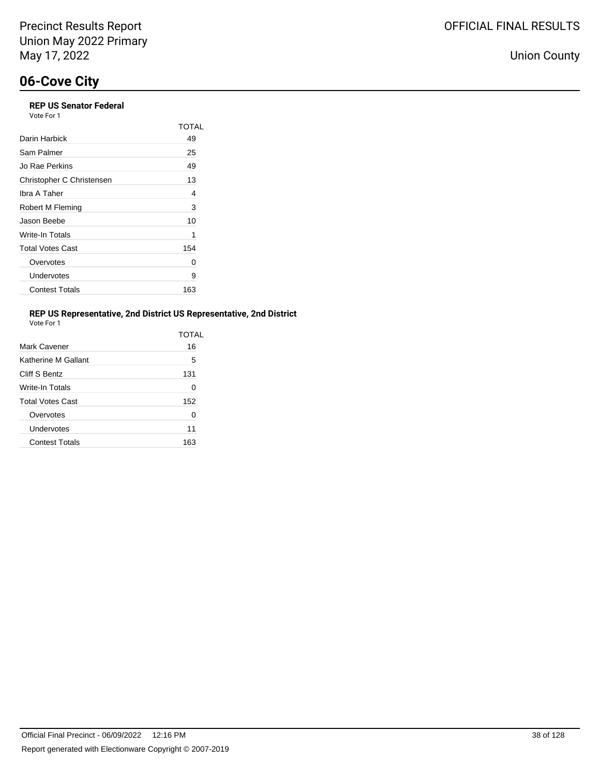## **06-Cove City**

| <b>REP US Senator Federal</b><br>Vote For 1 |       |
|---------------------------------------------|-------|
|                                             | TOTAL |
| Darin Harbick                               | 49    |
| Sam Palmer                                  | 25    |
| Jo Rae Perkins                              | 49    |
| Christopher C Christensen                   | 13    |
| Ibra A Taher                                | 4     |
| Robert M Fleming                            | 3     |
| Jason Beebe                                 | 10    |
| Write-In Totals                             | 1     |
| <b>Total Votes Cast</b>                     | 154   |
| Overvotes                                   | 0     |
| Undervotes                                  | 9     |
| <b>Contest Totals</b>                       | 163   |
|                                             |       |

### **REP US Representative, 2nd District US Representative, 2nd District**

| Vote For 1 |  |  |
|------------|--|--|
|            |  |  |

|                       | TOTAI |
|-----------------------|-------|
| Mark Cavener          | 16    |
| Katherine M Gallant   | 5     |
| Cliff S Bentz         | 131   |
| Write-In Totals       | 0     |
| Total Votes Cast      | 152   |
| Overvotes             | 0     |
| Undervotes            | 11    |
| <b>Contest Totals</b> | 163   |
|                       |       |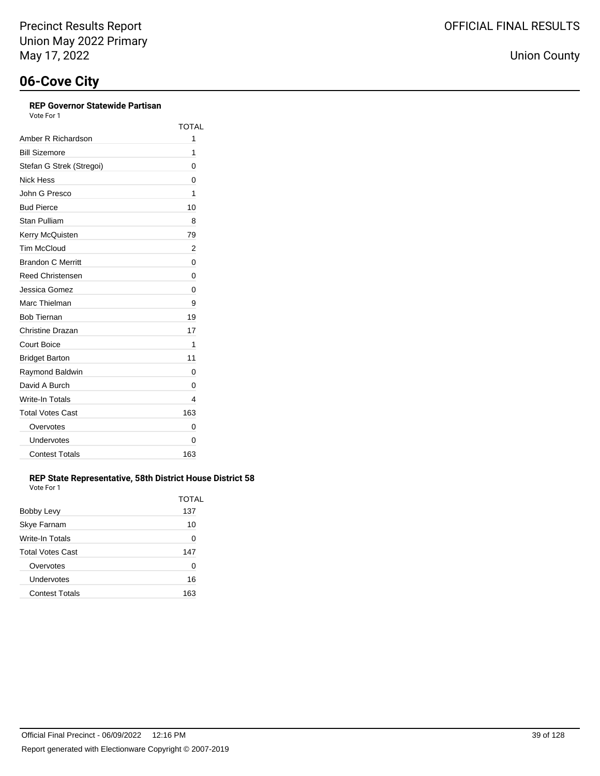### **REP Governor Statewide Partisan**

Vote For 1

|                          | <b>TOTAL</b> |
|--------------------------|--------------|
| Amber R Richardson       | 1            |
| <b>Bill Sizemore</b>     | 1            |
| Stefan G Strek (Stregoi) | 0            |
| Nick Hess                | 0            |
| John G Presco            | 1            |
| <b>Bud Pierce</b>        | 10           |
| Stan Pulliam             | 8            |
| Kerry McQuisten          | 79           |
| <b>Tim McCloud</b>       | 2            |
| <b>Brandon C Merritt</b> | 0            |
| <b>Reed Christensen</b>  | 0            |
| Jessica Gomez            | 0            |
| Marc Thielman            | 9            |
| <b>Bob Tiernan</b>       | 19           |
| <b>Christine Drazan</b>  | 17           |
| <b>Court Boice</b>       | 1            |
| <b>Bridget Barton</b>    | 11           |
| Raymond Baldwin          | 0            |
| David A Burch            | 0            |
| Write-In Totals          | 4            |
| <b>Total Votes Cast</b>  | 163          |
| Overvotes                | 0            |
| Undervotes               | 0            |
| <b>Contest Totals</b>    | 163          |

### **REP State Representative, 58th District House District 58** Vote For 1

|                         | TOTAL |
|-------------------------|-------|
| Bobby Levy              | 137   |
| Skye Farnam             | 10    |
| <b>Write-In Totals</b>  | 0     |
| <b>Total Votes Cast</b> | 147   |
| Overvotes               | O     |
| Undervotes              | 16    |
| <b>Contest Totals</b>   | 163   |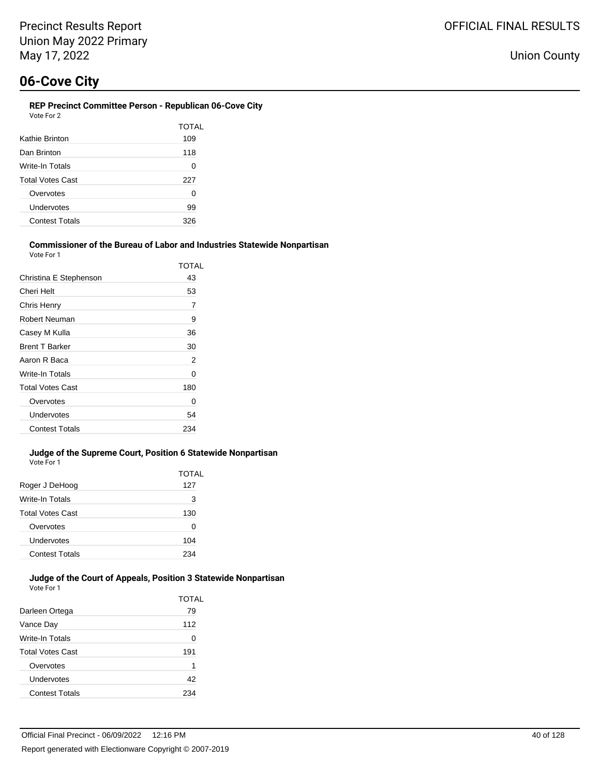#### **REP Precinct Committee Person - Republican 06-Cove City** Vote For 2

|                         | TOTAL |
|-------------------------|-------|
| Kathie Brinton          | 109   |
| Dan Brinton             | 118   |
| Write-In Totals         | 0     |
| <b>Total Votes Cast</b> | 227   |
| Overvotes               | 0     |
| Undervotes              | 99    |
| <b>Contest Totals</b>   | 326   |
|                         |       |

#### **Commissioner of the Bureau of Labor and Industries Statewide Nonpartisan** Vote For 1

|                         | TOTAL |
|-------------------------|-------|
| Christina E Stephenson  | 43    |
| Cheri Helt              | 53    |
| Chris Henry             | 7     |
| Robert Neuman           | 9     |
| Casey M Kulla           | 36    |
| <b>Brent T Barker</b>   | 30    |
| Aaron R Baca            | 2     |
| Write-In Totals         | 0     |
| <b>Total Votes Cast</b> | 180   |
| Overvotes               | 0     |
| Undervotes              | 54    |
| <b>Contest Totals</b>   | 234   |

#### **Judge of the Supreme Court, Position 6 Statewide Nonpartisan** Vote For 1

|                         | <b>TOTAL</b> |
|-------------------------|--------------|
| Roger J DeHoog          | 127          |
| Write-In Totals         | 3            |
| <b>Total Votes Cast</b> | 130          |
| Overvotes               | 0            |
| Undervotes              | 104          |
| <b>Contest Totals</b>   | 234          |
|                         |              |

#### **Judge of the Court of Appeals, Position 3 Statewide Nonpartisan** Vote For 1

|                         | TOTAL |
|-------------------------|-------|
| Darleen Ortega          | 79    |
| Vance Day               | 112   |
| Write-In Totals         | 0     |
| <b>Total Votes Cast</b> | 191   |
| Overvotes               | 1     |
| Undervotes              | 42    |
| <b>Contest Totals</b>   | 234   |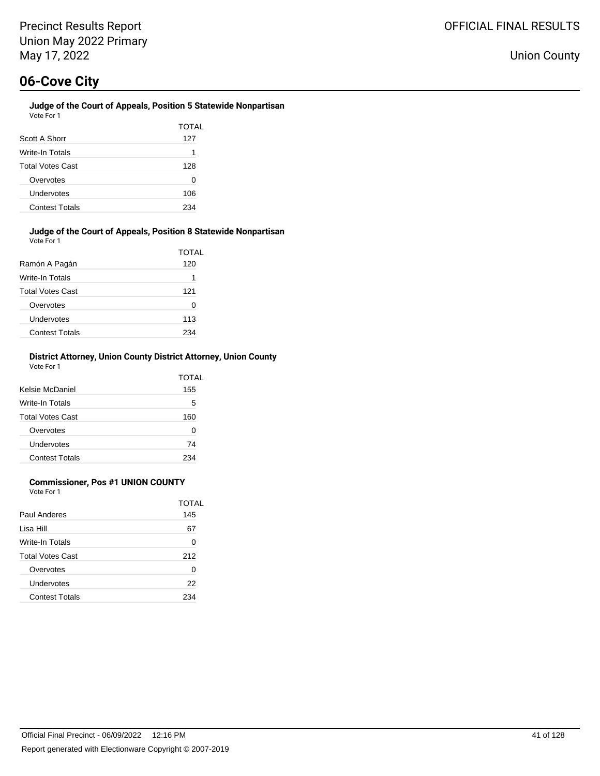### **Judge of the Court of Appeals, Position 5 Statewide Nonpartisan** Vote For 1

| Scott A Shorr           | TOTAL<br>127 |
|-------------------------|--------------|
| Write-In Totals         | 1            |
| <b>Total Votes Cast</b> | 128          |
| Overvotes               | O            |
| Undervotes              | 106          |
| <b>Contest Totals</b>   | 234          |

### **Judge of the Court of Appeals, Position 8 Statewide Nonpartisan** Vote For 1

| Ramón A Pagán           | TOTAL<br>120 |
|-------------------------|--------------|
| Write-In Totals         | 1            |
| <b>Total Votes Cast</b> | 121          |
| Overvotes               | 0            |
| Undervotes              | 113          |
| <b>Contest Totals</b>   | 234          |

### **District Attorney, Union County District Attorney, Union County** Vote For 1

| Kelsie McDaniel         | TOTAL<br>155 |
|-------------------------|--------------|
| Write-In Totals         | 5            |
| <b>Total Votes Cast</b> | 160          |
| Overvotes               | 0            |
| Undervotes              | 74           |
| <b>Contest Totals</b>   | 234          |

### **Commissioner, Pos #1 UNION COUNTY**

Vote For 1

|                         | TOTAL |
|-------------------------|-------|
| Paul Anderes            | 145   |
| Lisa Hill               | 67    |
| Write-In Totals         | ∩     |
| <b>Total Votes Cast</b> | 212   |
| Overvotes               | ∩     |
| Undervotes              | 22    |
| <b>Contest Totals</b>   | 234   |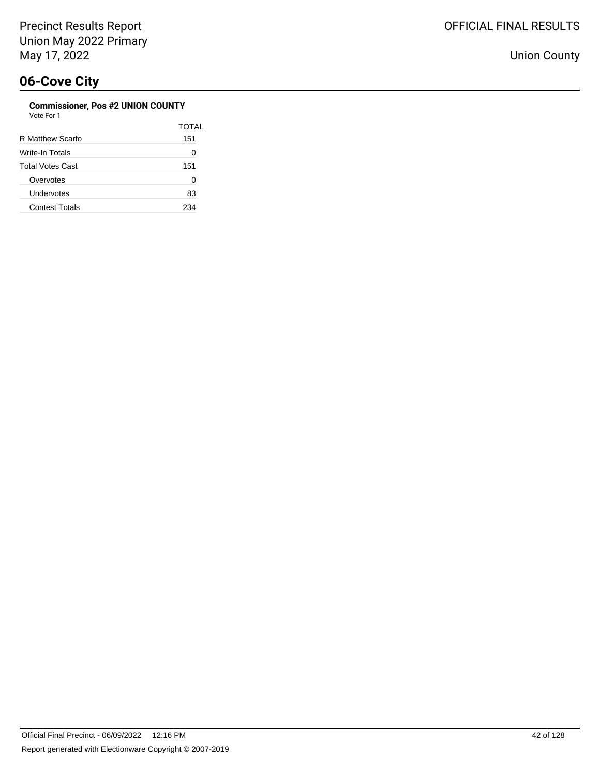### **Commissioner, Pos #2 UNION COUNTY**

| Vote For 1 |  |
|------------|--|
|------------|--|

|                         | TOTAI |
|-------------------------|-------|
| R Matthew Scarfo        | 151   |
| Write-In Totals         | 0     |
| <b>Total Votes Cast</b> | 151   |
| Overvotes               | 0     |
| Undervotes              | 83    |
| <b>Contest Totals</b>   | 234   |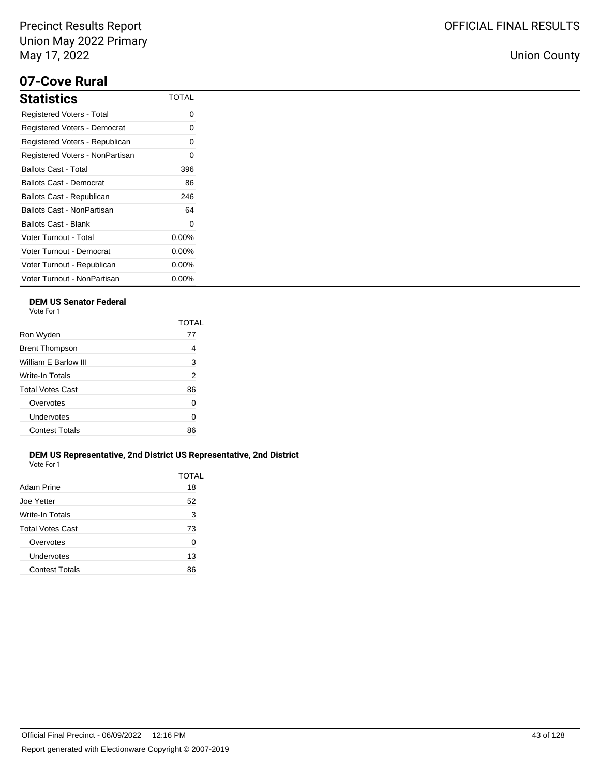## **07-Cove Rural**

| <b>Statistics</b>               | TOTAL    |
|---------------------------------|----------|
| Registered Voters - Total       | 0        |
| Registered Voters - Democrat    | 0        |
| Registered Voters - Republican  | 0        |
| Registered Voters - NonPartisan | ი        |
| <b>Ballots Cast - Total</b>     | 396      |
| Ballots Cast - Democrat         | 86       |
| Ballots Cast - Republican       | 246      |
| Ballots Cast - NonPartisan      | 64       |
| Ballots Cast - Blank            | 0        |
| Voter Turnout - Total           | $0.00\%$ |
| Voter Turnout - Democrat        | $0.00\%$ |
| Voter Turnout - Republican      | $0.00\%$ |
| Voter Turnout - NonPartisan     | $0.00\%$ |

### **DEM US Senator Federal**

Vote For 1

|                         | TOTAI          |
|-------------------------|----------------|
| Ron Wyden               | 77             |
| <b>Brent Thompson</b>   | 4              |
| William E Barlow III    | 3              |
| Write-In Totals         | $\overline{2}$ |
| <b>Total Votes Cast</b> | 86             |
| Overvotes               | 0              |
| Undervotes              | 0              |
| <b>Contest Totals</b>   | 86             |
|                         |                |

### **DEM US Representative, 2nd District US Representative, 2nd District** Vote For 1

| Adam Prine            | TOTAL<br>18 |
|-----------------------|-------------|
| Joe Yetter            | 52          |
| Write-In Totals       | 3           |
| Total Votes Cast      | 73          |
| Overvotes             | 0           |
| Undervotes            | 13          |
| <b>Contest Totals</b> | 86          |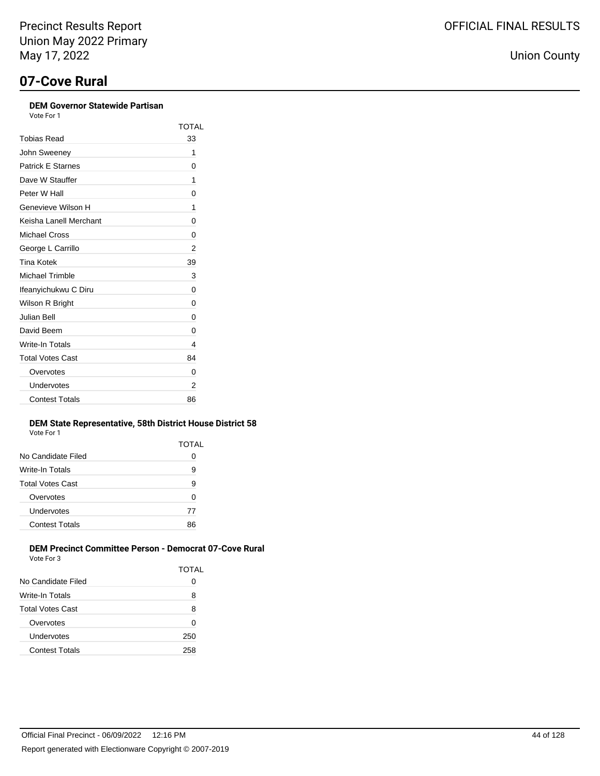### **DEM Governor Statewide Partisan**

| Vote For 1               |       |
|--------------------------|-------|
|                          | TOTAL |
| Tobias Read              | 33    |
| John Sweeney             | 1     |
| <b>Patrick E Starnes</b> | 0     |
| Dave W Stauffer          | 1     |
| Peter W Hall             | 0     |
| Genevieve Wilson H       | 1     |
| Keisha I anell Merchant  | 0     |
| <b>Michael Cross</b>     | 0     |
| George L Carrillo        | 2     |
| Tina Kotek               | 39    |
| <b>Michael Trimble</b>   | 3     |
| Ifeanyichukwu C Diru     | 0     |
| Wilson R Bright          | 0     |
| Julian Bell              | 0     |
| David Beem               | 0     |
| Write-In Totals          | 4     |
| <b>Total Votes Cast</b>  | 84    |
| Overvotes                | 0     |
| Undervotes               | 2     |
| <b>Contest Totals</b>    | 86    |
|                          |       |

#### **DEM State Representative, 58th District House District 58** Vote For 1

|                       | TOTAL |
|-----------------------|-------|
| No Candidate Filed    | 0     |
| Write-In Totals       | 9     |
| Total Votes Cast      | 9     |
| Overvotes             | 0     |
| Undervotes            | 77    |
| <b>Contest Totals</b> | 86    |
|                       |       |

### **DEM Precinct Committee Person - Democrat 07-Cove Rural** Vote For 3

|                         | TOTAL |
|-------------------------|-------|
| No Candidate Filed      |       |
| Write-In Totals         | 8     |
| <b>Total Votes Cast</b> | 8     |
| Overvotes               | U     |
| Undervotes              | 250   |
| <b>Contest Totals</b>   | 258   |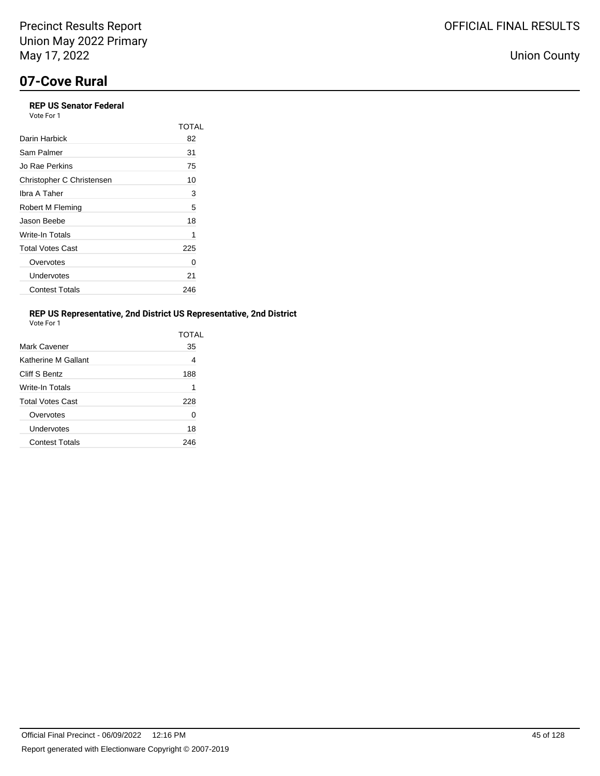### **REP US Senator Federal** Vote For 1

|                           | TOTAL |
|---------------------------|-------|
| Darin Harbick             | 82    |
| Sam Palmer                | 31    |
| Jo Rae Perkins            | 75    |
| Christopher C Christensen | 10    |
| Ibra A Taher              | 3     |
| Robert M Fleming          | 5     |
| Jason Beebe               | 18    |
| Write-In Totals           | 1     |
| <b>Total Votes Cast</b>   | 225   |
| Overvotes                 | 0     |
| Undervotes                | 21    |
| <b>Contest Totals</b>     | 246   |

### **REP US Representative, 2nd District US Representative, 2nd District**

| Vote For |  |
|----------|--|

|                         | TOTAL |
|-------------------------|-------|
| Mark Cavener            | 35    |
| Katherine M Gallant     | 4     |
| Cliff S Bentz           | 188   |
| Write-In Totals         | 1     |
| <b>Total Votes Cast</b> | 228   |
| Overvotes               | 0     |
| Undervotes              | 18    |
| <b>Contest Totals</b>   | 246   |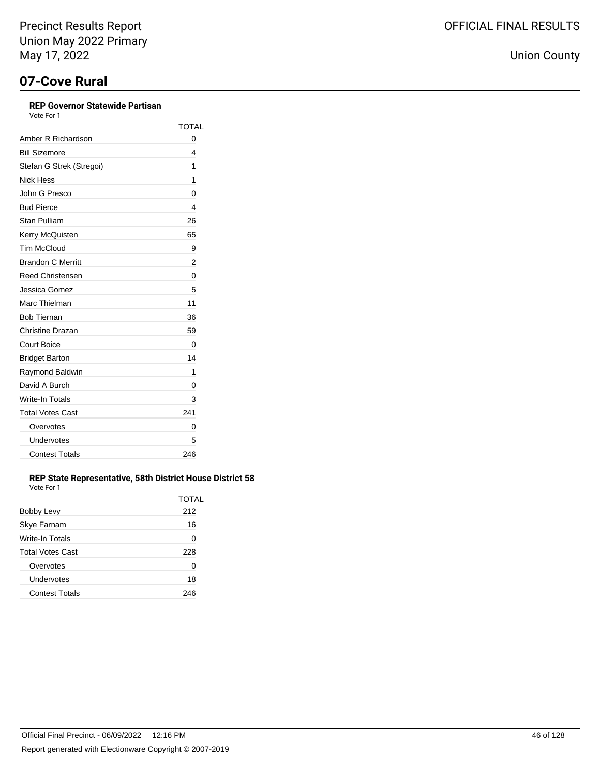### **REP Governor Statewide Partisan**

Vote For 1

|                          | <b>TOTAL</b> |
|--------------------------|--------------|
| Amber R Richardson       | 0            |
| <b>Bill Sizemore</b>     | 4            |
| Stefan G Strek (Stregoi) | 1            |
| Nick Hess                | 1            |
| John G Presco            | 0            |
| <b>Bud Pierce</b>        | 4            |
| Stan Pulliam             | 26           |
| Kerry McQuisten          | 65           |
| <b>Tim McCloud</b>       | 9            |
| <b>Brandon C Merritt</b> | 2            |
| <b>Reed Christensen</b>  | 0            |
| Jessica Gomez            | 5            |
| Marc Thielman            | 11           |
| <b>Bob Tiernan</b>       | 36           |
| Christine Drazan         | 59           |
| <b>Court Boice</b>       | 0            |
| <b>Bridget Barton</b>    | 14           |
| Raymond Baldwin          | 1            |
| David A Burch            | 0            |
| <b>Write-In Totals</b>   | 3            |
| <b>Total Votes Cast</b>  | 241          |
| Overvotes                | 0            |
| Undervotes               | 5            |
| <b>Contest Totals</b>    | 246          |

### **REP State Representative, 58th District House District 58** Vote For 1

|                         | TOTAL |
|-------------------------|-------|
| <b>Bobby Levy</b>       | 212   |
| Skye Farnam             | 16    |
| Write-In Totals         | 0     |
| <b>Total Votes Cast</b> | 228   |
| Overvotes               | 0     |
| Undervotes              | 18    |
| <b>Contest Totals</b>   | 246   |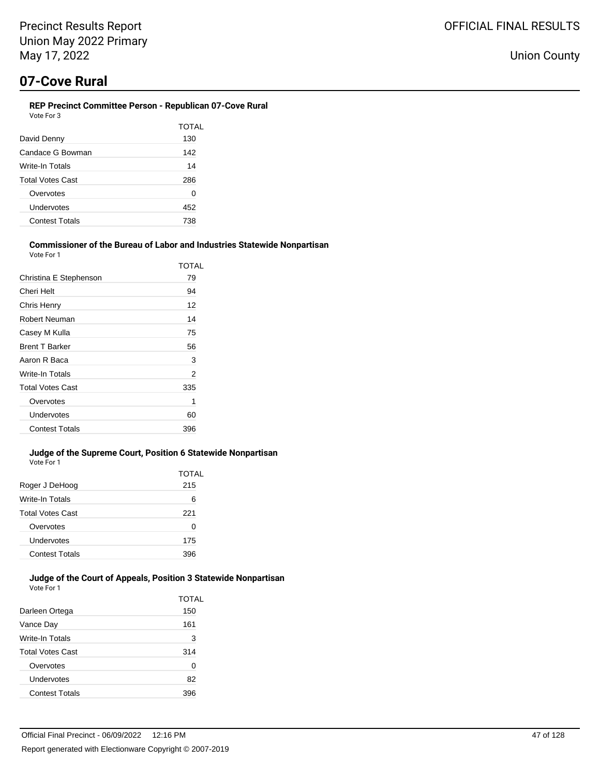### **REP Precinct Committee Person - Republican 07-Cove Rural**

| Vote For 3              |       |
|-------------------------|-------|
|                         | TOTAL |
| David Denny             | 130   |
| Candace G Bowman        | 142   |
| Write-In Totals         | 14    |
| <b>Total Votes Cast</b> | 286   |
| Overvotes               | 0     |
| Undervotes              | 452   |
| <b>Contest Totals</b>   | 738   |
|                         |       |

#### **Commissioner of the Bureau of Labor and Industries Statewide Nonpartisan** Vote For 1

|                         | TOTAL |
|-------------------------|-------|
| Christina E Stephenson  | 79    |
| Cheri Helt              | 94    |
| Chris Henry             | 12    |
| Robert Neuman           | 14    |
| Casey M Kulla           | 75    |
| <b>Brent T Barker</b>   | 56    |
| Aaron R Baca            | 3     |
| Write-In Totals         | 2     |
| <b>Total Votes Cast</b> | 335   |
| Overvotes               | 1     |
| Undervotes              | 60    |
| <b>Contest Totals</b>   | 396   |

#### **Judge of the Supreme Court, Position 6 Statewide Nonpartisan** Vote For 1

|                         | <b>TOTAL</b> |
|-------------------------|--------------|
| Roger J DeHoog          | 215          |
| Write-In Totals         | 6            |
| <b>Total Votes Cast</b> | 221          |
| Overvotes               | 0            |
| Undervotes              | 175          |
| <b>Contest Totals</b>   | 396          |
|                         |              |

#### **Judge of the Court of Appeals, Position 3 Statewide Nonpartisan** Vote For 1

|                         | TOTAL |
|-------------------------|-------|
| Darleen Ortega          | 150   |
| Vance Day               | 161   |
| Write-In Totals         | 3     |
| <b>Total Votes Cast</b> | 314   |
| Overvotes               | 0     |
| Undervotes              | 82    |
| <b>Contest Totals</b>   | 396   |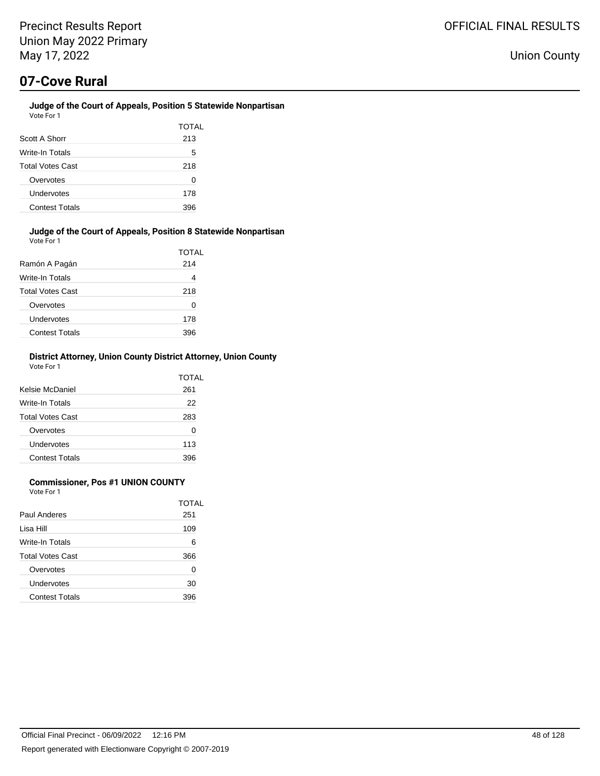### **Judge of the Court of Appeals, Position 5 Statewide Nonpartisan** Vote For 1

| Scott A Shorr           | TOTAL<br>213 |
|-------------------------|--------------|
| Write-In Totals         | 5            |
| <b>Total Votes Cast</b> | 218          |
| Overvotes               | O            |
| Undervotes              | 178          |
| <b>Contest Totals</b>   | 396          |

#### **Judge of the Court of Appeals, Position 8 Statewide Nonpartisan** Vote For 1

| Ramón A Pagán           | TOTAL<br>214 |
|-------------------------|--------------|
| Write-In Totals         | 4            |
| <b>Total Votes Cast</b> | 218          |
| Overvotes               | 0            |
| Undervotes              | 178          |
| <b>Contest Totals</b>   | 396          |

### **District Attorney, Union County District Attorney, Union County** Vote For 1

| Kelsie McDaniel         | TOTAL<br>261 |
|-------------------------|--------------|
| Write-In Totals         | 22           |
| <b>Total Votes Cast</b> | 283          |
| Overvotes               | 0            |
| Undervotes              | 113          |
| <b>Contest Totals</b>   | 396          |

### **Commissioner, Pos #1 UNION COUNTY**

Vote For 1

|                         | TOTAL |
|-------------------------|-------|
| Paul Anderes            | 251   |
| Lisa Hill               | 109   |
| Write-In Totals         | 6     |
| <b>Total Votes Cast</b> | 366   |
| Overvotes               | ∩     |
| Undervotes              | 30    |
| <b>Contest Totals</b>   | 396   |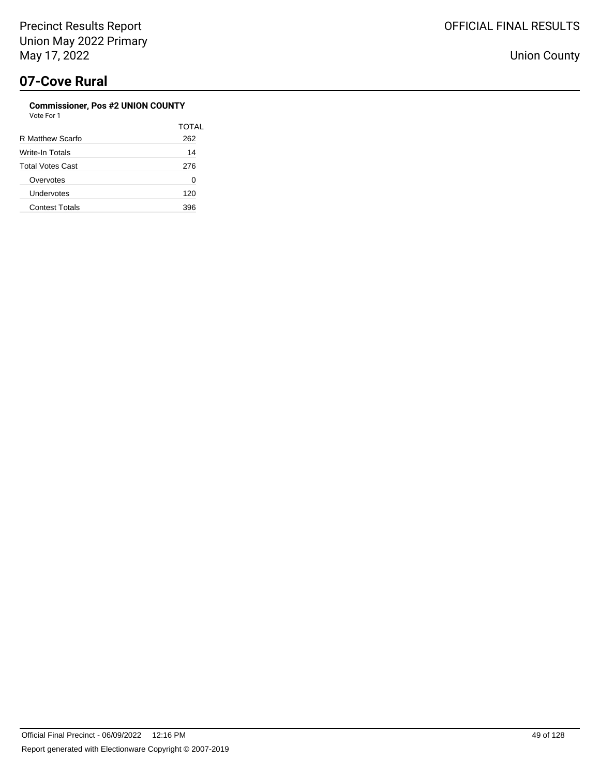### **Commissioner, Pos #2 UNION COUNTY** Vote For 1

| , , , , , , , , ,       |       |
|-------------------------|-------|
|                         | TOTAL |
| R Matthew Scarfo        | 262   |
| Write-In Totals         | 14    |
| <b>Total Votes Cast</b> | 276   |
| Overvotes               | 0     |
| Undervotes              | 120   |
| <b>Contest Totals</b>   | 396   |
|                         |       |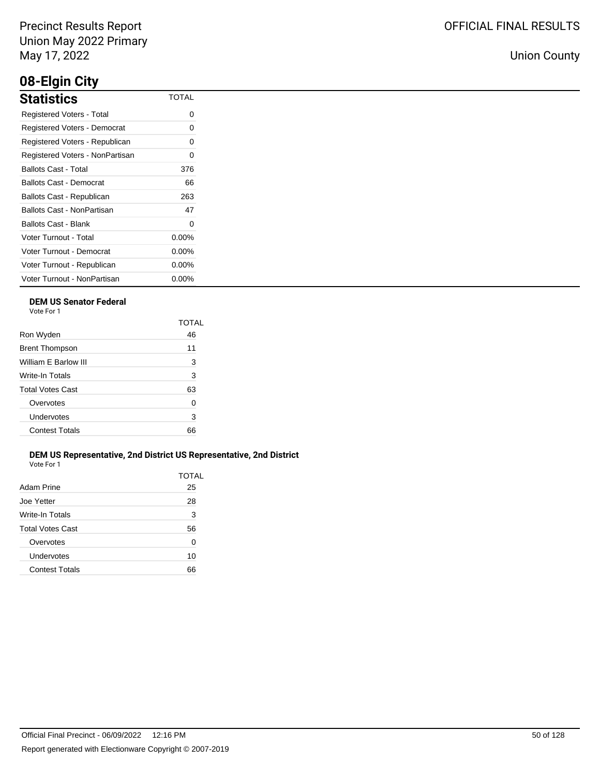## **08-Elgin City**

| <b>Statistics</b>               | <b>TOTAL</b> |
|---------------------------------|--------------|
| Registered Voters - Total       | 0            |
| Registered Voters - Democrat    | 0            |
| Registered Voters - Republican  | 0            |
| Registered Voters - NonPartisan | O            |
| <b>Ballots Cast - Total</b>     | 376          |
| Ballots Cast - Democrat         | 66           |
| Ballots Cast - Republican       | 263          |
| Ballots Cast - NonPartisan      | 47           |
| Ballots Cast - Blank            | 0            |
| Voter Turnout - Total           | $0.00\%$     |
| Voter Turnout - Democrat        | $0.00\%$     |
| Voter Turnout - Republican      | $0.00\%$     |
| Voter Turnout - NonPartisan     | $0.00\%$     |

### **DEM US Senator Federal**

Vote For 1

|                         | TOTAL |
|-------------------------|-------|
| Ron Wyden               | 46    |
| <b>Brent Thompson</b>   | 11    |
| William E Barlow III    | 3     |
| Write-In Totals         | 3     |
| <b>Total Votes Cast</b> | 63    |
| Overvotes               | 0     |
| Undervotes              | 3     |
| <b>Contest Totals</b>   | 66    |
|                         |       |

### **DEM US Representative, 2nd District US Representative, 2nd District** Vote For 1

| Adam Prine            | TOTAL<br>25 |
|-----------------------|-------------|
| Joe Yetter            | 28          |
| Write-In Totals       | 3           |
| Total Votes Cast      | 56          |
| Overvotes             | 0           |
| Undervotes            | 10          |
| <b>Contest Totals</b> | 66          |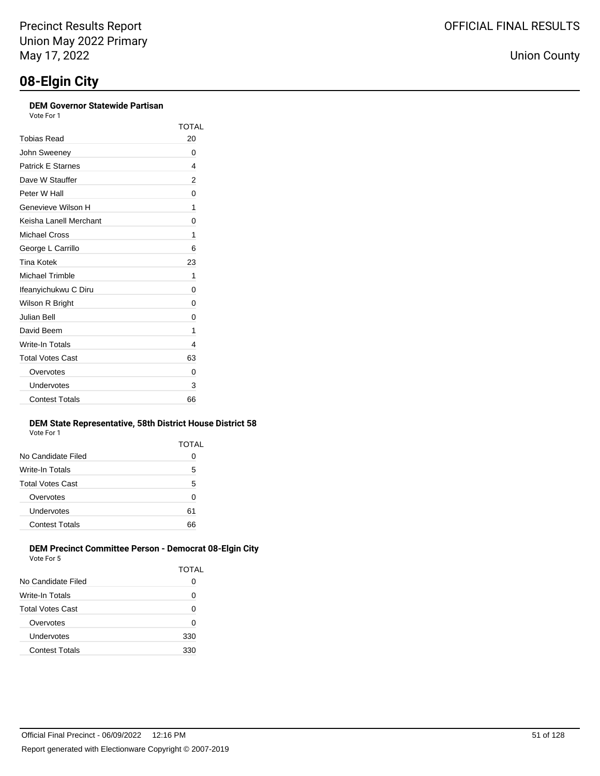### **DEM Governor Statewide Partisan**

| Vote For 1 |  |
|------------|--|
|            |  |

|                          | <b>TOTAL</b> |
|--------------------------|--------------|
| Tobias Read              | 20           |
| John Sweeney             | 0            |
| <b>Patrick E Starnes</b> | 4            |
| Dave W Stauffer          | 2            |
| Peter W Hall             | 0            |
| Genevieve Wilson H       | 1            |
| Keisha Lanell Merchant   | 0            |
| Michael Cross            | 1            |
| George L Carrillo        | 6            |
| Tina Kotek               | 23           |
| Michael Trimble          | 1            |
| Ifeanyichukwu C Diru     | 0            |
| Wilson R Bright          | 0            |
| Julian Bell              | 0            |
| David Beem               | 1            |
| Write-In Totals          | 4            |
| <b>Total Votes Cast</b>  | 63           |
| Overvotes                | 0            |
| Undervotes               | 3            |
| <b>Contest Totals</b>    | 66           |

#### **DEM State Representative, 58th District House District 58** Vote For 1

|                       | TOTAL |
|-----------------------|-------|
| No Candidate Filed    | 0     |
| Write-In Totals       | 5     |
| Total Votes Cast      | 5     |
| Overvotes             | 0     |
| Undervotes            | 61    |
| <b>Contest Totals</b> | 66    |

### **DEM Precinct Committee Person - Democrat 08-Elgin City** Vote For 5

|                       | <b>TOTAL</b> |
|-----------------------|--------------|
| No Candidate Filed    | 0            |
| Write-In Totals       | 0            |
| Total Votes Cast      | 0            |
| Overvotes             | 0            |
| Undervotes            | 330          |
| <b>Contest Totals</b> | 330          |
|                       |              |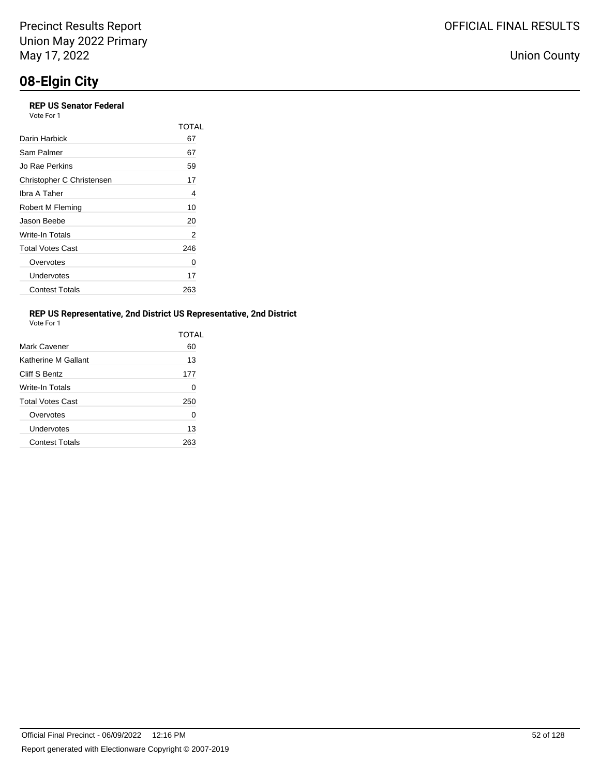## **08-Elgin City**

### **REP US Senator Federal** Vote For 1

|                           | TOTAL |
|---------------------------|-------|
| Darin Harbick             | 67    |
| Sam Palmer                | 67    |
| Jo Rae Perkins            | 59    |
| Christopher C Christensen | 17    |
| Ibra A Taher              | 4     |
| Robert M Fleming          | 10    |
| Jason Beebe               | 20    |
| Write-In Totals           | 2     |
| <b>Total Votes Cast</b>   | 246   |
| Overvotes                 | 0     |
| Undervotes                | 17    |
| <b>Contest Totals</b>     | 263   |

### **REP US Representative, 2nd District US Representative, 2nd District**

| Vote For |  |
|----------|--|
|          |  |

|                         | TOTAI |
|-------------------------|-------|
| Mark Cavener            | 60    |
| Katherine M Gallant     | 13    |
| Cliff S Bentz           | 177   |
| Write-In Totals         | 0     |
| <b>Total Votes Cast</b> | 250   |
| Overvotes               | 0     |
| Undervotes              | 13    |
| <b>Contest Totals</b>   |       |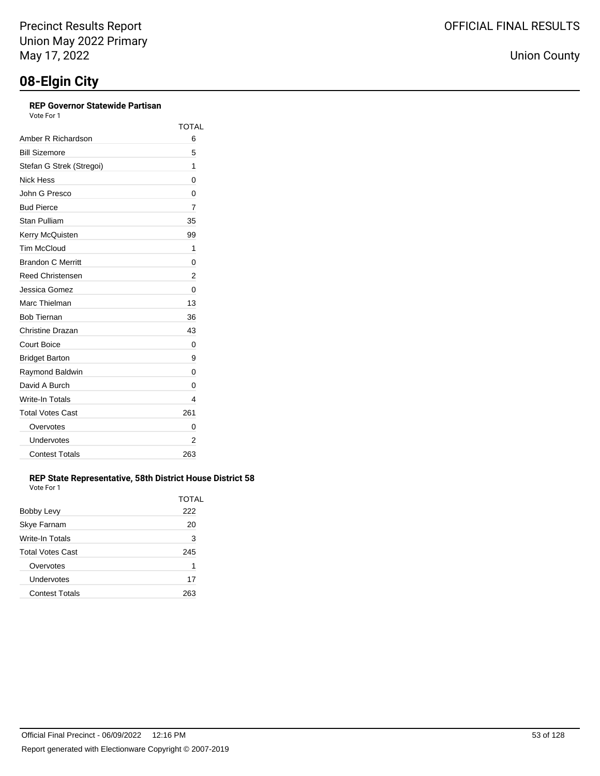### **REP Governor Statewide Partisan**

Vote For 1

|                          | <b>TOTAL</b> |
|--------------------------|--------------|
| Amber R Richardson       | 6            |
| <b>Bill Sizemore</b>     | 5            |
| Stefan G Strek (Stregoi) | 1            |
| Nick Hess                | 0            |
| John G Presco            | 0            |
| <b>Bud Pierce</b>        | 7            |
| Stan Pulliam             | 35           |
| Kerry McQuisten          | 99           |
| <b>Tim McCloud</b>       | 1            |
| <b>Brandon C Merritt</b> | 0            |
| <b>Reed Christensen</b>  | 2            |
| Jessica Gomez            | 0            |
| Marc Thielman            | 13           |
| <b>Bob Tiernan</b>       | 36           |
| Christine Drazan         | 43           |
| <b>Court Boice</b>       | 0            |
| <b>Bridget Barton</b>    | 9            |
| Raymond Baldwin          | 0            |
| David A Burch            | 0            |
| Write-In Totals          | 4            |
| <b>Total Votes Cast</b>  | 261          |
| Overvotes                | 0            |
| Undervotes               | 2            |
| <b>Contest Totals</b>    | 263          |

### **REP State Representative, 58th District House District 58** Vote For 1

|                         | TOTAL |
|-------------------------|-------|
| Bobby Levy              | 222   |
| Skye Farnam             | 20    |
| Write-In Totals         | 3     |
| <b>Total Votes Cast</b> | 245   |
| Overvotes               | 1     |
| Undervotes              | 17    |
| <b>Contest Totals</b>   |       |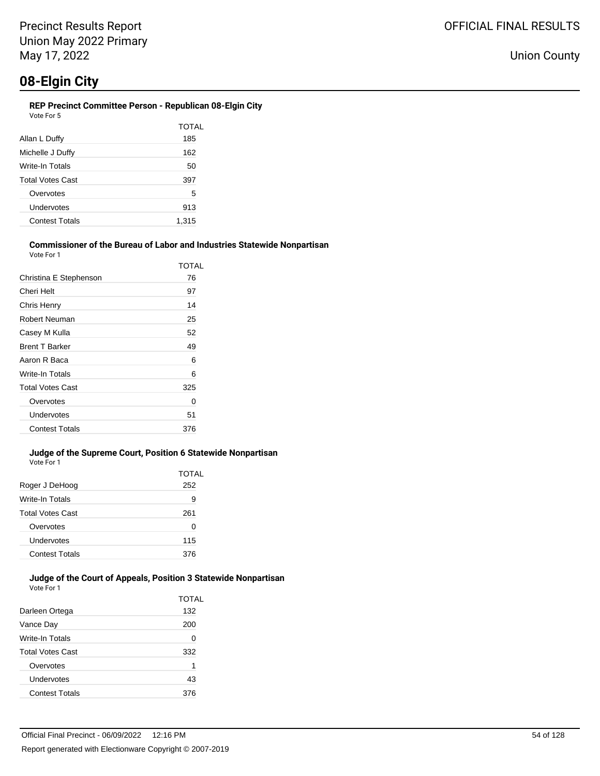### **REP Precinct Committee Person - Republican 08-Elgin City** Vote For 5

|                         | TOTAL |
|-------------------------|-------|
| Allan L Duffy           | 185   |
| Michelle J Duffy        | 162   |
| Write-In Totals         | 50    |
| <b>Total Votes Cast</b> | 397   |
| Overvotes               | 5     |
| Undervotes              | 913   |
| <b>Contest Totals</b>   | 1,315 |
|                         |       |

#### **Commissioner of the Bureau of Labor and Industries Statewide Nonpartisan** Vote For 1

|                         | TOTAL |
|-------------------------|-------|
| Christina E Stephenson  | 76    |
| Cheri Helt              | 97    |
| Chris Henry             | 14    |
| Robert Neuman           | 25    |
| Casey M Kulla           | 52    |
| <b>Brent T Barker</b>   | 49    |
| Aaron R Baca            | 6     |
| Write-In Totals         | 6     |
| <b>Total Votes Cast</b> | 325   |
| Overvotes               | 0     |
| Undervotes              | 51    |
| <b>Contest Totals</b>   | 376   |

### **Judge of the Supreme Court, Position 6 Statewide Nonpartisan** Vote For 1

| Roger J DeHoog          | TOTAL<br>252 |
|-------------------------|--------------|
| Write-In Totals         | 9            |
| <b>Total Votes Cast</b> | 261          |
| Overvotes               | 0            |
| Undervotes              | 115          |
| <b>Contest Totals</b>   | 376          |

### **Judge of the Court of Appeals, Position 3 Statewide Nonpartisan** Vote For 1

|                         | TOTAL |
|-------------------------|-------|
| Darleen Ortega          | 132   |
| Vance Day               | 200   |
| Write-In Totals         | 0     |
| <b>Total Votes Cast</b> | 332   |
| Overvotes               | 1     |
| Undervotes              | 43    |
| <b>Contest Totals</b>   | 376   |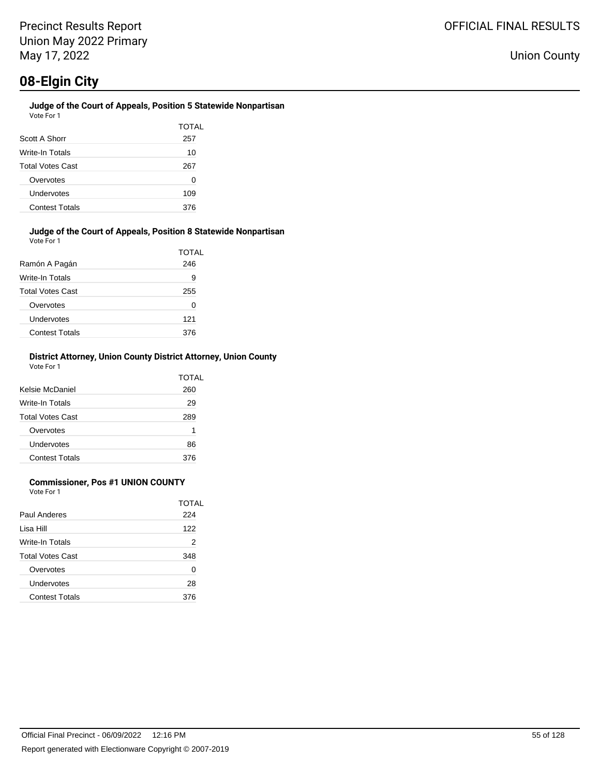### **Judge of the Court of Appeals, Position 5 Statewide Nonpartisan** Vote For 1

| Scott A Shorr           | TOTAL<br>257 |
|-------------------------|--------------|
| Write-In Totals         | 10           |
| <b>Total Votes Cast</b> | 267          |
| Overvotes               | O            |
| Undervotes              | 109          |
| <b>Contest Totals</b>   | 376          |

### **Judge of the Court of Appeals, Position 8 Statewide Nonpartisan** Vote For 1

| Ramón A Pagán           | TOTAL<br>246 |
|-------------------------|--------------|
|                         |              |
| Write-In Totals         | 9            |
| <b>Total Votes Cast</b> | 255          |
| Overvotes               | 0            |
| Undervotes              | 121          |
| <b>Contest Totals</b>   | 376          |

### **District Attorney, Union County District Attorney, Union County** Vote For 1

| Kelsie McDaniel         | TOTAL<br>260 |
|-------------------------|--------------|
| Write-In Totals         | 29           |
| <b>Total Votes Cast</b> | 289          |
| Overvotes               | 1            |
| <b>Undervotes</b>       | 86           |
| <b>Contest Totals</b>   | 376          |

### **Commissioner, Pos #1 UNION COUNTY**

Vote For 1

|                         | TOTAL |
|-------------------------|-------|
| Paul Anderes            | 224   |
| Lisa Hill               | 122   |
| Write-In Totals         | 2     |
| <b>Total Votes Cast</b> | 348   |
| Overvotes               | ∩     |
| Undervotes              | 28    |
| <b>Contest Totals</b>   | 376   |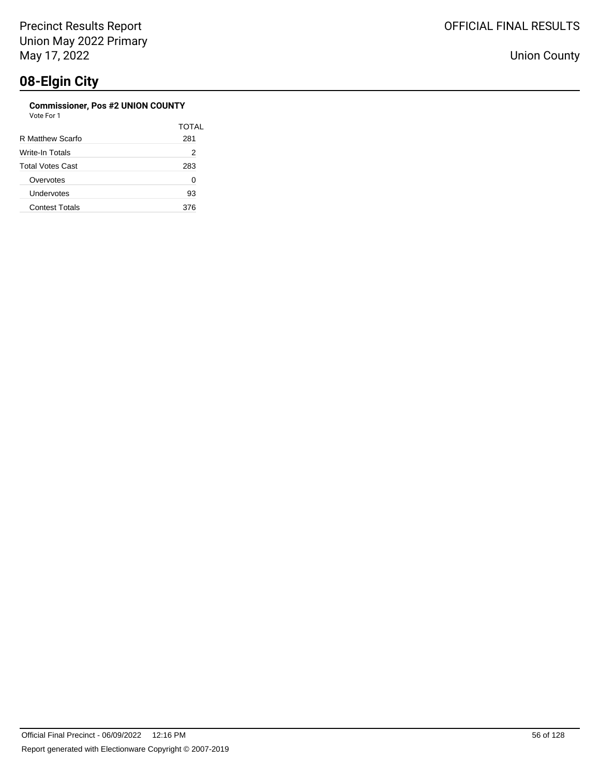### **Commissioner, Pos #2 UNION COUNTY**

| Vote For 1 |  |
|------------|--|
|            |  |

|                         | TOTAL |
|-------------------------|-------|
| R Matthew Scarfo        | 281   |
| Write-In Totals         | 2     |
| <b>Total Votes Cast</b> | 283   |
| Overvotes               | 0     |
| Undervotes              | 93    |
| <b>Contest Totals</b>   | 376   |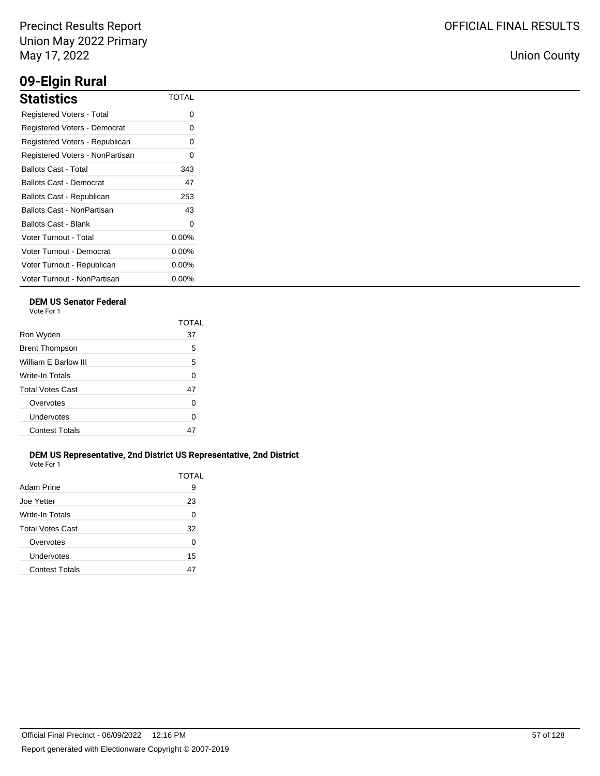### **09-Elgin Rural**

| <b>Statistics</b>               | <b>TOTAL</b> |
|---------------------------------|--------------|
| Registered Voters - Total       | 0            |
| Registered Voters - Democrat    | 0            |
| Registered Voters - Republican  | 0            |
| Registered Voters - NonPartisan | 0            |
| Ballots Cast - Total            | 343          |
| Ballots Cast - Democrat         | 47           |
| Ballots Cast - Republican       | 253          |
| Ballots Cast - NonPartisan      | 43           |
| Ballots Cast - Blank            | 0            |
| Voter Turnout - Total           | $0.00\%$     |
| Voter Turnout - Democrat        | $0.00\%$     |
| Voter Turnout - Republican      | $0.00\%$     |
| Voter Turnout - NonPartisan     | $0.00\%$     |

### **DEM US Senator Federal**

Vote For 1

|                         | TOTAL |
|-------------------------|-------|
| Ron Wyden               | 37    |
| <b>Brent Thompson</b>   | 5     |
| William F Barlow III    | 5     |
| Write-In Totals         | 0     |
| <b>Total Votes Cast</b> | 47    |
| Overvotes               | 0     |
| Undervotes              | 0     |
| <b>Contest Totals</b>   |       |
|                         |       |

### **DEM US Representative, 2nd District US Representative, 2nd District** Vote For 1

| Adam Prine              | TOTAL<br>9 |
|-------------------------|------------|
| Joe Yetter              | 23         |
| Write-In Totals         | 0          |
| <b>Total Votes Cast</b> | 32         |
| Overvotes               | 0          |
| Undervotes              | 15         |
| <b>Contest Totals</b>   | 47         |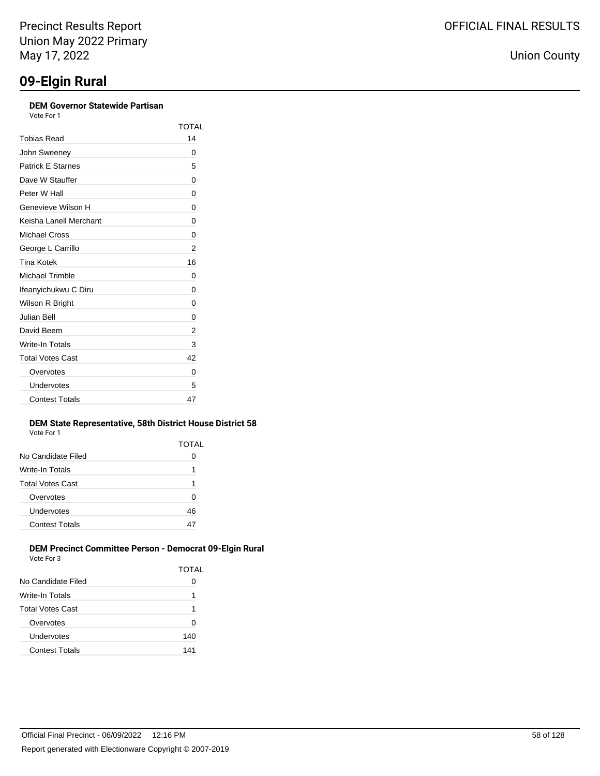### **DEM Governor Statewide Partisan**

| Vote For 1 |  |
|------------|--|
|            |  |

|                          | TOTAL |
|--------------------------|-------|
| Tobias Read              | 14    |
| John Sweeney             | 0     |
| <b>Patrick E Starnes</b> | 5     |
| Dave W Stauffer          | 0     |
| Peter W Hall             | 0     |
| Genevieve Wilson H       | 0     |
| Keisha I anell Merchant  | 0     |
| Michael Cross            | 0     |
| George L Carrillo        | 2     |
| <b>Tina Kotek</b>        | 16    |
| <b>Michael Trimble</b>   | 0     |
| Ifeanyichukwu C Diru     | 0     |
| Wilson R Bright          | 0     |
| Julian Bell              | 0     |
| David Beem               | 2     |
| Write-In Totals          | 3     |
| <b>Total Votes Cast</b>  | 42    |
| Overvotes                | 0     |
| Undervotes               | 5     |
| <b>Contest Totals</b>    | 47    |

### **DEM State Representative, 58th District House District 58** Vote For 1

|                       | TOTAL |
|-----------------------|-------|
| No Candidate Filed    | 0     |
| Write-In Totals       | 1     |
| Total Votes Cast      | 1     |
| Overvotes             | 0     |
| Undervotes            | 46    |
| <b>Contest Totals</b> | 47    |
|                       |       |

### **DEM Precinct Committee Person - Democrat 09-Elgin Rural** Vote For 3

|                         | TOTAL |
|-------------------------|-------|
| No Candidate Filed      | 0     |
| Write-In Totals         | 1     |
| <b>Total Votes Cast</b> | 1     |
| Overvotes               | 0     |
| Undervotes              | 140   |
| <b>Contest Totals</b>   | 141   |
|                         |       |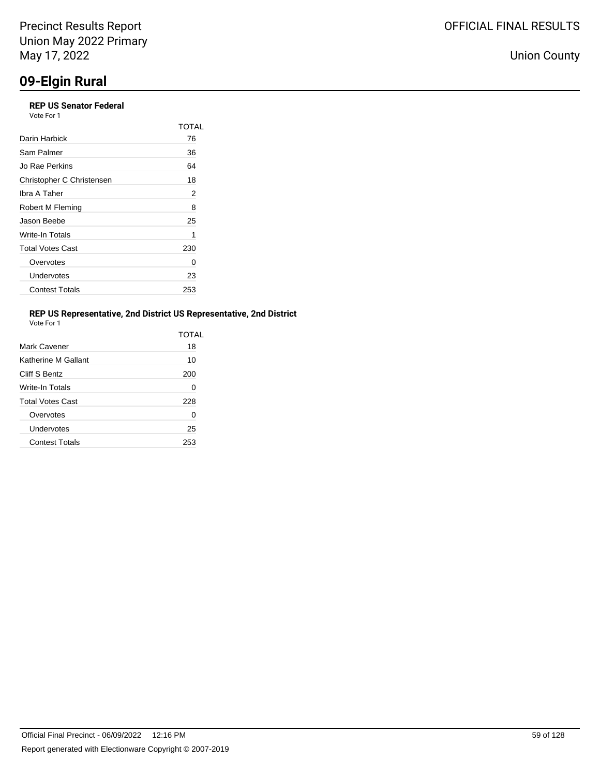## **09-Elgin Rural**

| <b>REP US Senator Federal</b><br>Vote For 1 |       |
|---------------------------------------------|-------|
|                                             | TOTAI |
| Darin Harbick                               | 76    |
| Sam Palmer                                  | 36    |
| Jo Rae Perkins                              | 64    |
| Christopher C Christensen                   | 18    |
| Ibra A Taher                                | 2     |
| Robert M Fleming                            | 8     |
| Jason Beebe                                 | 25    |
| Write-In Totals                             | 1     |
| <b>Total Votes Cast</b>                     | 230   |
| Overvotes                                   | O     |
| Undervotes                                  | 23    |
| <b>Contest Totals</b>                       | 253   |

### **REP US Representative, 2nd District US Representative, 2nd District**

| Vote For |  |
|----------|--|
|          |  |

|                         | TOTAI |
|-------------------------|-------|
| Mark Cavener            | 18    |
| Katherine M Gallant     | 10    |
| Cliff S Bentz           | 200   |
| Write-In Totals         | 0     |
| <b>Total Votes Cast</b> | 228   |
| Overvotes               | 0     |
| Undervotes              | 25    |
| <b>Contest Totals</b>   | 253   |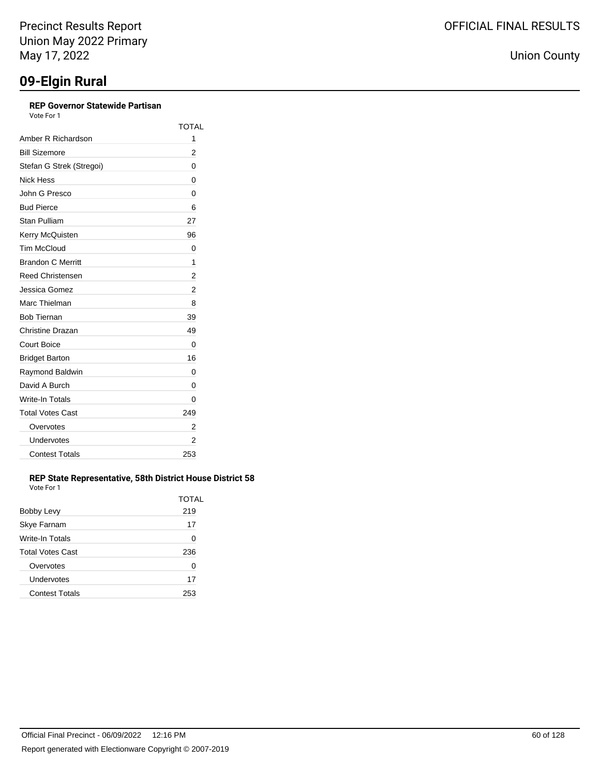### **REP Governor Statewide Partisan**

Vote For 1

|                          | <b>TOTAL</b> |
|--------------------------|--------------|
| Amber R Richardson       | 1            |
| <b>Bill Sizemore</b>     | 2            |
| Stefan G Strek (Stregoi) | 0            |
| Nick Hess                | 0            |
| John G Presco            | 0            |
| <b>Bud Pierce</b>        | 6            |
| Stan Pulliam             | 27           |
| Kerry McQuisten          | 96           |
| <b>Tim McCloud</b>       | 0            |
| <b>Brandon C Merritt</b> | 1            |
| <b>Reed Christensen</b>  | 2            |
| Jessica Gomez            | 2            |
| Marc Thielman            | 8            |
| <b>Bob Tiernan</b>       | 39           |
| Christine Drazan         | 49           |
| <b>Court Boice</b>       | 0            |
| <b>Bridget Barton</b>    | 16           |
| Raymond Baldwin          | 0            |
| David A Burch            | 0            |
| Write-In Totals          | 0            |
| <b>Total Votes Cast</b>  | 249          |
| Overvotes                | 2            |
| Undervotes               | 2            |
| <b>Contest Totals</b>    | 253          |

### **REP State Representative, 58th District House District 58** Vote For 1

|                         | TOTAL |
|-------------------------|-------|
| Bobby Levy              | 219   |
| Skye Farnam             | 17    |
| Write-In Totals         | 0     |
| <b>Total Votes Cast</b> | 236   |
| Overvotes               | 0     |
| Undervotes              | 17    |
| <b>Contest Totals</b>   | 253   |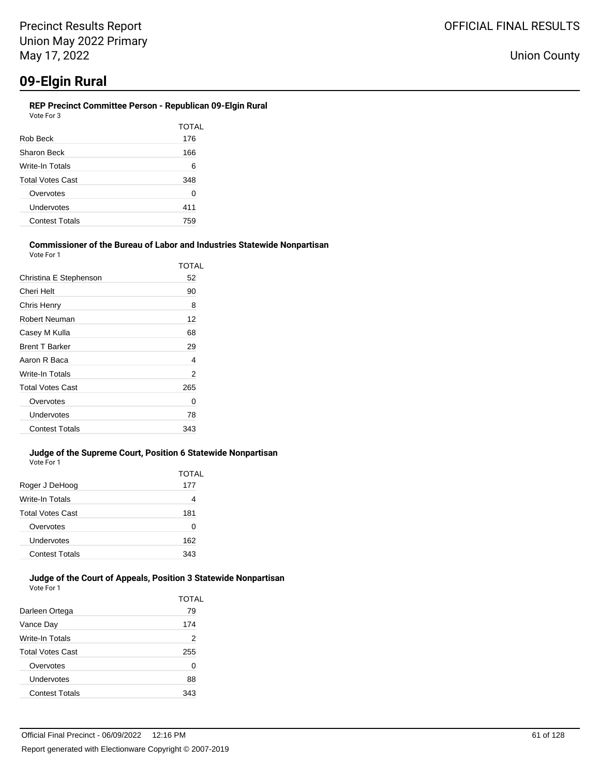### **REP Precinct Committee Person - Republican 09-Elgin Rural**

| TOTAL |  |
|-------|--|
| 176   |  |
| 166   |  |
| 6     |  |
| 348   |  |
| 0     |  |
| 411   |  |
| 759   |  |
|       |  |

#### **Commissioner of the Bureau of Labor and Industries Statewide Nonpartisan** Vote For 1

| Christina E Stephenson<br>52<br>Cheri Helt<br>90<br>Chris Henry<br>8<br>Robert Neuman<br>12<br>Casey M Kulla<br>68<br><b>Brent T Barker</b><br>29<br>Aaron R Baca<br>4<br>Write-In Totals<br>2<br><b>Total Votes Cast</b><br>265<br>Overvotes<br>Ω<br>Undervotes<br>78<br><b>Contest Totals</b><br>343 | TOTAL |
|--------------------------------------------------------------------------------------------------------------------------------------------------------------------------------------------------------------------------------------------------------------------------------------------------------|-------|
|                                                                                                                                                                                                                                                                                                        |       |
|                                                                                                                                                                                                                                                                                                        |       |
|                                                                                                                                                                                                                                                                                                        |       |
|                                                                                                                                                                                                                                                                                                        |       |
|                                                                                                                                                                                                                                                                                                        |       |
|                                                                                                                                                                                                                                                                                                        |       |
|                                                                                                                                                                                                                                                                                                        |       |
|                                                                                                                                                                                                                                                                                                        |       |
|                                                                                                                                                                                                                                                                                                        |       |
|                                                                                                                                                                                                                                                                                                        |       |
|                                                                                                                                                                                                                                                                                                        |       |
|                                                                                                                                                                                                                                                                                                        |       |

#### **Judge of the Supreme Court, Position 6 Statewide Nonpartisan** Vote For 1

|                         | <b>TOTAL</b> |
|-------------------------|--------------|
| Roger J DeHoog          | 177          |
| Write-In Totals         | 4            |
| <b>Total Votes Cast</b> | 181          |
| Overvotes               | 0            |
| Undervotes              | 162          |
| <b>Contest Totals</b>   | 343          |

#### **Judge of the Court of Appeals, Position 3 Statewide Nonpartisan** Vote For 1

| Darleen Ortega          | TOTAL<br>79 |
|-------------------------|-------------|
| Vance Day               | 174         |
| Write-In Totals         | 2           |
| <b>Total Votes Cast</b> | 255         |
| Overvotes               | 0           |
| Undervotes              | 88          |
| <b>Contest Totals</b>   | 343         |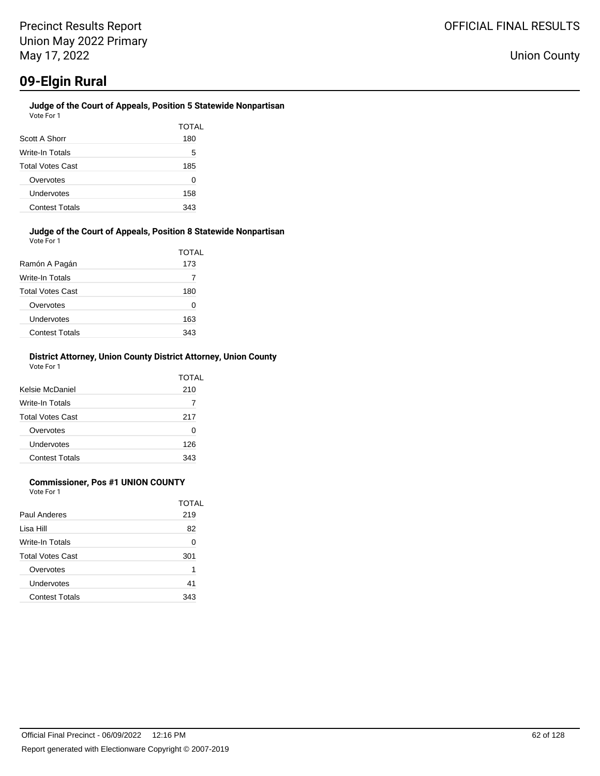#### **Judge of the Court of Appeals, Position 5 Statewide Nonpartisan** Vote For 1

|                         | TOTAL |
|-------------------------|-------|
| Scott A Shorr           | 180   |
| Write-In Totals         | 5     |
| <b>Total Votes Cast</b> | 185   |
| Overvotes               | O     |
| Undervotes              | 158   |
| <b>Contest Totals</b>   | 343   |

### **Judge of the Court of Appeals, Position 8 Statewide Nonpartisan** Vote For 1

| Ramón A Pagán           | TOTAL<br>173 |
|-------------------------|--------------|
| Write-In Totals         |              |
| <b>Total Votes Cast</b> | 180          |
| Overvotes               | 0            |
| Undervotes              | 163          |
| <b>Contest Totals</b>   | 343          |

### **District Attorney, Union County District Attorney, Union County** Vote For 1

| Kelsie McDaniel         | TOTAL<br>210 |
|-------------------------|--------------|
| Write-In Totals         |              |
| <b>Total Votes Cast</b> | 217          |
| Overvotes               | 0            |
| <b>Undervotes</b>       | 126          |
| <b>Contest Totals</b>   | 343          |

### **Commissioner, Pos #1 UNION COUNTY**

Vote For 1

|                         | TOTAL |
|-------------------------|-------|
| Paul Anderes            | 219   |
| Lisa Hill               | 82    |
| Write-In Totals         | 0     |
| <b>Total Votes Cast</b> | 301   |
| Overvotes               | 1     |
| Undervotes              | 41    |
| <b>Contest Totals</b>   | 343   |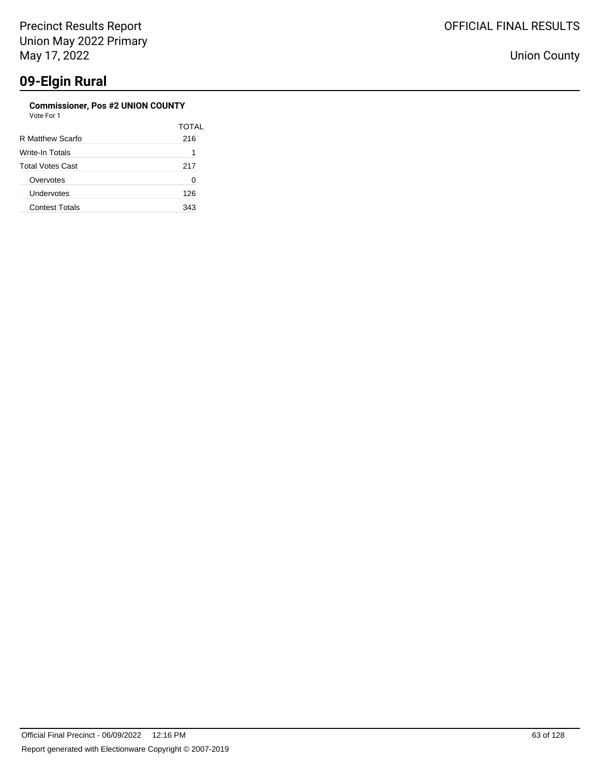#### **Commissioner, Pos #2 UNION COUNTY** Vote For 1

| vue rui i               |       |
|-------------------------|-------|
|                         | TOTAL |
| R Matthew Scarfo        | 216   |
| Write-In Totals         | 1     |
| <b>Total Votes Cast</b> | 217   |
| Overvotes               | 0     |
| Undervotes              | 126   |
| <b>Contest Totals</b>   | 343   |
|                         |       |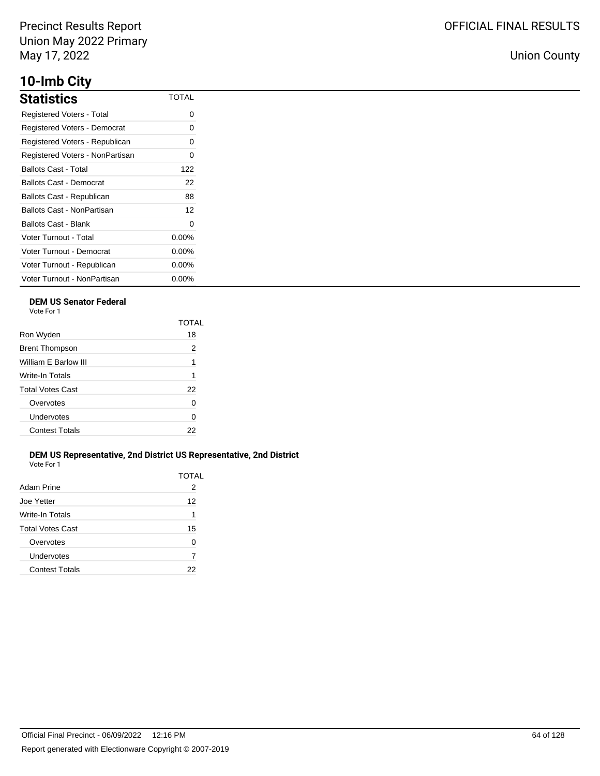## **10-Imb City**

| <b>Statistics</b>               | <b>TOTAL</b> |
|---------------------------------|--------------|
| Registered Voters - Total       | ი            |
| Registered Voters - Democrat    | 0            |
| Registered Voters - Republican  | 0            |
| Registered Voters - NonPartisan | ი            |
| <b>Ballots Cast - Total</b>     | 122          |
| Ballots Cast - Democrat         | 22           |
| Ballots Cast - Republican       | 88           |
| Ballots Cast - NonPartisan      | 12           |
| Ballots Cast - Blank            | 0            |
| Voter Turnout - Total           | $0.00\%$     |
| Voter Turnout - Democrat        | $0.00\%$     |
| Voter Turnout - Republican      | $0.00\%$     |
| Voter Turnout - NonPartisan     | $0.00\%$     |

### **DEM US Senator Federal**

Vote For 1

|                         | TOTAI |
|-------------------------|-------|
| Ron Wyden               | 18    |
| <b>Brent Thompson</b>   | 2     |
| William E Barlow III    | 1     |
| Write-In Totals         | 1     |
| <b>Total Votes Cast</b> | 22    |
| Overvotes               | 0     |
| Undervotes              | 0     |
| <b>Contest Totals</b>   | 22    |
|                         |       |

### **DEM US Representative, 2nd District US Representative, 2nd District** Vote For 1

| Adam Prine              | TOTAL<br>2 |
|-------------------------|------------|
|                         |            |
| Joe Yetter              | 12         |
| <b>Write-In Totals</b>  | 1          |
| <b>Total Votes Cast</b> | 15         |
| Overvotes               | U          |
| Undervotes              | 7          |
| <b>Contest Totals</b>   | 22         |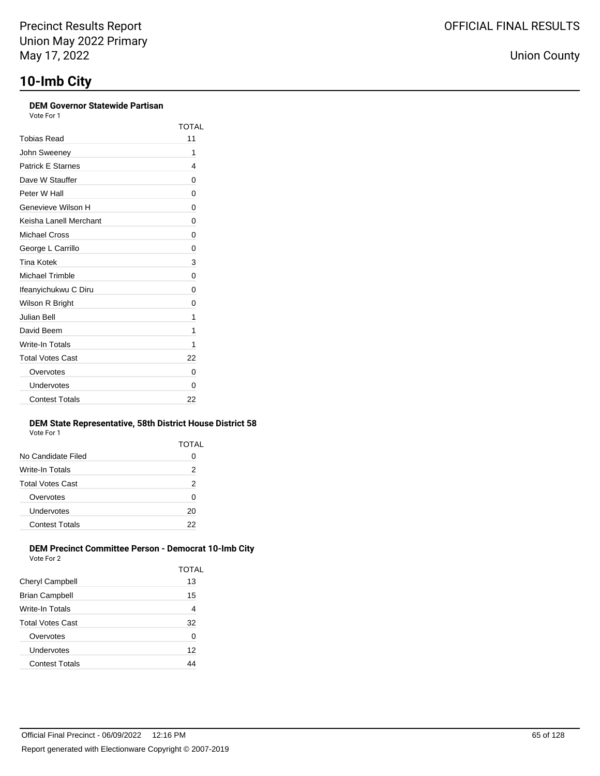### **DEM Governor Statewide Partisan**

Vote For 1

|                          | TOTAL |
|--------------------------|-------|
| Tobias Read              | 11    |
| John Sweeney             | 1     |
| <b>Patrick E Starnes</b> | 4     |
| Dave W Stauffer          | 0     |
| Peter W Hall             | 0     |
| Genevieve Wilson H       | 0     |
| Keisha Lanell Merchant   | 0     |
| Michael Cross            | 0     |
| George L Carrillo        | 0     |
| <b>Tina Kotek</b>        | 3     |
| Michael Trimble          | 0     |
| Ifeanyichukwu C Diru     | 0     |
| Wilson R Bright          | 0     |
| Julian Bell              | 1     |
| David Beem               | 1     |
| Write-In Totals          | 1     |
| <b>Total Votes Cast</b>  | 22    |
| Overvotes                | 0     |
| Undervotes               | 0     |
| <b>Contest Totals</b>    | 22    |

### **DEM State Representative, 58th District House District 58** Vote For 1

|                       | TOTAL |
|-----------------------|-------|
| No Candidate Filed    | O     |
| Write-In Totals       | 2     |
| Total Votes Cast      | 2     |
| Overvotes             | 0     |
| Undervotes            | 20    |
| <b>Contest Totals</b> | 22    |
|                       |       |

#### **DEM Precinct Committee Person - Democrat 10-Imb City** Vote For 2

| VULTE FUILLE          |       |
|-----------------------|-------|
|                       | TOTAL |
| Cheryl Campbell       | 13    |
| Brian Campbell        | 15    |
| Write-In Totals       | 4     |
| Total Votes Cast      | 32    |
| Overvotes             | 0     |
| Undervotes            | 12    |
| <b>Contest Totals</b> | 44    |
|                       |       |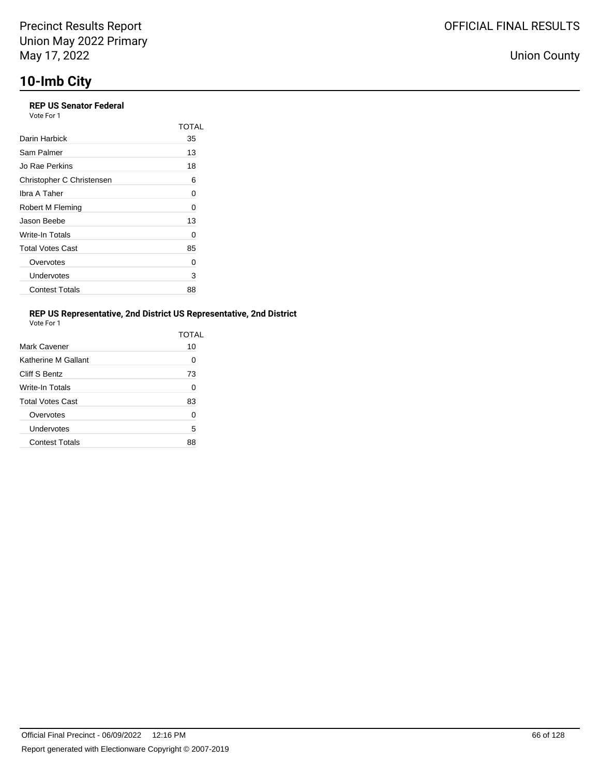### **REP US Senator Federal**

| Vote For 1 |  |
|------------|--|
|------------|--|

|                           | TOTAI |
|---------------------------|-------|
| Darin Harbick             | 35    |
| Sam Palmer                | 13    |
| Jo Rae Perkins            | 18    |
| Christopher C Christensen | 6     |
| Ibra A Taher              | 0     |
| Robert M Fleming          | 0     |
| Jason Beebe               | 13    |
| Write-In Totals           | 0     |
| <b>Total Votes Cast</b>   | 85    |
| Overvotes                 | 0     |
| Undervotes                | 3     |
| <b>Contest Totals</b>     | 88    |

### **REP US Representative, 2nd District US Representative, 2nd District**

| Vote For 1 |  |
|------------|--|
|            |  |

|                         | TOTAI |
|-------------------------|-------|
| Mark Cavener            | 10    |
| Katherine M Gallant     | 0     |
| Cliff S Bentz           | 73    |
| <b>Write-In Totals</b>  | 0     |
| <b>Total Votes Cast</b> | 83    |
| Overvotes               | ∩     |
| Undervotes              | 5     |
| <b>Contest Totals</b>   | 88    |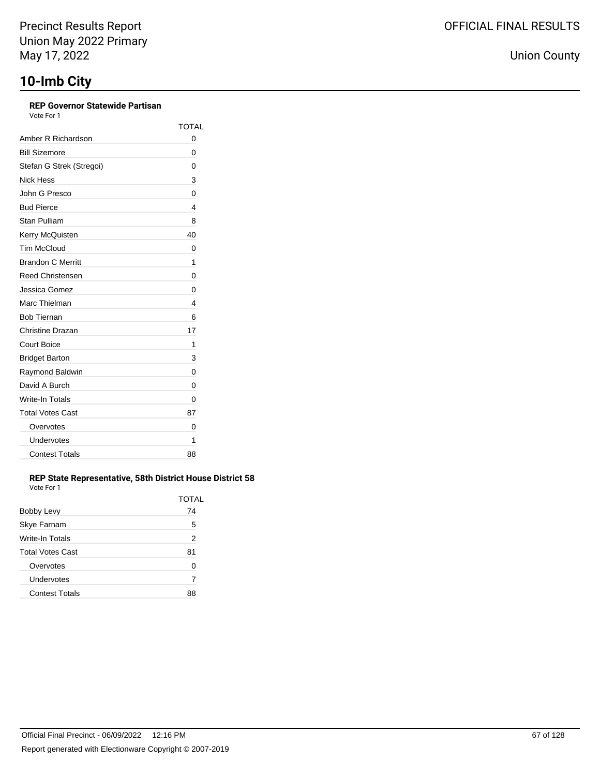### **REP Governor Statewide Partisan**

Vote For 1

|                          | <b>TOTAL</b> |
|--------------------------|--------------|
| Amber R Richardson       | 0            |
| <b>Bill Sizemore</b>     | 0            |
| Stefan G Strek (Stregoi) | 0            |
| Nick Hess                | 3            |
| John G Presco            | 0            |
| <b>Bud Pierce</b>        | 4            |
| Stan Pulliam             | 8            |
| Kerry McQuisten          | 40           |
| <b>Tim McCloud</b>       | 0            |
| <b>Brandon C Merritt</b> | 1            |
| <b>Reed Christensen</b>  | 0            |
| Jessica Gomez            | 0            |
| Marc Thielman            | 4            |
| <b>Bob Tiernan</b>       | 6            |
| Christine Drazan         | 17           |
| <b>Court Boice</b>       | 1            |
| <b>Bridget Barton</b>    | 3            |
| Raymond Baldwin          | 0            |
| David A Burch            | 0            |
| Write-In Totals          | 0            |
| <b>Total Votes Cast</b>  | 87           |
| Overvotes                | 0            |
| Undervotes               | 1            |
| <b>Contest Totals</b>    | 88           |

### **REP State Representative, 58th District House District 58** Vote For 1

| Bobby Levy              | TOTAL<br>74 |
|-------------------------|-------------|
| Skye Farnam             | 5           |
| Write-In Totals         | 2           |
| <b>Total Votes Cast</b> | 81          |
| Overvotes               | O           |
| Undervotes              | 7           |
| <b>Contest Totals</b>   |             |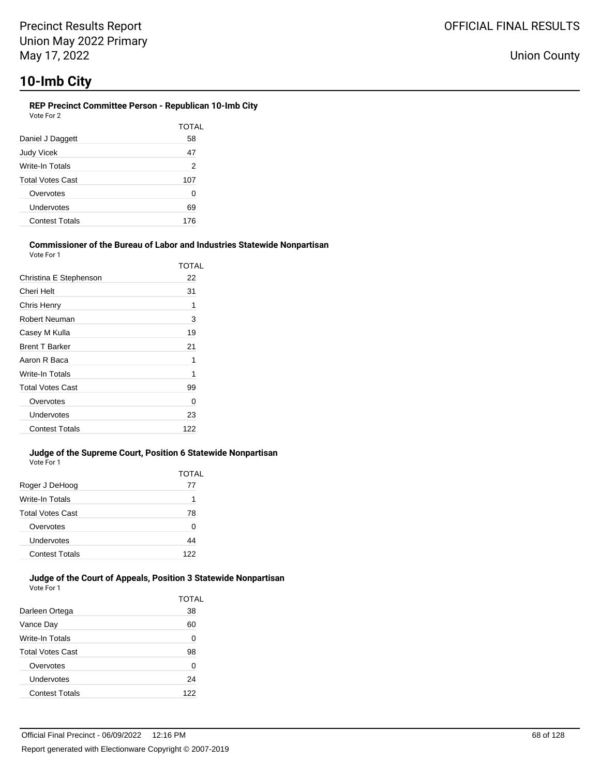#### **REP Precinct Committee Person - Republican 10-Imb City** Vote For 2

|                         | TOTAL          |
|-------------------------|----------------|
| Daniel J Daggett        | 58             |
| <b>Judy Vicek</b>       | 47             |
| Write-In Totals         | $\overline{2}$ |
| <b>Total Votes Cast</b> | 107            |
| Overvotes               | 0              |
| Undervotes              | 69             |
| <b>Contest Totals</b>   | 176            |

#### **Commissioner of the Bureau of Labor and Industries Statewide Nonpartisan** Vote For 1

|                         | TOTAL |
|-------------------------|-------|
| Christina E Stephenson  | 22    |
| Cheri Helt              | 31    |
| Chris Henry             | 1     |
| <b>Robert Neuman</b>    | 3     |
| Casey M Kulla           | 19    |
| <b>Brent T Barker</b>   | 21    |
| Aaron R Baca            | 1     |
| Write-In Totals         | 1     |
| <b>Total Votes Cast</b> | 99    |
| Overvotes               | 0     |
| Undervotes              | 23    |
| <b>Contest Totals</b>   | 122   |

### **Judge of the Supreme Court, Position 6 Statewide Nonpartisan** Vote For 1

| Roger J DeHoog          | TOTAL<br>77 |
|-------------------------|-------------|
| Write-In Totals         | 1           |
| <b>Total Votes Cast</b> | 78          |
| Overvotes               | 0           |
| Undervotes              | 44          |
| <b>Contest Totals</b>   | 122         |

#### **Judge of the Court of Appeals, Position 3 Statewide Nonpartisan** Vote For 1

|                         | TOTAL |
|-------------------------|-------|
| Darleen Ortega          | 38    |
| Vance Day               | 60    |
| Write-In Totals         | 0     |
| <b>Total Votes Cast</b> | 98    |
| Overvotes               | 0     |
| Undervotes              | 24    |
| <b>Contest Totals</b>   | 122   |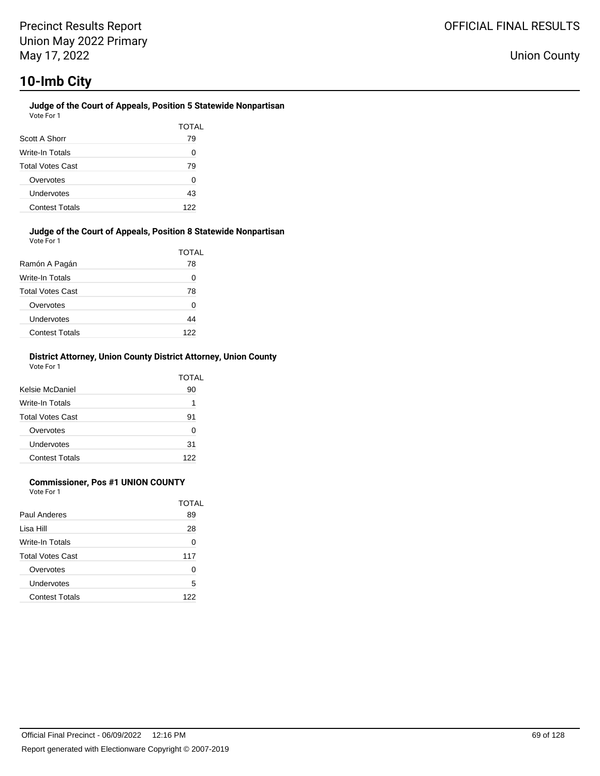#### **Judge of the Court of Appeals, Position 5 Statewide Nonpartisan** Vote For 1

| Scott A Shorr           | TOTAL<br>79 |
|-------------------------|-------------|
| Write-In Totals         | O           |
| <b>Total Votes Cast</b> | 79          |
| Overvotes               | O           |
| Undervotes              | 43          |
| <b>Contest Totals</b>   | 122         |

### **Judge of the Court of Appeals, Position 8 Statewide Nonpartisan** Vote For 1

|                         | TOTAL |
|-------------------------|-------|
| Ramón A Pagán           | 78    |
| Write-In Totals         | 0     |
| <b>Total Votes Cast</b> | 78    |
| Overvotes               | 0     |
| Undervotes              | 44    |
| <b>Contest Totals</b>   | 122   |

### **District Attorney, Union County District Attorney, Union County** Vote For 1

| Kelsie McDaniel         | TOTAL<br>90 |
|-------------------------|-------------|
| Write-In Totals         | 1           |
| <b>Total Votes Cast</b> | 91          |
| Overvotes               | ŋ           |
| Undervotes              | 31          |
| <b>Contest Totals</b>   | 122         |

### **Commissioner, Pos #1 UNION COUNTY**

Vote For 1

|                         | TOTAL |
|-------------------------|-------|
| Paul Anderes            | 89    |
| Lisa Hill               | 28    |
| Write-In Totals         | ∩     |
| <b>Total Votes Cast</b> | 117   |
| Overvotes               | ∩     |
| Undervotes              | 5     |
| <b>Contest Totals</b>   | 122   |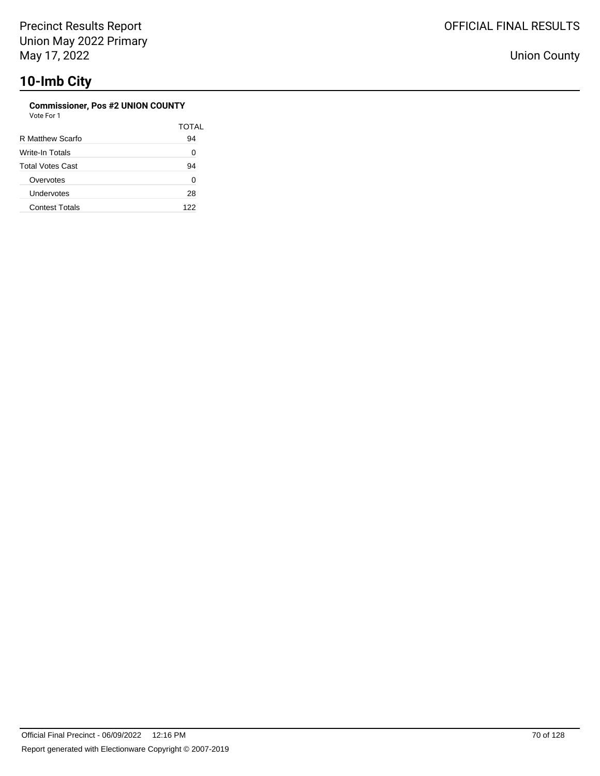### **Commissioner, Pos #2 UNION COUNTY**

| Vote For 1 |  |
|------------|--|
|------------|--|

|                         | TOTAL |
|-------------------------|-------|
| R Matthew Scarfo        | 94    |
| Write-In Totals         | 0     |
| <b>Total Votes Cast</b> | 94    |
| Overvotes               | 0     |
| Undervotes              | 28    |
| <b>Contest Totals</b>   | 122   |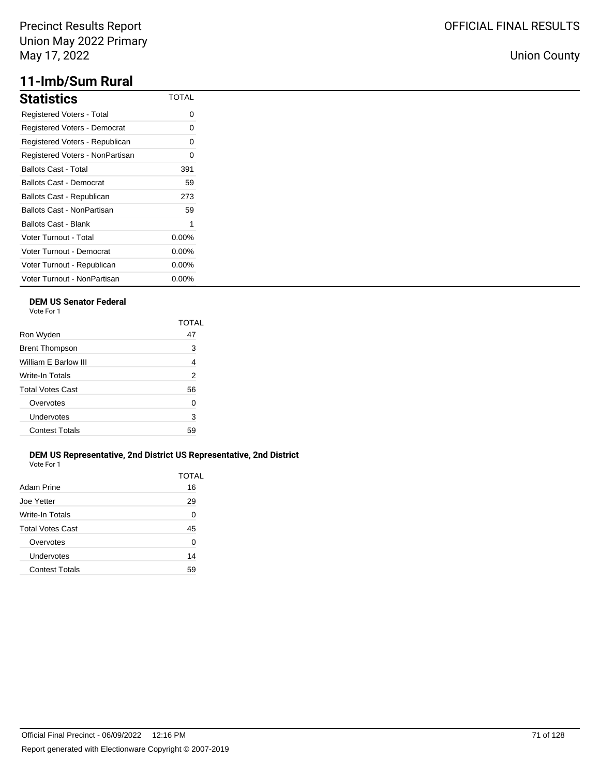## **11-Imb/Sum Rural**

| <b>Statistics</b>                | TOTAI    |
|----------------------------------|----------|
| <b>Registered Voters - Total</b> | 0        |
| Registered Voters - Democrat     | 0        |
| Registered Voters - Republican   | 0        |
| Registered Voters - NonPartisan  | 0        |
| Ballots Cast - Total             | 391      |
| <b>Ballots Cast - Democrat</b>   | 59       |
| Ballots Cast - Republican        | 273      |
| Ballots Cast - NonPartisan       | 59       |
| Ballots Cast - Blank             | 1        |
| <b>Voter Turnout - Total</b>     | $0.00\%$ |
| Voter Turnout - Democrat         | $0.00\%$ |
| Voter Turnout - Republican       | $0.00\%$ |
| Voter Turnout - NonPartisan      | $0.00\%$ |

### **DEM US Senator Federal**

Vote For 1

|                         | TOTAI          |
|-------------------------|----------------|
| Ron Wyden               | 47             |
| <b>Brent Thompson</b>   | 3              |
| William E Barlow III    | $\overline{4}$ |
| Write-In Totals         | 2              |
| <b>Total Votes Cast</b> | 56             |
| Overvotes               | 0              |
| Undervotes              | 3              |
| <b>Contest Totals</b>   | 59             |
|                         |                |

### **DEM US Representative, 2nd District US Representative, 2nd District** Vote For 1

| Adam Prine            | TOTAL<br>16 |
|-----------------------|-------------|
| Joe Yetter            | 29          |
| Write-In Totals       | 0           |
| Total Votes Cast      | 45          |
| Overvotes             | 0           |
| Undervotes            | 14          |
| <b>Contest Totals</b> | 59          |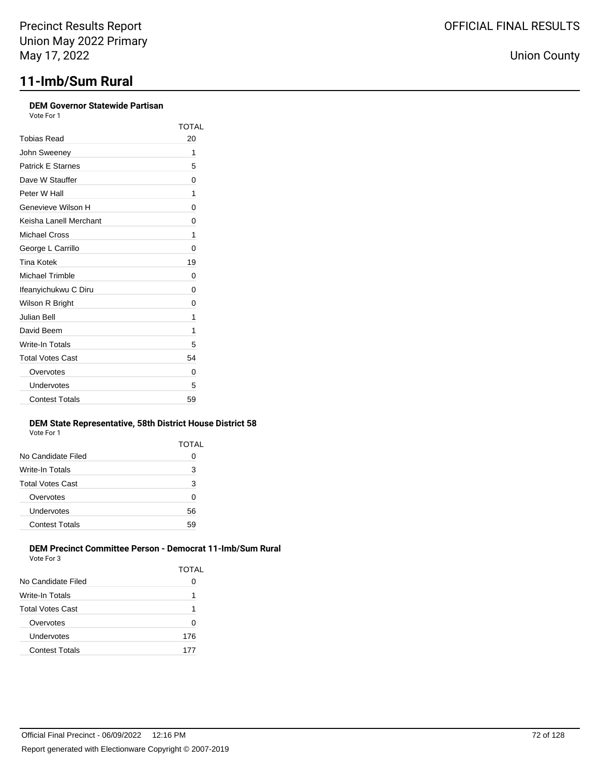# **11-Imb/Sum Rural**

| Vote For 1               |              |
|--------------------------|--------------|
|                          | <b>TOTAL</b> |
| <b>Tobias Read</b>       | 20           |
| John Sweeney             | 1            |
| <b>Patrick E Starnes</b> | 5            |
| Dave W Stauffer          | 0            |
| Peter W Hall             | 1            |
| Genevieve Wilson H       | 0            |
| Keisha Lanell Merchant   | 0            |
| <b>Michael Cross</b>     | 1            |
| George L Carrillo        | 0            |
| <b>Tina Kotek</b>        | 19           |
| <b>Michael Trimble</b>   | 0            |
| Ifeanyichukwu C Diru     | 0            |
| Wilson R Bright          | 0            |
| Julian Bell              | 1            |
| David Beem               | 1            |
| Write-In Totals          | 5            |
| <b>Total Votes Cast</b>  | 54           |
| Overvotes                | 0            |
| Undervotes               | 5            |
| <b>Contest Totals</b>    | 59           |

### **DEM State Representative, 58th District House District 58** Vote For 1

|                       | TOTAL |
|-----------------------|-------|
| No Candidate Filed    | 0     |
| Write-In Totals       | 3     |
| Total Votes Cast      | 3     |
| Overvotes             | 0     |
| Undervotes            | 56    |
| <b>Contest Totals</b> | 59    |

### **DEM Precinct Committee Person - Democrat 11-Imb/Sum Rural** Vote For 3

|                         | TOTAL |
|-------------------------|-------|
| No Candidate Filed      |       |
| Write-In Totals         | 1     |
| <b>Total Votes Cast</b> | 1     |
| Overvotes               | O     |
| Undervotes              | 176   |
| <b>Contest Totals</b>   | 177   |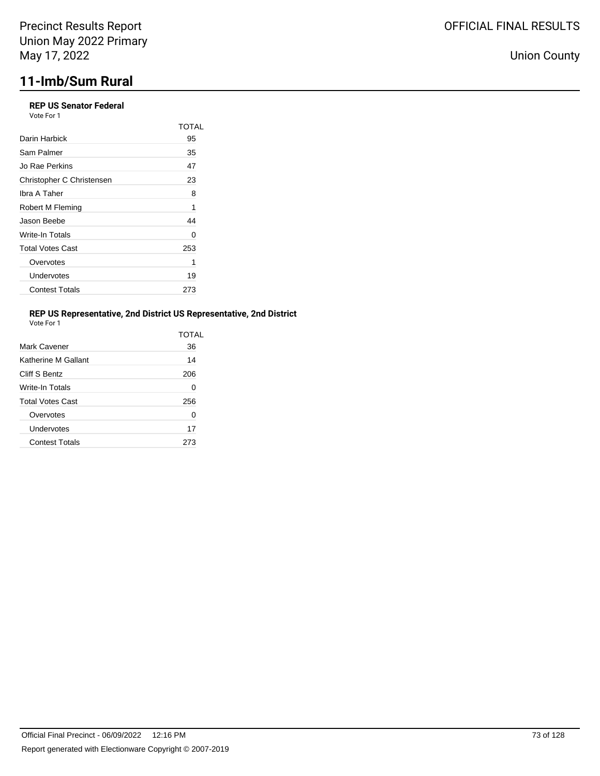## **REP US Senator Federal**

Vote For 1

|                           | <b>TOTAL</b> |
|---------------------------|--------------|
| Darin Harbick             | 95           |
| Sam Palmer                | 35           |
| Jo Rae Perkins            | 47           |
| Christopher C Christensen | 23           |
| Ibra A Taher              | 8            |
| Robert M Fleming          | 1            |
| Jason Beebe               | 44           |
| Write-In Totals           | 0            |
| <b>Total Votes Cast</b>   | 253          |
| Overvotes                 | 1            |
| Undervotes                | 19           |
| <b>Contest Totals</b>     | 273          |

## **REP US Representative, 2nd District US Representative, 2nd District**

| Vote For |  |
|----------|--|
|          |  |

|                         | TOTAL |
|-------------------------|-------|
| Mark Cavener            | 36    |
| Katherine M Gallant     | 14    |
| Cliff S Bentz           | 206   |
| Write-In Totals         | 0     |
| <b>Total Votes Cast</b> | 256   |
| Overvotes               | 0     |
| Undervotes              | 17    |
| <b>Contest Totals</b>   | 273   |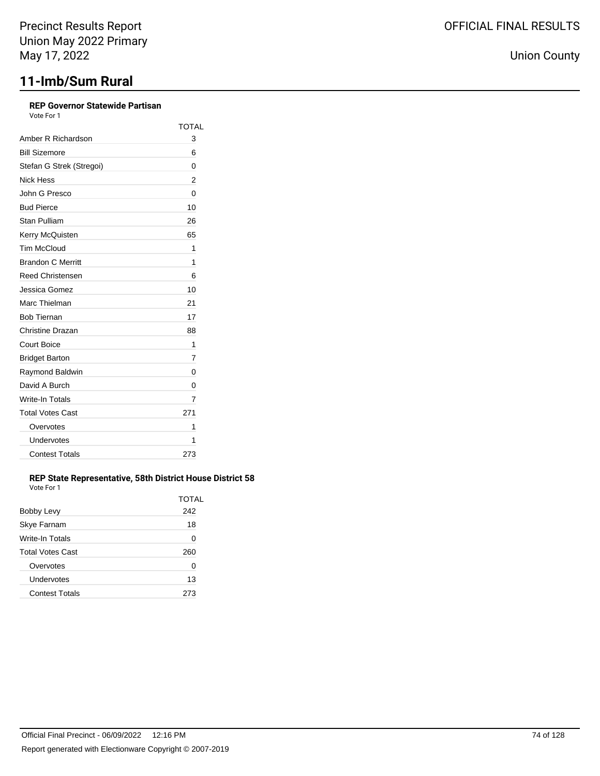## **REP Governor Statewide Partisan**

| Vote For 1 |  |  |
|------------|--|--|
|            |  |  |

|                          | <b>TOTAL</b> |
|--------------------------|--------------|
| Amber R Richardson       | 3            |
| <b>Bill Sizemore</b>     | 6            |
| Stefan G Strek (Stregoi) | 0            |
| Nick Hess                | 2            |
| John G Presco            | 0            |
| <b>Bud Pierce</b>        | 10           |
| Stan Pulliam             | 26           |
| Kerry McQuisten          | 65           |
| <b>Tim McCloud</b>       | 1            |
| <b>Brandon C Merritt</b> | 1            |
| <b>Reed Christensen</b>  | 6            |
| Jessica Gomez            | 10           |
| Marc Thielman            | 21           |
| <b>Bob Tiernan</b>       | 17           |
| Christine Drazan         | 88           |
| <b>Court Boice</b>       | 1            |
| <b>Bridget Barton</b>    | 7            |
| Raymond Baldwin          | 0            |
| David A Burch            | 0            |
| Write-In Totals          | 7            |
| <b>Total Votes Cast</b>  | 271          |
| Overvotes                | 1            |
| Undervotes               | 1            |
| <b>Contest Totals</b>    | 273          |

### **REP State Representative, 58th District House District 58** Vote For 1

|                         | TOTAL |
|-------------------------|-------|
| Bobby Levy              | 242   |
| Skye Farnam             | 18    |
| Write-In Totals         | 0     |
| <b>Total Votes Cast</b> | 260   |
| Overvotes               | 0     |
| Undervotes              | 13    |
| <b>Contest Totals</b>   |       |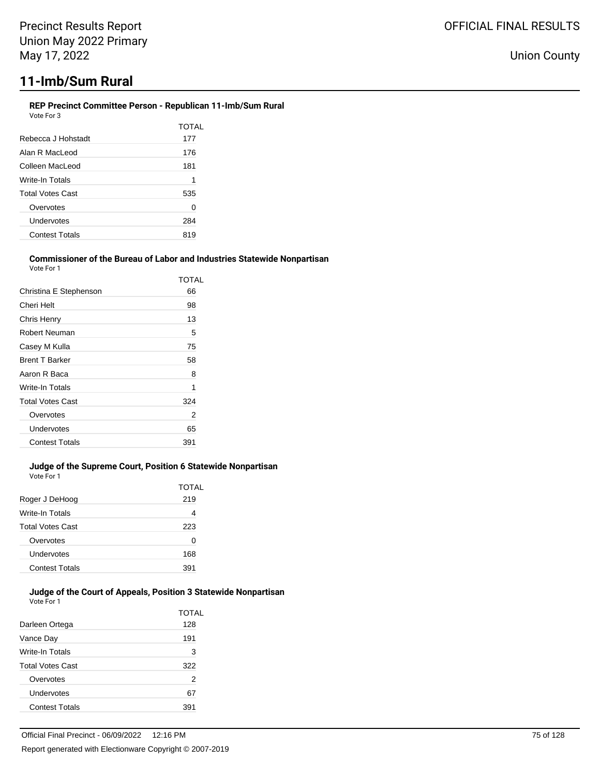#### **REP Precinct Committee Person - Republican 11-Imb/Sum Rural** Vote For 3

|                         | TOTAL |
|-------------------------|-------|
| Rebecca J Hohstadt      | 177   |
| Alan R Macl eod         | 176   |
| Colleen MacLeod         | 181   |
| Write-In Totals         | 1     |
| <b>Total Votes Cast</b> | 535   |
| Overvotes               | 0     |
| Undervotes              | 284   |
| <b>Contest Totals</b>   | 819   |
|                         |       |

#### **Commissioner of the Bureau of Labor and Industries Statewide Nonpartisan** Vote For 1

|                         | TOTAL |
|-------------------------|-------|
| Christina E Stephenson  | 66    |
| Cheri Helt              | 98    |
| Chris Henry             | 13    |
| Robert Neuman           | 5     |
| Casey M Kulla           | 75    |
| <b>Brent T Barker</b>   | 58    |
| Aaron R Baca            | 8     |
| Write-In Totals         | 1     |
| <b>Total Votes Cast</b> | 324   |
| Overvotes               | 2     |
| Undervotes              | 65    |
| <b>Contest Totals</b>   | 391   |
|                         |       |

## **Judge of the Supreme Court, Position 6 Statewide Nonpartisan**

Vote For 1

|                         | TOTAL |
|-------------------------|-------|
| Roger J DeHoog          | 219   |
| Write-In Totals         | 4     |
| <b>Total Votes Cast</b> | 223   |
| Overvotes               | 0     |
| Undervotes              | 168   |
| <b>Contest Totals</b>   | 391   |

#### **Judge of the Court of Appeals, Position 3 Statewide Nonpartisan** Vote For 1

| Darleen Ortega          | TOTAL<br>128 |
|-------------------------|--------------|
| Vance Day               | 191          |
| Write-In Totals         | 3            |
| <b>Total Votes Cast</b> | 322          |
| Overvotes               | 2            |
| Undervotes              | 67           |
| <b>Contest Totals</b>   | 391          |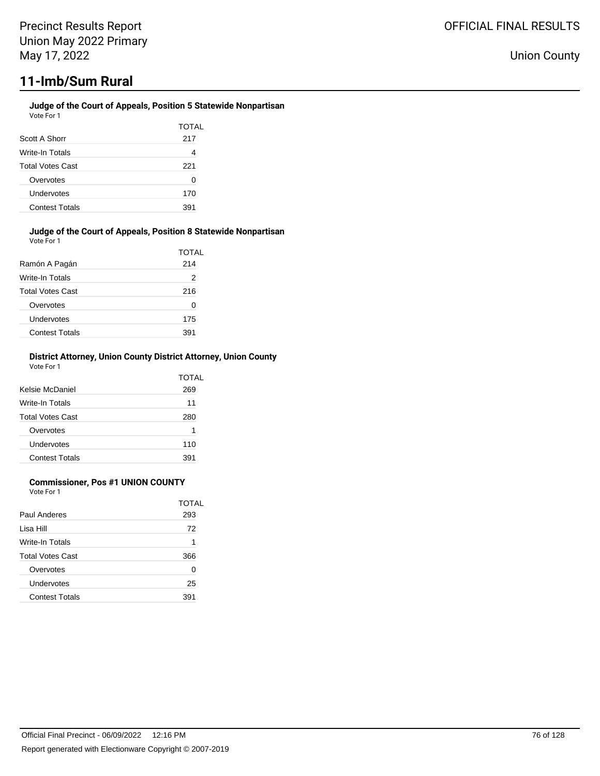## **Judge of the Court of Appeals, Position 5 Statewide Nonpartisan**

| Vote For 1              |       |
|-------------------------|-------|
|                         | TOTAL |
| Scott A Shorr           | 217   |
| Write-In Totals         |       |
| <b>Total Votes Cast</b> | 221   |
| Overvotes               | 0     |
| Undervotes              | 170   |
| <b>Contest Totals</b>   | 391   |

#### **Judge of the Court of Appeals, Position 8 Statewide Nonpartisan** Vote For 1

|                         | <b>TOTAL</b> |
|-------------------------|--------------|
| Ramón A Pagán           | 214          |
| Write-In Totals         | 2            |
| <b>Total Votes Cast</b> | 216          |
| Overvotes               | 0            |
| Undervotes              | 175          |
| <b>Contest Totals</b>   | 391          |

### **District Attorney, Union County District Attorney, Union County** Vote For 1

| Kelsie McDaniel         | TOTAL<br>269 |
|-------------------------|--------------|
| Write-In Totals         | 11           |
| <b>Total Votes Cast</b> | 280          |
| Overvotes               | 1            |
| Undervotes              | 110          |
| <b>Contest Totals</b>   | 391          |

## **Commissioner, Pos #1 UNION COUNTY**

Vote For 1

|                         | TOTAL |
|-------------------------|-------|
| Paul Anderes            | 293   |
| Lisa Hill               | 72    |
| Write-In Totals         | 1     |
| <b>Total Votes Cast</b> | 366   |
| Overvotes               | ∩     |
| Undervotes              | 25    |
| <b>Contest Totals</b>   | 391   |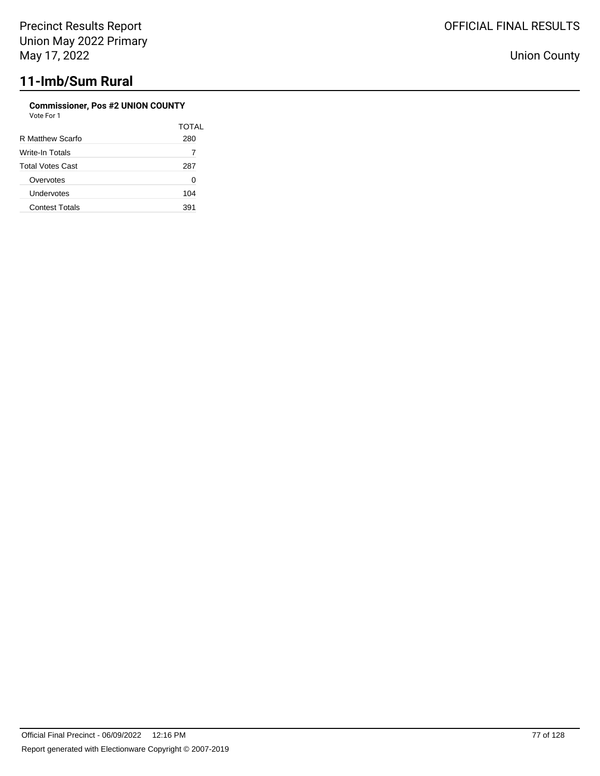## **Commissioner, Pos #2 UNION COUNTY**

| <b>TOTAL</b> |
|--------------|
| 280          |
| 7            |
| 287          |
| Ω            |
| 104          |
| 391          |
|              |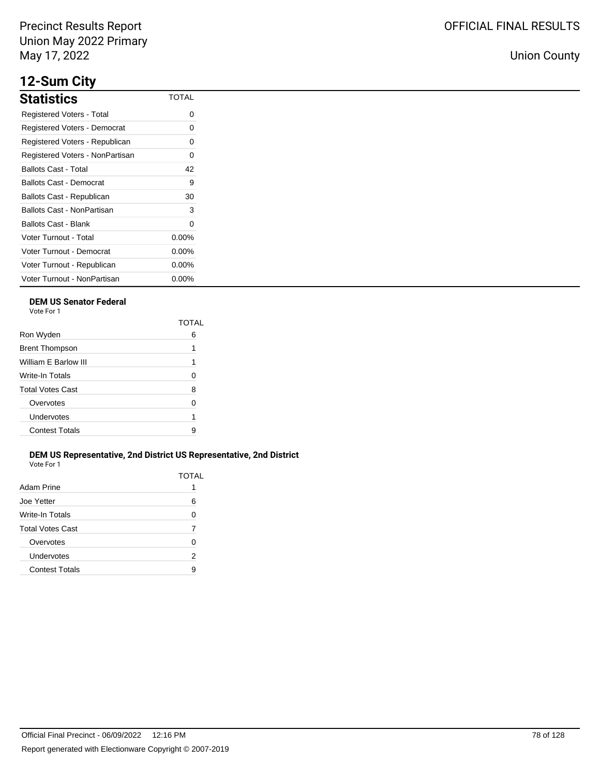## **12-Sum City**

| <b>Statistics</b>                | TOTAL    |
|----------------------------------|----------|
| Registered Voters - Total        | 0        |
| Registered Voters - Democrat     | 0        |
| Registered Voters - Republican   | 0        |
| Registered Voters - NonPartisan  | 0        |
| <b>Ballots Cast - Total</b>      | 42       |
| Ballots Cast - Democrat          | 9        |
| <b>Ballots Cast - Republican</b> | 30       |
| Ballots Cast - NonPartisan       | 3        |
| Ballots Cast - Blank             | $\Omega$ |
| Voter Turnout - Total            | $0.00\%$ |
| Voter Turnout - Democrat         | $0.00\%$ |
| Voter Turnout - Republican       | $0.00\%$ |
| Voter Turnout - NonPartisan      | $0.00\%$ |

## **DEM US Senator Federal**

Vote For 1

|                         | ΤΩΤΑΙ |
|-------------------------|-------|
| Ron Wyden               | 6     |
| <b>Brent Thompson</b>   | 1     |
| William E Barlow III    | 1     |
| Write-In Totals         | 0     |
| <b>Total Votes Cast</b> | 8     |
| Overvotes               | U     |
| Undervotes              | 1     |
| <b>Contest Totals</b>   | 9     |
|                         |       |

## **DEM US Representative, 2nd District US Representative, 2nd District** Vote For 1

| Adam Prine              | TOTAL |
|-------------------------|-------|
| Joe Yetter              | ี     |
| Write-In Totals         | 0     |
| <b>Total Votes Cast</b> |       |
| Overvotes               | U     |
| Undervotes              | 2     |
| <b>Contest Totals</b>   | Я     |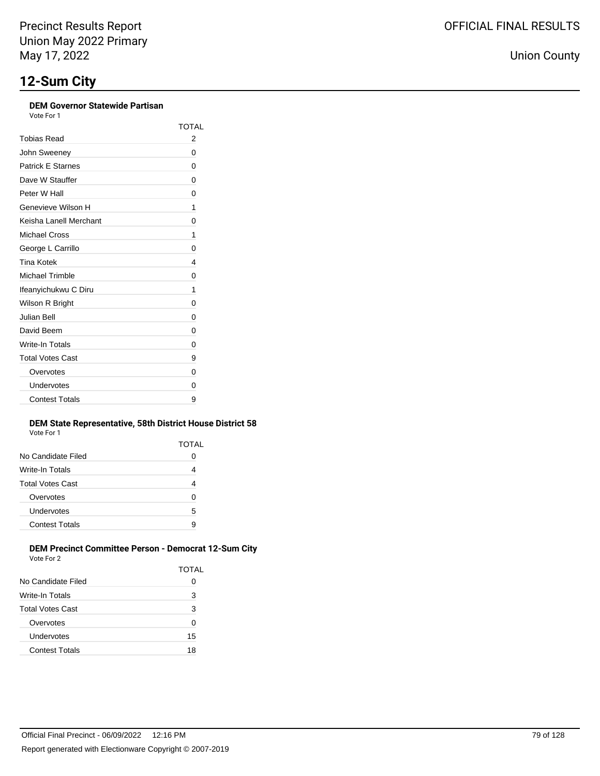## **DEM Governor Statewide Partisan**

Vote For 1

|                          | TOTAI |
|--------------------------|-------|
| Tobias Read              | 2     |
| John Sweeney             | 0     |
| <b>Patrick E Starnes</b> | 0     |
| Dave W Stauffer          | 0     |
| Peter W Hall             | 0     |
| Genevieve Wilson H       | 1     |
| Keisha Lanell Merchant   | 0     |
| Michael Cross            | 1     |
| George L Carrillo        | 0     |
| Tina Kotek               | 4     |
| <b>Michael Trimble</b>   | 0     |
| Ifeanyichukwu C Diru     | 1     |
| Wilson R Bright          | 0     |
| Julian Bell              | 0     |
| David Beem               | 0     |
| Write-In Totals          | 0     |
| <b>Total Votes Cast</b>  | 9     |
| Overvotes                | 0     |
| Undervotes               | 0     |
| <b>Contest Totals</b>    | 9     |

## **DEM State Representative, 58th District House District 58**

| Vote For 1              |              |
|-------------------------|--------------|
|                         | <b>TOTAL</b> |
| No Candidate Filed      |              |
| Write-In Totals         | 4            |
| <b>Total Votes Cast</b> | 4            |
| Overvotes               | 0            |
| Undervotes              | 5            |
| <b>Contest Totals</b>   | 9            |

### **DEM Precinct Committee Person - Democrat 12-Sum City** Vote For 2

|                         | <b>TOTAL</b> |
|-------------------------|--------------|
| No Candidate Filed      | O            |
| Write-In Totals         | 3            |
| <b>Total Votes Cast</b> | 3            |
| Overvotes               | 0            |
| Undervotes              | 15           |
| <b>Contest Totals</b>   | 18           |
|                         |              |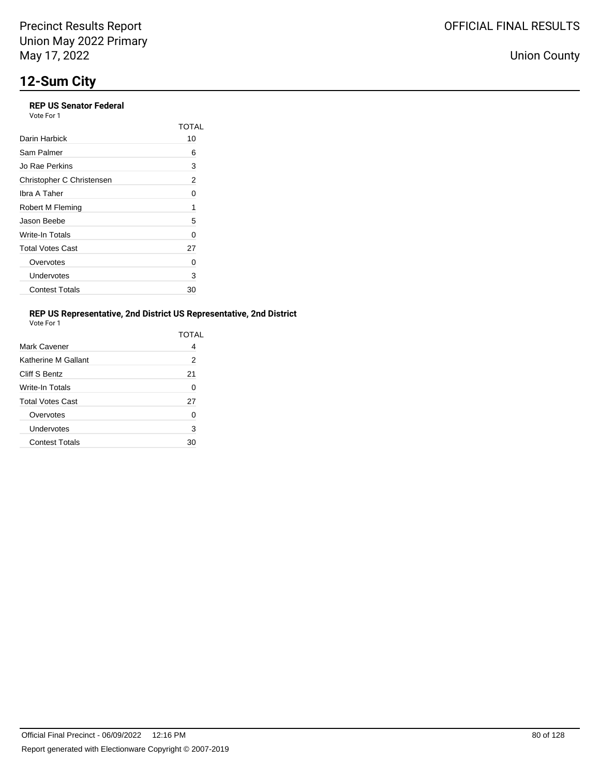## **REP US Senator Federal**

Vote For 1

|                           | TOTAL |
|---------------------------|-------|
| Darin Harbick             | 10    |
| Sam Palmer                | 6     |
| Jo Rae Perkins            | 3     |
| Christopher C Christensen | 2     |
| Ibra A Taher              | 0     |
| Robert M Fleming          | 1     |
| Jason Beebe               | 5     |
| Write-In Totals           | 0     |
| <b>Total Votes Cast</b>   | 27    |
| Overvotes                 | 0     |
| Undervotes                | 3     |
| <b>Contest Totals</b>     | 30    |

## **REP US Representative, 2nd District US Representative, 2nd District**

| Vote For 1 |  |
|------------|--|
|            |  |

|                         | TOTAL |
|-------------------------|-------|
| Mark Cavener            | 4     |
| Katherine M Gallant     | 2     |
| Cliff S Bentz           | 21    |
| Write-In Totals         | 0     |
| <b>Total Votes Cast</b> | 27    |
| Overvotes               | 0     |
| Undervotes              | 3     |
| <b>Contest Totals</b>   | 30    |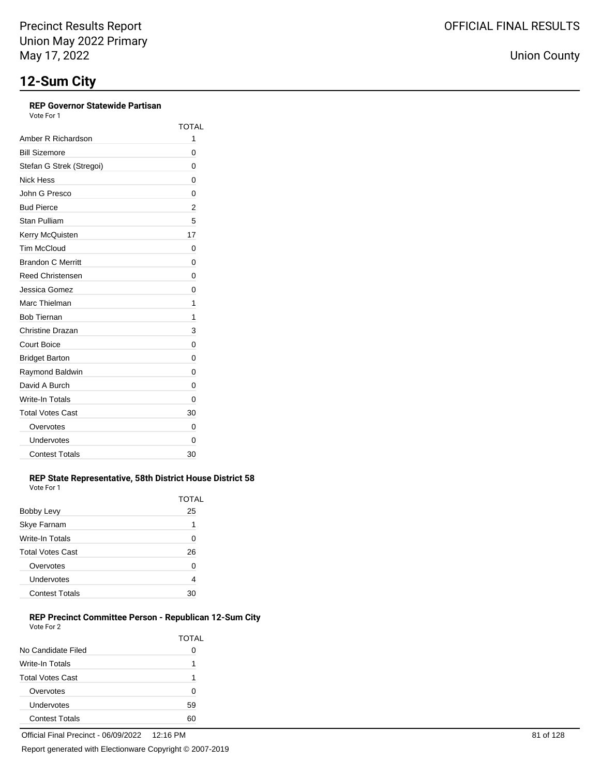## **REP Governor Statewide Partisan**

Vote For 1

|                          | TOTAL |
|--------------------------|-------|
| Amber R Richardson       | 1     |
| <b>Bill Sizemore</b>     | 0     |
| Stefan G Strek (Stregoi) | 0     |
| Nick Hess                | 0     |
| John G Presco            | 0     |
| <b>Bud Pierce</b>        | 2     |
| <b>Stan Pulliam</b>      | 5     |
| Kerry McQuisten          | 17    |
| <b>Tim McCloud</b>       | 0     |
| <b>Brandon C Merritt</b> | 0     |
| <b>Reed Christensen</b>  | 0     |
| Jessica Gomez            | 0     |
| Marc Thielman            | 1     |
| <b>Bob Tiernan</b>       | 1     |
| Christine Drazan         | 3     |
| Court Boice              | 0     |
| <b>Bridget Barton</b>    | 0     |
| Raymond Baldwin          | 0     |
| David A Burch            | 0     |
| <b>Write-In Totals</b>   | 0     |
| <b>Total Votes Cast</b>  | 30    |
| Overvotes                | 0     |
| Undervotes               | 0     |
| <b>Contest Totals</b>    | 30    |

#### **REP State Representative, 58th District House District 58** Vote For 1

|                         | TOTAL |
|-------------------------|-------|
| Bobby Levy              | 25    |
| Skye Farnam             | 1     |
| Write-In Totals         | 0     |
| <b>Total Votes Cast</b> | 26    |
| Overvotes               | ი     |
| Undervotes              | 4     |
| <b>Contest Totals</b>   | חר    |

### **REP Precinct Committee Person - Republican 12-Sum City** Vote For 2

|                         | TOTAL |
|-------------------------|-------|
| No Candidate Filed      |       |
| Write-In Totals         | 1     |
| <b>Total Votes Cast</b> | 1     |
| Overvotes               | O     |
| Undervotes              | 59    |
| <b>Contest Totals</b>   |       |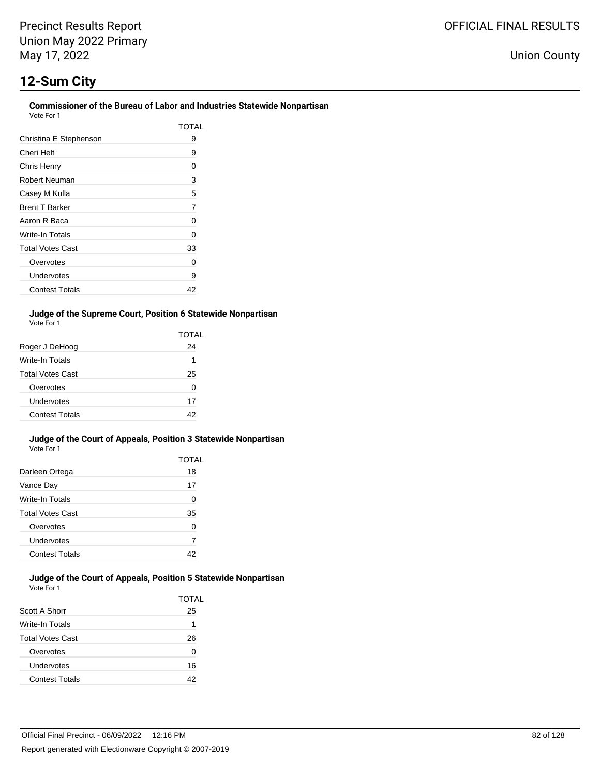# **12-Sum City**

#### **Commissioner of the Bureau of Labor and Industries Statewide Nonpartisan** Vote For 1

| 1 UU DUU                |       |
|-------------------------|-------|
|                         | TOTAL |
| Christina E Stephenson  | 9     |
| Cheri Helt              | 9     |
| Chris Henry             | 0     |
| Robert Neuman           | 3     |
| Casey M Kulla           | 5     |
| <b>Brent T Barker</b>   | 7     |
| Aaron R Baca            | 0     |
| Write-In Totals         | 0     |
| <b>Total Votes Cast</b> | 33    |
| Overvotes               | Ω     |
| Undervotes              | 9     |
| <b>Contest Totals</b>   | 42    |

### **Judge of the Supreme Court, Position 6 Statewide Nonpartisan** Vote For 1

|                         | TOTAL |
|-------------------------|-------|
| Roger J DeHoog          | 24    |
| Write-In Totals         | 1     |
| <b>Total Votes Cast</b> | 25    |
| Overvotes               | O     |
| Undervotes              | 17    |
| <b>Contest Totals</b>   | 42    |

#### **Judge of the Court of Appeals, Position 3 Statewide Nonpartisan** Vote For 1

|                         | TOTAL |
|-------------------------|-------|
| Darleen Ortega          | 18    |
| Vance Day               | 17    |
| Write-In Totals         | U     |
| <b>Total Votes Cast</b> | 35    |
| Overvotes               | U     |
| Undervotes              | 7     |
| <b>Contest Totals</b>   | 42    |

#### **Judge of the Court of Appeals, Position 5 Statewide Nonpartisan** Vote For 1

|                         | TOTAL |
|-------------------------|-------|
| Scott A Shorr           | 25    |
| Write-In Totals         | 1     |
| <b>Total Votes Cast</b> | 26    |
| Overvotes               | 0     |
| Undervotes              | 16    |
| <b>Contest Totals</b>   | 42    |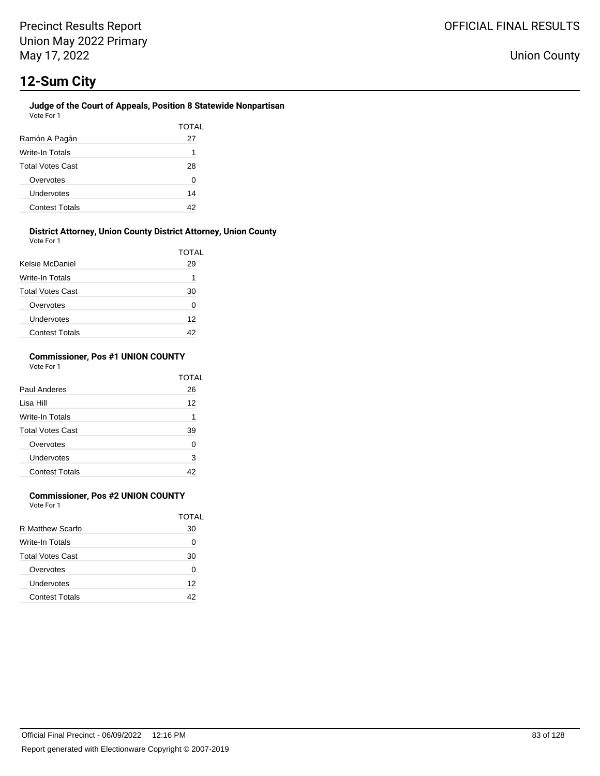#### **Judge of the Court of Appeals, Position 8 Statewide Nonpartisan** Vote For 1

|                         | TOTAL |
|-------------------------|-------|
| Ramón A Pagán           | 27    |
| Write-In Totals         | 1     |
| <b>Total Votes Cast</b> | 28    |
| Overvotes               | 0     |
| Undervotes              | 14    |
| <b>Contest Totals</b>   | 42    |

#### **District Attorney, Union County District Attorney, Union County** Vote For 1

| <b>VULLET UIL</b>       | <b>TOTAL</b> |
|-------------------------|--------------|
| Kelsie McDaniel         | 29           |
| Write-In Totals         | 1            |
| <b>Total Votes Cast</b> | 30           |
| Overvotes               | 0            |
| Undervotes              | 12           |
| <b>Contest Totals</b>   |              |

### **Commissioner, Pos #1 UNION COUNTY** Vote For 1

|                         | TOTAL |
|-------------------------|-------|
| Paul Anderes            | 26    |
| Lisa Hill               | 12    |
| Write-In Totals         | 1     |
| <b>Total Votes Cast</b> | 39    |
| Overvotes               | O     |
| Undervotes              | 3     |
| <b>Contest Totals</b>   |       |

## **Commissioner, Pos #2 UNION COUNTY**

Vote For 1

|                         | TOTAI |
|-------------------------|-------|
| R Matthew Scarfo        | 30    |
| Write-In Totals         | Ω     |
| <b>Total Votes Cast</b> | 30    |
| Overvotes               | 0     |
| Undervotes              | 12    |
| <b>Contest Totals</b>   | 42    |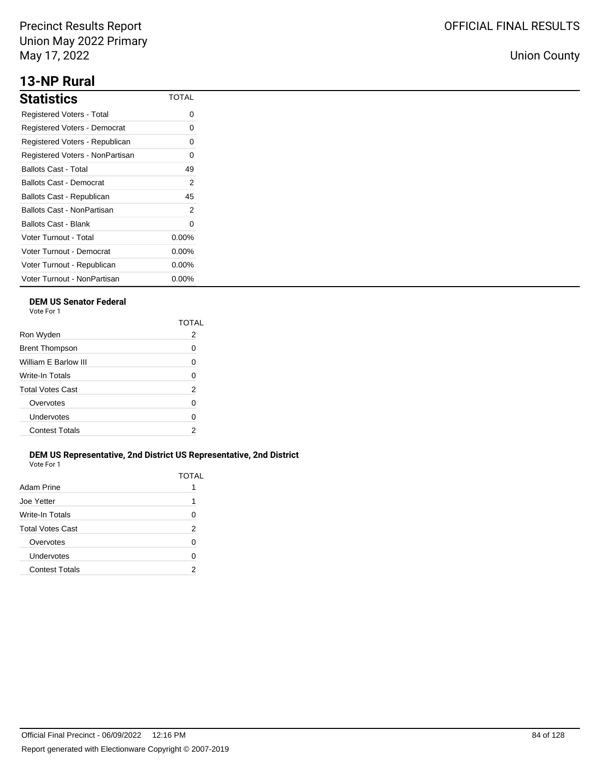## **13-NP Rural**

| <b>Statistics</b>               | <b>TOTAL</b> |
|---------------------------------|--------------|
| Registered Voters - Total       | 0            |
| Registered Voters - Democrat    | 0            |
| Registered Voters - Republican  | 0            |
| Registered Voters - NonPartisan | O            |
| Ballots Cast - Total            | 49           |
| Ballots Cast - Democrat         | 2            |
| Ballots Cast - Republican       | 45           |
| Ballots Cast - NonPartisan      | 2            |
| Ballots Cast - Blank            | 0            |
| Voter Turnout - Total           | $0.00\%$     |
| Voter Turnout - Democrat        | $0.00\%$     |
| Voter Turnout - Republican      | $0.00\%$     |
| Voter Turnout - NonPartisan     | $0.00\%$     |

## **DEM US Senator Federal**

Vote For 1

|                         | ΤΩΤΑΙ |
|-------------------------|-------|
| Ron Wyden               | 2     |
| <b>Brent Thompson</b>   | 0     |
| William F Barlow III    | 0     |
| Write-In Totals         | 0     |
| <b>Total Votes Cast</b> | 2     |
| Overvotes               | U     |
| Undervotes              | 0     |
| <b>Contest Totals</b>   | 2     |

## **DEM US Representative, 2nd District US Representative, 2nd District** Vote For 1

| Adam Prine              | TOTAL |
|-------------------------|-------|
| Joe Yetter              | 1     |
| Write-In Totals         | 0     |
| <b>Total Votes Cast</b> | 2     |
| Overvotes               | O     |
| Undervotes              | 0     |
| <b>Contest Totals</b>   | 2     |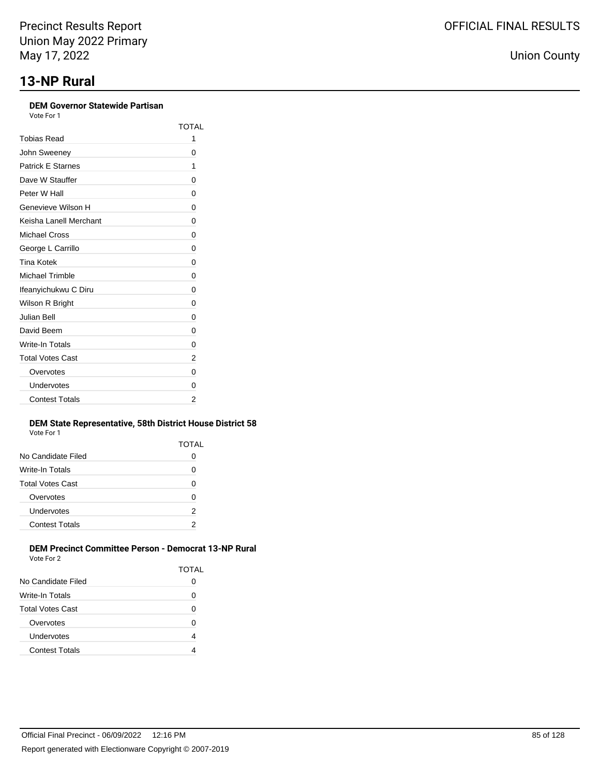| <b>DEM Governor Statewide Partisan</b><br>Vote For 1 |              |
|------------------------------------------------------|--------------|
|                                                      | <b>TOTAL</b> |
| <b>Tobias Read</b>                                   | 1            |
| John Sweeney                                         | 0            |
| <b>Patrick E Starnes</b>                             | 1            |
| Dave W Stauffer                                      | 0            |
| Peter W Hall                                         | 0            |
| Genevieve Wilson H                                   | 0            |
| Keisha Lanell Merchant                               | 0            |
| <b>Michael Cross</b>                                 | 0            |
| George L Carrillo                                    | 0            |
| <b>Tina Kotek</b>                                    | 0            |
| Michael Trimble                                      | 0            |
| Ifeanyichukwu C Diru                                 | 0            |
| Wilson R Bright                                      | 0            |
| Julian Bell                                          | 0            |
| David Beem                                           | 0            |
| Write-In Totals                                      | 0            |
| <b>Total Votes Cast</b>                              | 2            |
| Overvotes                                            | 0            |
| Undervotes                                           | O            |
| <b>Contest Totals</b>                                | 2            |

## **DEM State Representative, 58th District House District 58**

| <b>TOTAL</b> |  |
|--------------|--|
| 0            |  |
| 0            |  |
| 0            |  |
| 0            |  |
| 2            |  |
| 2            |  |
|              |  |

#### **DEM Precinct Committee Person - Democrat 13-NP Rural** Vote For 2

|                         | <b>TOTAL</b> |
|-------------------------|--------------|
| No Candidate Filed      |              |
| Write-In Totals         | 0            |
| <b>Total Votes Cast</b> | ი            |
| Overvotes               | 0            |
| Undervotes              | 4            |
| <b>Contest Totals</b>   |              |
|                         |              |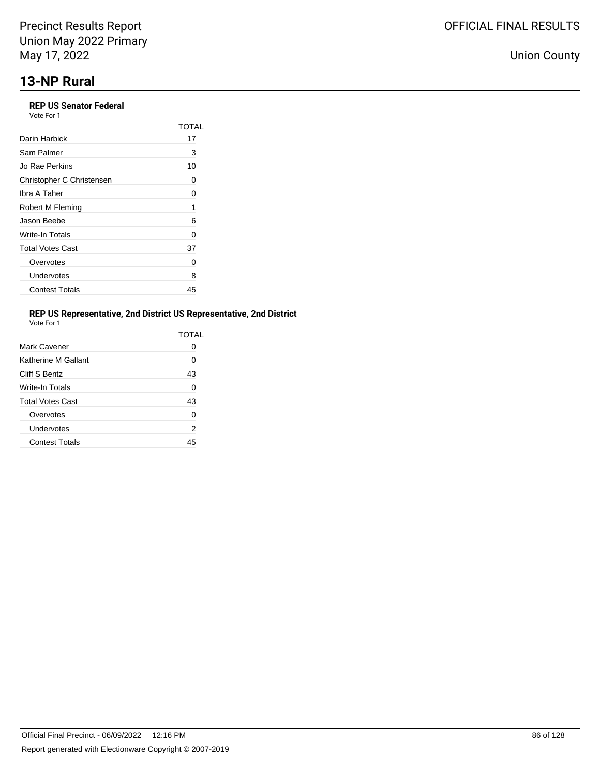## **REP US Senator Federal**

|                           | TOTAI |
|---------------------------|-------|
| Darin Harbick             | 17    |
| Sam Palmer                | 3     |
| Jo Rae Perkins            | 10    |
| Christopher C Christensen | Ω     |
| Ibra A Taher              | O     |
| Robert M Fleming          | 1     |
| Jason Beebe               | 6     |
| Write-In Totals           | 0     |
| <b>Total Votes Cast</b>   | 37    |
| Overvotes                 | Ω     |
| Undervotes                | 8     |
| <b>Contest Totals</b>     | 45    |

## **REP US Representative, 2nd District US Representative, 2nd District**

| Vote For 1 |  |
|------------|--|
|            |  |

|                         | TOTAL        |
|-------------------------|--------------|
| Mark Cavener            | $\mathbf{O}$ |
| Katherine M Gallant     | 0            |
| Cliff S Bentz           | 43           |
| Write-In Totals         | 0            |
| <b>Total Votes Cast</b> | 43           |
| Overvotes               | $\Omega$     |
| Undervotes              | 2            |
| <b>Contest Totals</b>   | 45           |
|                         |              |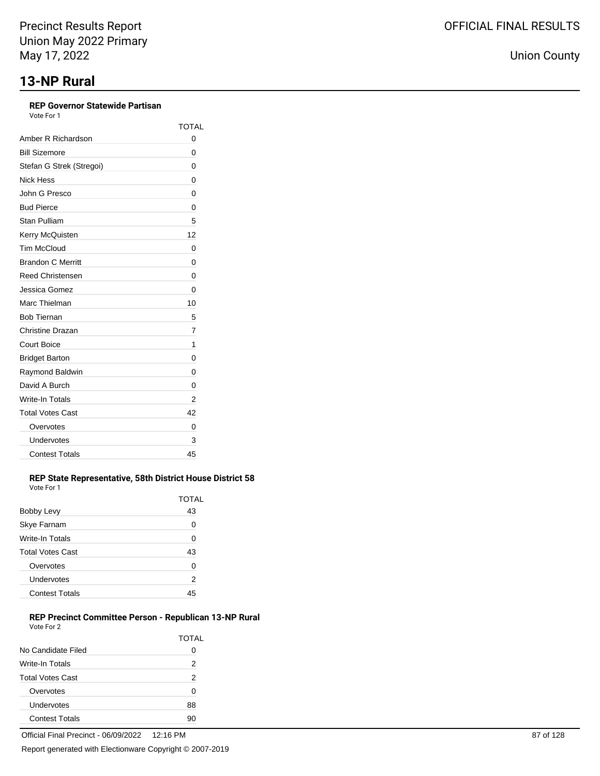## **REP Governor Statewide Partisan**

Vote For 1

|                          | <b>TOTAL</b> |
|--------------------------|--------------|
| Amber R Richardson       | 0            |
| <b>Bill Sizemore</b>     | 0            |
| Stefan G Strek (Stregoi) | 0            |
| Nick Hess                | 0            |
| John G Presco            | 0            |
| <b>Bud Pierce</b>        | 0            |
| Stan Pulliam             | 5            |
| Kerry McQuisten          | 12           |
| <b>Tim McCloud</b>       | 0            |
| <b>Brandon C Merritt</b> | 0            |
| <b>Reed Christensen</b>  | 0            |
| Jessica Gomez            | 0            |
| Marc Thielman            | 10           |
| <b>Bob Tiernan</b>       | 5            |
| Christine Drazan         | 7            |
| <b>Court Boice</b>       | 1            |
| <b>Bridget Barton</b>    | 0            |
| Raymond Baldwin          | 0            |
| David A Burch            | 0            |
| <b>Write-In Totals</b>   | 2            |
| <b>Total Votes Cast</b>  | 42           |
| Overvotes                | 0            |
| Undervotes               | 3            |
| <b>Contest Totals</b>    | 45           |

#### **REP State Representative, 58th District House District 58** Vote For 1

|                         | TOTAL |
|-------------------------|-------|
| Bobby Levy              | 43    |
| <b>Skye Farnam</b>      | O     |
| Write-In Totals         | 0     |
| <b>Total Votes Cast</b> | 43    |
| Overvotes               | O     |
| Undervotes              | 2     |
| <b>Contest Totals</b>   | 45    |

## **REP Precinct Committee Person - Republican 13-NP Rural** Vote For 2

|                         | TOTAL |
|-------------------------|-------|
| No Candidate Filed      | 0     |
| Write-In Totals         | 2     |
| <b>Total Votes Cast</b> | 2     |
| Overvotes               | ŋ     |
| Undervotes              | 88    |
| <b>Contest Totals</b>   |       |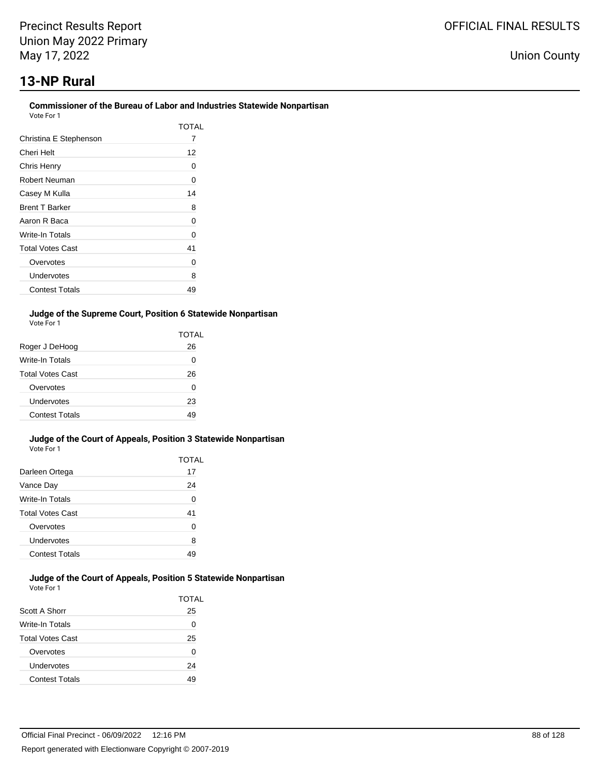## **13-NP Rural**

#### **Commissioner of the Bureau of Labor and Industries Statewide Nonpartisan** Vote For 1

| 1 UU DUU                |       |
|-------------------------|-------|
|                         | TOTAL |
| Christina E Stephenson  | 7     |
| Cheri Helt              | 12    |
| Chris Henry             | Ω     |
| Robert Neuman           | 0     |
| Casey M Kulla           | 14    |
| <b>Brent T Barker</b>   | 8     |
| Aaron R Baca            | 0     |
| Write-In Totals         | 0     |
| <b>Total Votes Cast</b> | 41    |
| Overvotes               | Ω     |
| Undervotes              | 8     |
| <b>Contest Totals</b>   | 49    |

## **Judge of the Supreme Court, Position 6 Statewide Nonpartisan** Vote For 1

|                         | TOTAL |
|-------------------------|-------|
| Roger J DeHoog          | 26    |
| <b>Write-In Totals</b>  | O     |
| <b>Total Votes Cast</b> | 26    |
| Overvotes               | O     |
| Undervotes              | 23    |
| <b>Contest Totals</b>   | 10    |

#### **Judge of the Court of Appeals, Position 3 Statewide Nonpartisan** Vote For 1

|                         | TOTAL |
|-------------------------|-------|
| Darleen Ortega          | 17    |
| Vance Day               | 24    |
| Write-In Totals         | 0     |
| <b>Total Votes Cast</b> | 41    |
| Overvotes               | U     |
| Undervotes              | 8     |
| <b>Contest Totals</b>   |       |

#### **Judge of the Court of Appeals, Position 5 Statewide Nonpartisan** Vote For 1

|                         | TOTAL |
|-------------------------|-------|
| Scott A Shorr           | 25    |
| <b>Write-In Totals</b>  | 0     |
| <b>Total Votes Cast</b> | 25    |
| Overvotes               | O     |
| Undervotes              | 24    |
| <b>Contest Totals</b>   | 49    |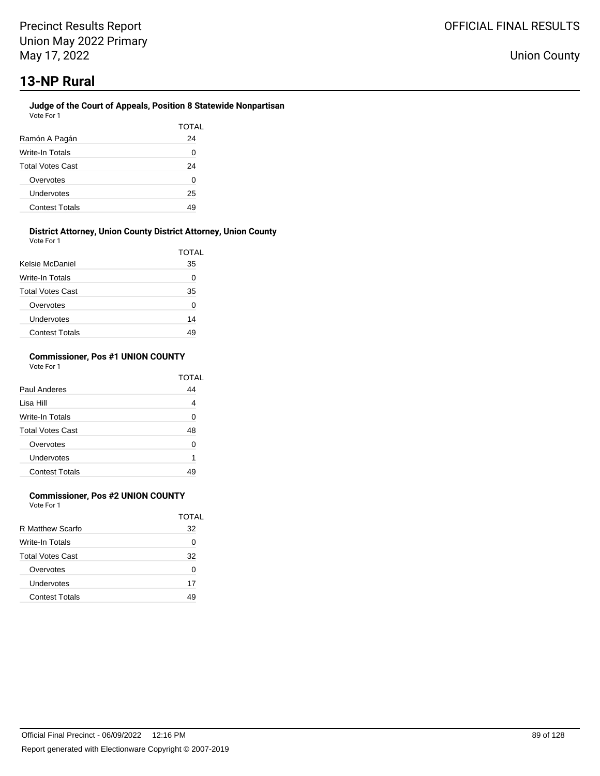#### **Judge of the Court of Appeals, Position 8 Statewide Nonpartisan** Vote For 1

|                         | TOTAL |
|-------------------------|-------|
| Ramón A Pagán           | 24    |
| Write-In Totals         | 0     |
| <b>Total Votes Cast</b> | 24    |
| Overvotes               | 0     |
| Undervotes              | 25    |
| <b>Contest Totals</b>   | 49    |

## **District Attorney, Union County District Attorney, Union County**

| Vote For 1              |       |
|-------------------------|-------|
|                         | TOTAL |
| Kelsie McDaniel         | 35    |
| Write-In Totals         | Ω     |
| <b>Total Votes Cast</b> | 35    |
| Overvotes               | 0     |
| Undervotes              | 14    |
| <b>Contest Totals</b>   | 49    |

### **Commissioner, Pos #1 UNION COUNTY** Vote For 1

|                         | TOTAL |
|-------------------------|-------|
| Paul Anderes            | 44    |
| Lisa Hill               | 4     |
| Write-In Totals         | U     |
| <b>Total Votes Cast</b> | 48    |
| Overvotes               | U     |
| Undervotes              | 1     |
| <b>Contest Totals</b>   |       |

## **Commissioner, Pos #2 UNION COUNTY**

Vote For 1

|                         | TOTAI |
|-------------------------|-------|
| R Matthew Scarfo        | 32    |
| Write-In Totals         | Ω     |
| <b>Total Votes Cast</b> | 32    |
| Overvotes               | O     |
| Undervotes              | 17    |
| <b>Contest Totals</b>   |       |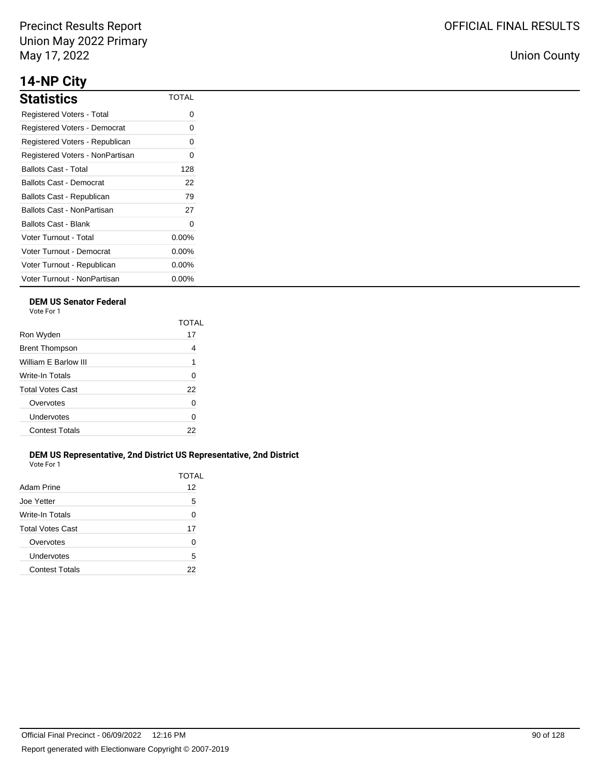## **14-NP City**

| <b>Statistics</b>               | <b>TOTAL</b> |
|---------------------------------|--------------|
| Registered Voters - Total       | Ω            |
| Registered Voters - Democrat    | ი            |
| Registered Voters - Republican  | Ω            |
| Registered Voters - NonPartisan | ი            |
| Ballots Cast - Total            | 128          |
| Ballots Cast - Democrat         | 22           |
| Ballots Cast - Republican       | 79           |
| Ballots Cast - NonPartisan      | 27           |
| Ballots Cast - Blank            | 0            |
| Voter Turnout - Total           | $0.00\%$     |
| Voter Turnout - Democrat        | $0.00\%$     |
| Voter Turnout - Republican      | $0.00\%$     |
| Voter Turnout - NonPartisan     | $0.00\%$     |

## **DEM US Senator Federal**

Vote For 1

|                         | TOTAI |
|-------------------------|-------|
| Ron Wyden               | 17    |
| <b>Brent Thompson</b>   | 4     |
| William E Barlow III    | 1     |
| Write-In Totals         | 0     |
| <b>Total Votes Cast</b> | 22    |
| Overvotes               | 0     |
| Undervotes              | 0     |
| <b>Contest Totals</b>   | 22    |
|                         |       |

## **DEM US Representative, 2nd District US Representative, 2nd District** Vote For 1

| Adam Prine              | TOTAL<br>12 |
|-------------------------|-------------|
| Joe Yetter              | 5           |
| Write-In Totals         | 0           |
| <b>Total Votes Cast</b> | 17          |
| Overvotes               | O           |
| Undervotes              | 5           |
| <b>Contest Totals</b>   | 22          |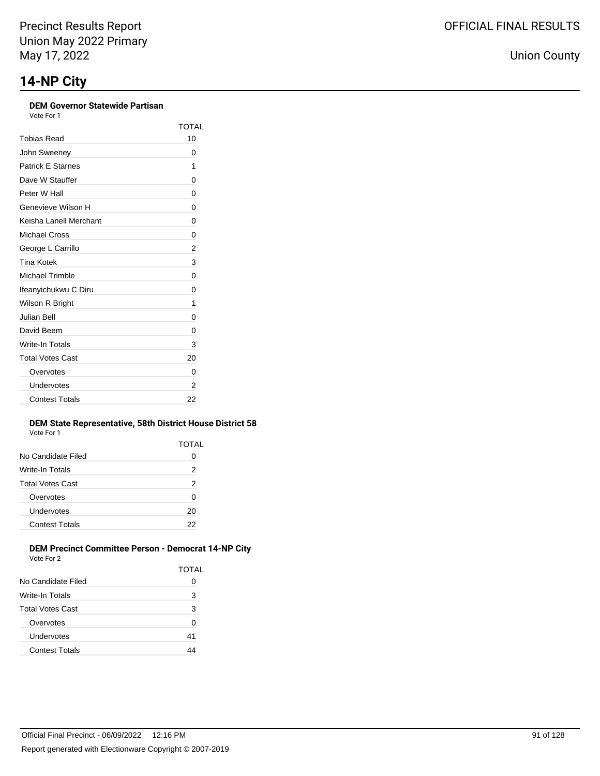## **DEM Governor Statewide Partisan**

Vote For 1

|                          | TOTAI |
|--------------------------|-------|
| Tobias Read              | 10    |
| John Sweeney             | 0     |
| <b>Patrick E Starnes</b> | 1     |
| Dave W Stauffer          | 0     |
| Peter W Hall             | 0     |
| Genevieve Wilson H       | 0     |
| Keisha Lanell Merchant   | 0     |
| Michael Cross            | 0     |
| George L Carrillo        | 2     |
| Tina Kotek               | 3     |
| <b>Michael Trimble</b>   | 0     |
| Ifeanyichukwu C Diru     | 0     |
| Wilson R Bright          | 1     |
| Julian Bell              | 0     |
| David Beem               | 0     |
| Write-In Totals          | 3     |
| <b>Total Votes Cast</b>  | 20    |
| Overvotes                | 0     |
| Undervotes               | 2     |
| <b>Contest Totals</b>    | 22    |

### **DEM State Representative, 58th District House District 58** Vote For 1

|                       | TOTAL |
|-----------------------|-------|
| No Candidate Filed    | Ω     |
| Write-In Totals       | 2     |
| Total Votes Cast      | 2     |
| Overvotes             | 0     |
| Undervotes            | 20    |
| <b>Contest Totals</b> | 22    |
|                       |       |

#### **DEM Precinct Committee Person - Democrat 14-NP City** Vote For 2

| $\mathbf{v}$ $\mathbf{v}$ $\mathbf{v}$ $\mathbf{v}$ $\mathbf{v}$ $\mathbf{v}$ |       |
|-------------------------------------------------------------------------------|-------|
|                                                                               | TOTAL |
| No Candidate Filed                                                            | 0     |
| Write-In Totals                                                               | 3     |
| Total Votes Cast                                                              | 3     |
| Overvotes                                                                     | 0     |
| Undervotes                                                                    | 41    |
| <b>Contest Totals</b>                                                         |       |
|                                                                               |       |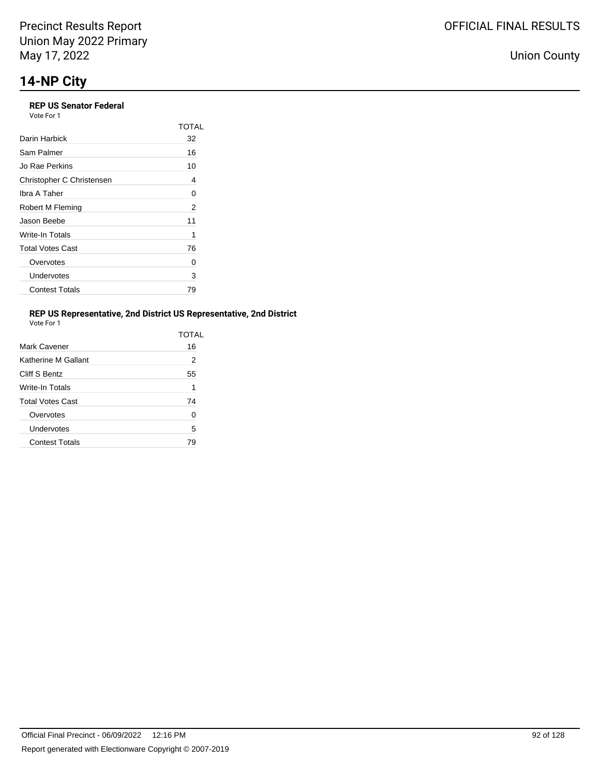#### **REP US Senator Federal** Vote For 1

| VULE FUII                 |       |
|---------------------------|-------|
|                           | TOTAL |
| Darin Harbick             | 32    |
| Sam Palmer                | 16    |
| Jo Rae Perkins            | 10    |
| Christopher C Christensen | 4     |
| Ibra A Taher              | 0     |
| Robert M Fleming          | 2     |
| Jason Beebe               | 11    |
| Write-In Totals           | 1     |
| <b>Total Votes Cast</b>   | 76    |
| Overvotes                 | 0     |
| Undervotes                | 3     |
| <b>Contest Totals</b>     | 79    |

## **REP US Representative, 2nd District US Representative, 2nd District**

| Vote For |  |
|----------|--|

|                         | TOTAL |
|-------------------------|-------|
| Mark Cavener            | 16    |
| Katherine M Gallant     | 2     |
| Cliff S Bentz           | 55    |
| Write-In Totals         | 1     |
| <b>Total Votes Cast</b> | 74    |
| Overvotes               | U     |
| Undervotes              | 5     |
| <b>Contest Totals</b>   | 79    |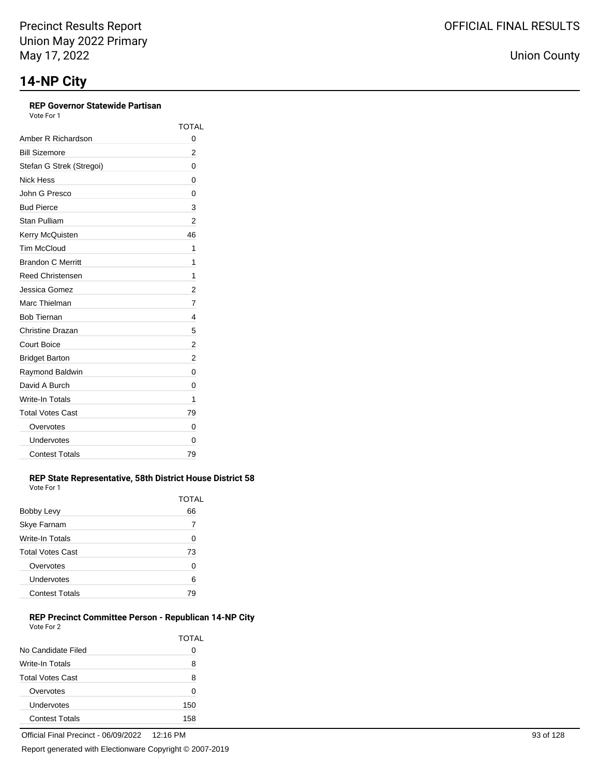## **REP Governor Statewide Partisan**

Vote For 1

|                          | TOTAL |
|--------------------------|-------|
| Amber R Richardson       | 0     |
| <b>Bill Sizemore</b>     | 2     |
| Stefan G Strek (Stregoi) | 0     |
| <b>Nick Hess</b>         | 0     |
| John G Presco            | 0     |
| <b>Bud Pierce</b>        | 3     |
| Stan Pulliam             | 2     |
| Kerry McQuisten          | 46    |
| <b>Tim McCloud</b>       | 1     |
| <b>Brandon C Merritt</b> | 1     |
| <b>Reed Christensen</b>  | 1     |
| Jessica Gomez            | 2     |
| Marc Thielman            | 7     |
| <b>Bob Tiernan</b>       | 4     |
| <b>Christine Drazan</b>  | 5     |
| Court Boice              | 2     |
| <b>Bridget Barton</b>    | 2     |
| Raymond Baldwin          | 0     |
| David A Burch            | 0     |
| Write-In Totals          | 1     |
| <b>Total Votes Cast</b>  | 79    |
| Overvotes                | 0     |
| Undervotes               | 0     |
| <b>Contest Totals</b>    | 79    |

#### **REP State Representative, 58th District House District 58** Vote For 1

|                         | TOTAL |
|-------------------------|-------|
| Bobby Levy              | 66    |
| <b>Skye Farnam</b>      | 7     |
| <b>Write-In Totals</b>  | Ω     |
| <b>Total Votes Cast</b> | 73    |
| Overvotes               | O     |
| Undervotes              | 6     |
| <b>Contest Totals</b>   |       |

### **REP Precinct Committee Person - Republican 14-NP City** Vote For 2

|                         | TOTAI |
|-------------------------|-------|
| No Candidate Filed      | 0     |
| Write-In Totals         | 8     |
| <b>Total Votes Cast</b> | 8     |
| Overvotes               | 0     |
| Undervotes              | 150   |
| <b>Contest Totals</b>   | 158   |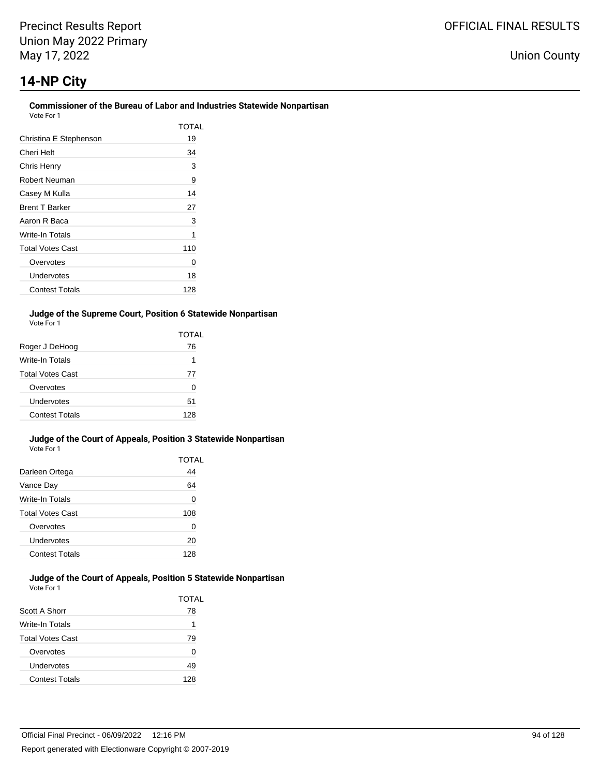## **14-NP City**

#### **Commissioner of the Bureau of Labor and Industries Statewide Nonpartisan** Vote For 1

| 1 U U U                 |       |
|-------------------------|-------|
|                         | TOTAL |
| Christina E Stephenson  | 19    |
| Cheri Helt              | 34    |
| Chris Henry             | 3     |
| Robert Neuman           | 9     |
| Casey M Kulla           | 14    |
| <b>Brent T Barker</b>   | 27    |
| Aaron R Baca            | 3     |
| Write-In Totals         | 1     |
| <b>Total Votes Cast</b> | 110   |
| Overvotes               | 0     |
| Undervotes              | 18    |
| <b>Contest Totals</b>   | 128   |

### **Judge of the Supreme Court, Position 6 Statewide Nonpartisan** Vote For 1

|                         | TOTAL |
|-------------------------|-------|
| Roger J DeHoog          | 76    |
| Write-In Totals         | 1     |
| <b>Total Votes Cast</b> | 77    |
| Overvotes               | O     |
| Undervotes              | 51    |
| Contest Totals          | 128   |

#### **Judge of the Court of Appeals, Position 3 Statewide Nonpartisan** Vote For 1

|                         | TOTAL |
|-------------------------|-------|
| Darleen Ortega          | 44    |
| Vance Day               | 64    |
| Write-In Totals         | 0     |
| <b>Total Votes Cast</b> | 108   |
| Overvotes               | 0     |
| Undervotes              | 20    |
| <b>Contest Totals</b>   | 128   |

#### **Judge of the Court of Appeals, Position 5 Statewide Nonpartisan** Vote For 1

|                         | TOTAL |
|-------------------------|-------|
| Scott A Shorr           | 78    |
| <b>Write-In Totals</b>  | 1     |
| <b>Total Votes Cast</b> | 79    |
| Overvotes               | 0     |
| Undervotes              | 49    |
| <b>Contest Totals</b>   | 128   |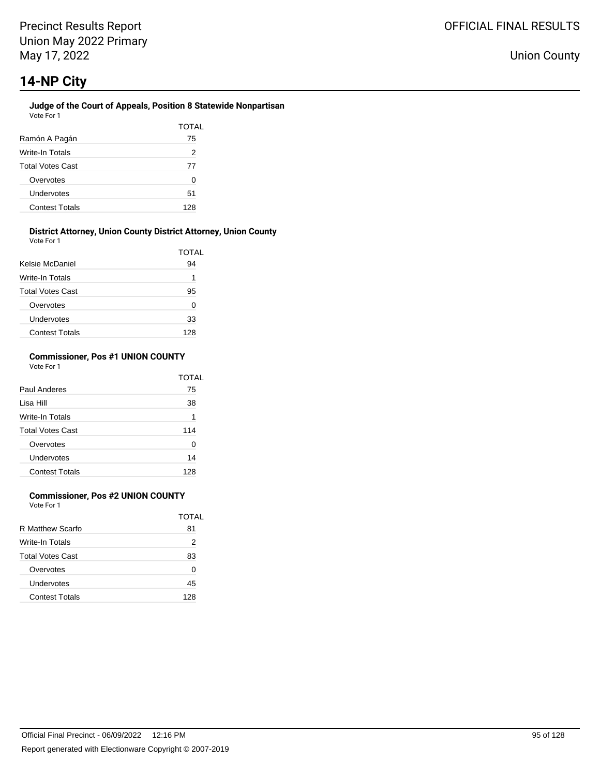### **Judge of the Court of Appeals, Position 8 Statewide Nonpartisan** Vote For 1

|                         | TOTAL |
|-------------------------|-------|
| Ramón A Pagán           | 75    |
| Write-In Totals         | 2     |
| <b>Total Votes Cast</b> | 77    |
| Overvotes               | U     |
| Undervotes              | 51    |
| <b>Contest Totals</b>   | 128   |

#### **District Attorney, Union County District Attorney, Union County** Vote For 1

| <b>VAJIL I MI I</b>     | TOTAL |
|-------------------------|-------|
| Kelsie McDaniel         | 94    |
| Write-In Totals         | 1     |
| <b>Total Votes Cast</b> | 95    |
| Overvotes               | 0     |
| Undervotes              | 33    |
| <b>Contest Totals</b>   | 128   |

### **Commissioner, Pos #1 UNION COUNTY** Vote For 1

|                         | TOTAL |
|-------------------------|-------|
| Paul Anderes            | 75    |
| Lisa Hill               | 38    |
| Write-In Totals         | 1     |
| <b>Total Votes Cast</b> | 114   |
| Overvotes               | U     |
| Undervotes              | 14    |
| <b>Contest Totals</b>   | 128   |

## **Commissioner, Pos #2 UNION COUNTY**

Vote For 1

|                         | TOTAI |
|-------------------------|-------|
| R Matthew Scarfo        | 81    |
| Write-In Totals         | 2     |
| <b>Total Votes Cast</b> | 83    |
| Overvotes               | Ω     |
| Undervotes              | 45    |
| <b>Contest Totals</b>   | 128   |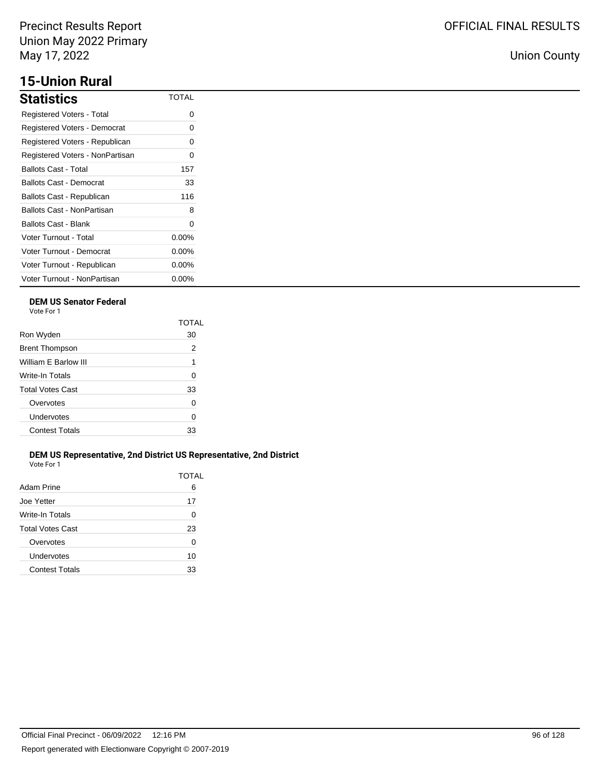# **15-Union Rural**

| <b>Statistics</b>               | TOTAL    |
|---------------------------------|----------|
| Registered Voters - Total       | ი        |
| Registered Voters - Democrat    | 0        |
| Registered Voters - Republican  | 0        |
| Registered Voters - NonPartisan | ი        |
| Ballots Cast - Total            | 157      |
| Ballots Cast - Democrat         | 33       |
| Ballots Cast - Republican       | 116      |
| Ballots Cast - NonPartisan      | 8        |
| Ballots Cast - Blank            | 0        |
| Voter Turnout - Total           | $0.00\%$ |
| Voter Turnout - Democrat        | $0.00\%$ |
| Voter Turnout - Republican      | $0.00\%$ |
| Voter Turnout - NonPartisan     | $0.00\%$ |

## **DEM US Senator Federal**

Vote For 1

|                         | TOTAI |
|-------------------------|-------|
| Ron Wyden               | 30    |
| <b>Brent Thompson</b>   | 2     |
| William E Barlow III    | 1     |
| Write-In Totals         | 0     |
| <b>Total Votes Cast</b> | 33    |
| Overvotes               | 0     |
| Undervotes              | 0     |
| <b>Contest Totals</b>   | 33    |
|                         |       |

## **DEM US Representative, 2nd District US Representative, 2nd District** Vote For 1

|                       | TOTAL |
|-----------------------|-------|
| Adam Prine            | 6     |
| Joe Yetter            | 17    |
| Write-In Totals       | 0     |
| Total Votes Cast      | 23    |
| Overvotes             | 0     |
| Undervotes            | 10    |
| <b>Contest Totals</b> | 33    |
|                       |       |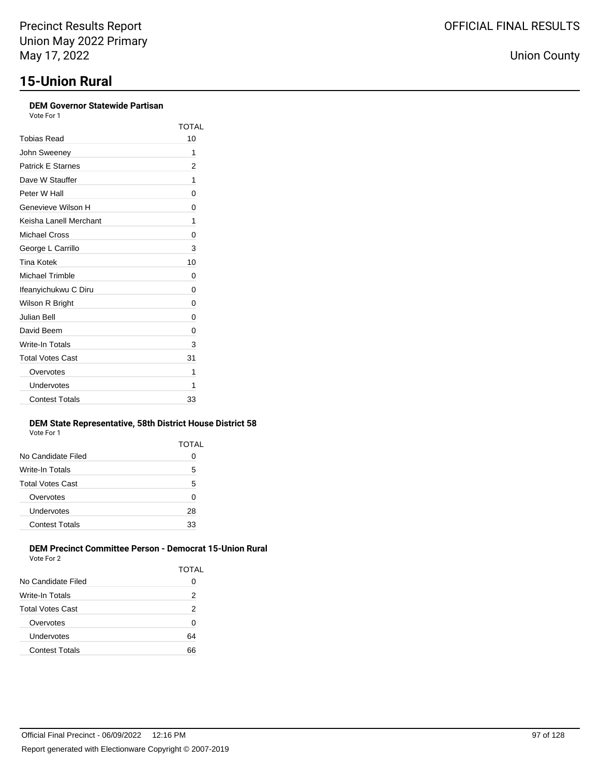| <b>DEM Governor Statewide Partisan</b><br>Vote For 1 |       |
|------------------------------------------------------|-------|
|                                                      | TOTAL |
| Tobias Read                                          | 10    |
| John Sweeney                                         | 1     |
| <b>Patrick E Starnes</b>                             | 2     |
| Dave W Stauffer                                      | 1     |
| Peter W Hall                                         | 0     |
| Genevieve Wilson H                                   | 0     |
| Keisha Lanell Merchant                               | 1     |
| Michael Cross                                        | 0     |
| George L Carrillo                                    | 3     |
| <b>Tina Kotek</b>                                    | 10    |
| <b>Michael Trimble</b>                               | 0     |
| Ifeanyichukwu C Diru                                 | 0     |
| Wilson R Bright                                      | 0     |
| <b>Julian Bell</b>                                   | 0     |
| David Beem                                           | 0     |
| Write-In Totals                                      | 3     |
| <b>Total Votes Cast</b>                              | 31    |
| Overvotes                                            | 1     |
| Undervotes                                           | 1     |
| <b>Contest Totals</b>                                | 33    |

### **DEM State Representative, 58th District House District 58** Vote For 1

|                         | TOTAL |
|-------------------------|-------|
| No Candidate Filed      | O     |
| Write-In Totals         | 5     |
| <b>Total Votes Cast</b> | 5     |
| Overvotes               | 0     |
| Undervotes              | 28    |
| <b>Contest Totals</b>   | 33    |
|                         |       |

#### **DEM Precinct Committee Person - Democrat 15-Union Rural** Vote For 2

|                         | TOTAL |
|-------------------------|-------|
| No Candidate Filed      | 0     |
| Write-In Totals         | 2     |
| <b>Total Votes Cast</b> | 2     |
| Overvotes               | 0     |
| Undervotes              | 64    |
| <b>Contest Totals</b>   | 66    |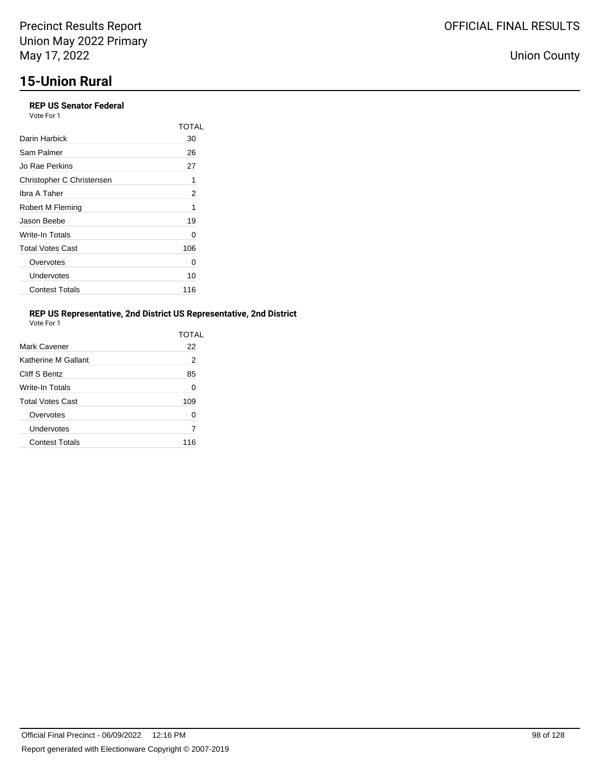## **REP US Senator Federal**

| REP US Senator Federal<br>Vote For 1 |       |
|--------------------------------------|-------|
|                                      | TOTAL |
| Darin Harbick                        | 30    |
| Sam Palmer                           | 26    |
| Jo Rae Perkins                       | 27    |
| Christopher C Christensen            | 1     |
| Ibra A Taher                         | 2     |
| Robert M Fleming                     | 1     |
| Jason Beebe                          | 19    |
| Write-In Totals                      | Ω     |
| <b>Total Votes Cast</b>              | 106   |
| Overvotes                            | 0     |
| Undervotes                           | 10    |
| <b>Contest Totals</b>                | 116   |
|                                      |       |

## **REP US Representative, 2nd District US Representative, 2nd District**

| Vote For |  |
|----------|--|
|          |  |

|                         | TOTAL |
|-------------------------|-------|
| Mark Cavener            | 22    |
| Katherine M Gallant     | 2     |
| Cliff S Bentz           | 85    |
| <b>Write-In Totals</b>  | 0     |
| <b>Total Votes Cast</b> | 109   |
| Overvotes               | O     |
| Undervotes              | 7     |
| <b>Contest Totals</b>   | 116   |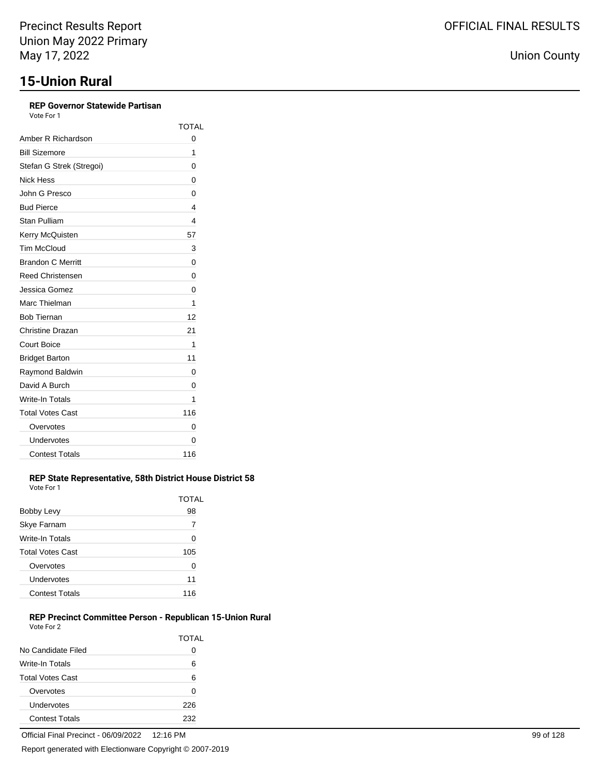## **REP Governor Statewide Partisan**

Vote For 1

|                          | <b>TOTAL</b> |
|--------------------------|--------------|
| Amber R Richardson       | 0            |
| <b>Bill Sizemore</b>     | 1            |
| Stefan G Strek (Stregoi) | 0            |
| Nick Hess                | 0            |
| John G Presco            | 0            |
| <b>Bud Pierce</b>        | 4            |
| Stan Pulliam             | 4            |
| Kerry McQuisten          | 57           |
| <b>Tim McCloud</b>       | 3            |
| <b>Brandon C Merritt</b> | 0            |
| Reed Christensen         | 0            |
| Jessica Gomez            | 0            |
| Marc Thielman            | 1            |
| <b>Bob Tiernan</b>       | 12           |
| Christine Drazan         | 21           |
| Court Boice              | 1            |
| <b>Bridget Barton</b>    | 11           |
| Raymond Baldwin          | 0            |
| David A Burch            | 0            |
| Write-In Totals          | 1            |
| <b>Total Votes Cast</b>  | 116          |
| Overvotes                | 0            |
| Undervotes               | 0            |
| <b>Contest Totals</b>    | 116          |

#### **REP State Representative, 58th District House District 58** Vote For 1

| Bobby Levy              | TOTAL<br>98 |
|-------------------------|-------------|
| Skye Farnam             | 7           |
| Write-In Totals         | 0           |
| <b>Total Votes Cast</b> | 105         |
| Overvotes               | 0           |
| Undervotes              | 11          |
| <b>Contest Totals</b>   | 116         |

### **REP Precinct Committee Person - Republican 15-Union Rural** Vote For 2

|                         | TOTAL        |
|-------------------------|--------------|
| No Candidate Filed      | $\mathbf{O}$ |
| Write-In Totals         | 6            |
| <b>Total Votes Cast</b> | 6            |
| Overvotes               | O            |
| Undervotes              | 226          |
| <b>Contest Totals</b>   | 232          |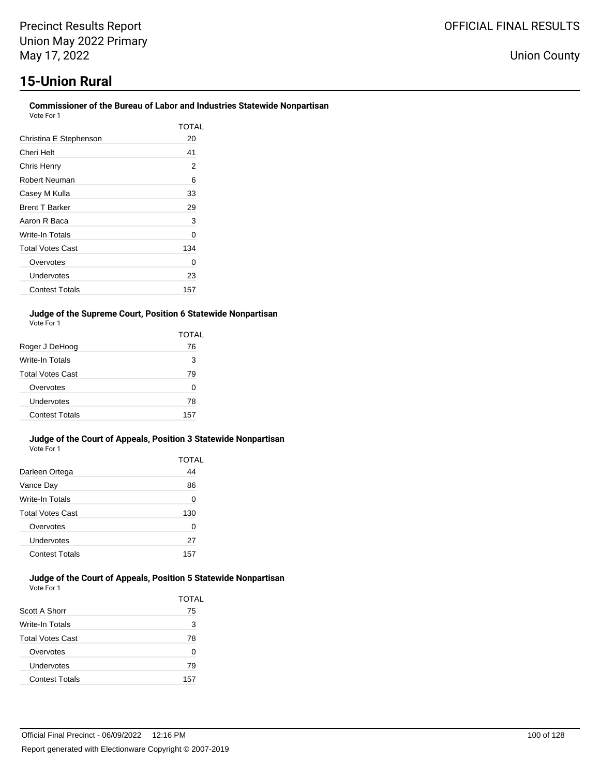## **Commissioner of the Bureau of Labor and Industries Statewide Nonpartisan**

| Vote For 1 |  |
|------------|--|
|------------|--|

|                         | TOTAL |
|-------------------------|-------|
| Christina E Stephenson  | 20    |
| Cheri Helt              | 41    |
| Chris Henry             | 2     |
| Robert Neuman           | 6     |
| Casey M Kulla           | 33    |
| <b>Brent T Barker</b>   | 29    |
| Aaron R Baca            | 3     |
| Write-In Totals         | 0     |
| <b>Total Votes Cast</b> | 134   |
| Overvotes               | Ω     |
| Undervotes              | 23    |
| <b>Contest Totals</b>   | 157   |

## **Judge of the Supreme Court, Position 6 Statewide Nonpartisan** Vote For 1

|                         | TOTAL |
|-------------------------|-------|
| Roger J DeHoog          | 76    |
| <b>Write-In Totals</b>  | 3     |
| <b>Total Votes Cast</b> | 79    |
| Overvotes               | O     |
| Undervotes              | 78    |
| <b>Contest Totals</b>   | 157   |

#### **Judge of the Court of Appeals, Position 3 Statewide Nonpartisan** Vote For 1

|                         | TOTAL |
|-------------------------|-------|
| Darleen Ortega          | 44    |
| Vance Day               | 86    |
| Write-In Totals         | 0     |
| <b>Total Votes Cast</b> | 130   |
| Overvotes               | O     |
| Undervotes              | 27    |
| <b>Contest Totals</b>   | 157   |

#### **Judge of the Court of Appeals, Position 5 Statewide Nonpartisan** Vote For 1

|                         | TOTAL |
|-------------------------|-------|
| Scott A Shorr           | 75    |
| <b>Write-In Totals</b>  | 3     |
| <b>Total Votes Cast</b> | 78    |
| Overvotes               | 0     |
| Undervotes              | 79    |
| <b>Contest Totals</b>   | 157   |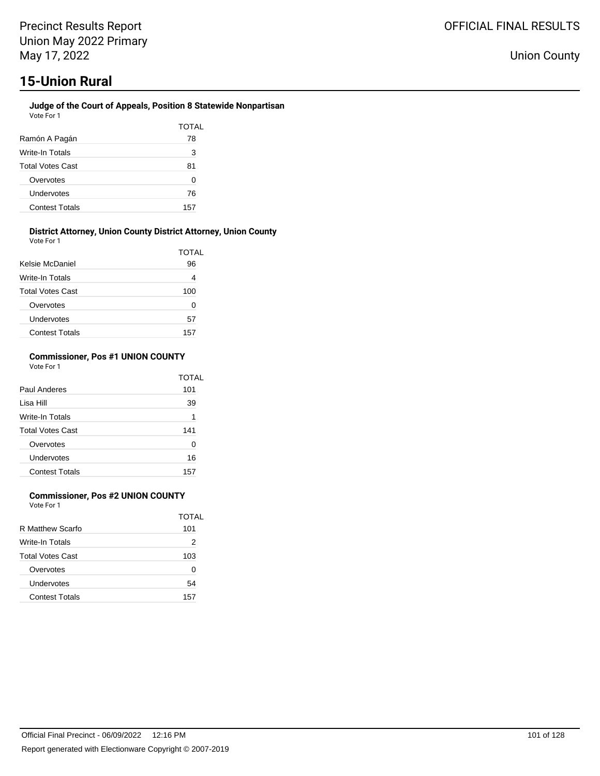#### **Judge of the Court of Appeals, Position 8 Statewide Nonpartisan** Vote For 1

|                         | TOTAL |
|-------------------------|-------|
| Ramón A Pagán           | 78    |
| Write-In Totals         | 3     |
| <b>Total Votes Cast</b> | 81    |
| Overvotes               | O     |
| Undervotes              | 76    |
| <b>Contest Totals</b>   | 157   |

#### **District Attorney, Union County District Attorney, Union County** Vote For 1

| <b>VAJIL I MI I</b>     | <b>TOTAL</b> |
|-------------------------|--------------|
| Kelsie McDaniel         | 96           |
| Write-In Totals         | 4            |
| <b>Total Votes Cast</b> | 100          |
| Overvotes               | 0            |
| Undervotes              | 57           |
| <b>Contest Totals</b>   | 157          |

### **Commissioner, Pos #1 UNION COUNTY** Vote For 1

|                         | TOTAI |
|-------------------------|-------|
| Paul Anderes            | 101   |
| Lisa Hill               | 39    |
| Write-In Totals         | 1     |
| <b>Total Votes Cast</b> | 141   |
| Overvotes               | O     |
| Undervotes              | 16    |
| <b>Contest Totals</b>   | 157   |

## **Commissioner, Pos #2 UNION COUNTY**

Vote For 1

|                         | TOTAI |
|-------------------------|-------|
| R Matthew Scarfo        | 101   |
| Write-In Totals         | 2     |
| <b>Total Votes Cast</b> | 103   |
| Overvotes               | 0     |
| Undervotes              | 54    |
| <b>Contest Totals</b>   | 157   |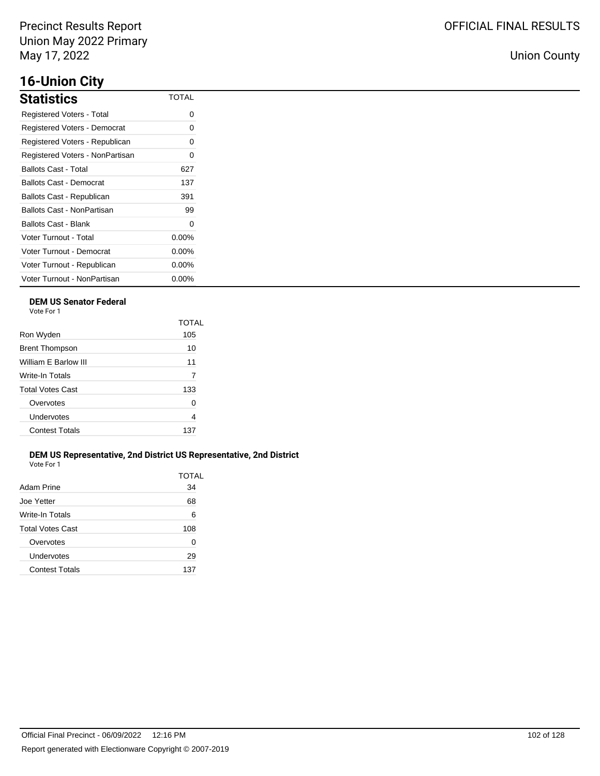# **16-Union City**

| Statistics                      | <b>TOTAL</b> |
|---------------------------------|--------------|
| Registered Voters - Total       | 0            |
| Registered Voters - Democrat    | 0            |
| Registered Voters - Republican  | 0            |
| Registered Voters - NonPartisan | O            |
| Ballots Cast - Total            | 627          |
| Ballots Cast - Democrat         | 137          |
| Ballots Cast - Republican       | 391          |
| Ballots Cast - NonPartisan      | 99           |
| Ballots Cast - Blank            | 0            |
| <b>Voter Turnout - Total</b>    | $0.00\%$     |
| Voter Turnout - Democrat        | $0.00\%$     |
| Voter Turnout - Republican      | $0.00\%$     |
| Voter Turnout - NonPartisan     | $0.00\%$     |

## **DEM US Senator Federal**

Vote For 1

|                         | TOTAI |
|-------------------------|-------|
| Ron Wyden               | 105   |
| <b>Brent Thompson</b>   | 10    |
| William F Barlow III    | 11    |
| Write-In Totals         | 7     |
| <b>Total Votes Cast</b> | 133   |
| Overvotes               | O     |
| Undervotes              | 4     |
| <b>Contest Totals</b>   | 137   |
|                         |       |

## **DEM US Representative, 2nd District US Representative, 2nd District** Vote For 1

| Adam Prine            | TOTAL<br>34 |
|-----------------------|-------------|
| Joe Yetter            | 68          |
| Write-In Totals       | 6           |
| Total Votes Cast      | 108         |
| Overvotes             | 0           |
| Undervotes            | 29          |
| <b>Contest Totals</b> | 137         |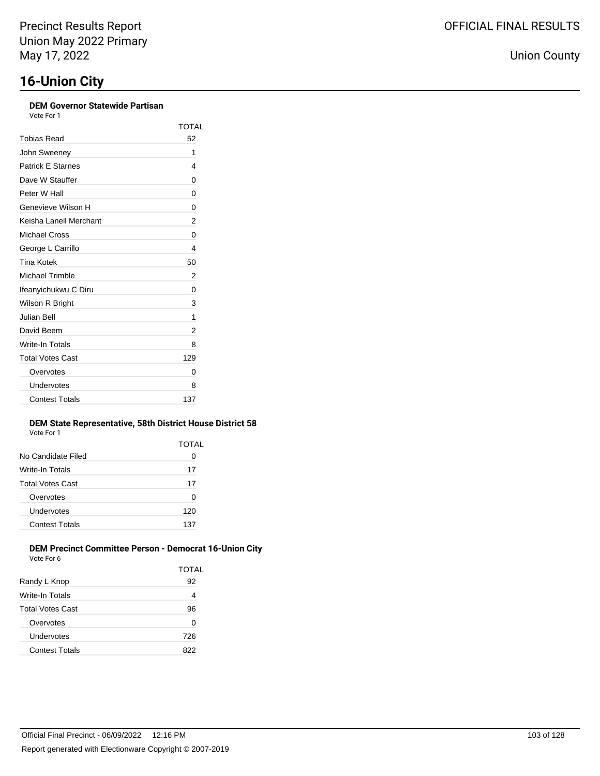| <b>DEM Governor Statewide Partisan</b><br>Vote For 1 |      |
|------------------------------------------------------|------|
|                                                      | TOT, |
| Tobias Read                                          | 52   |
| John Sweeney                                         | 1    |
| <b>Patrick E Starnes</b>                             | 4    |
| Dave W Stauffer                                      | 0    |
| Peter W Hall                                         | 0    |
| Genevieve Wilson H                                   | 0    |
| Keisha Lanell Merchant                               | 2    |
| <b>Michael Cross</b>                                 | 0    |
| George L Carrillo                                    | 4    |
| Tina Kotek                                           | 50   |
| <b>Michael Trimble</b>                               | 2    |
| Ifeanyichukwu C Diru                                 | 0    |
| Wilson R Bright                                      | 3    |
| Julian Bell                                          | 1    |
|                                                      |      |

| $11101$ NULCA         | ◡◡  |
|-----------------------|-----|
| Michael Trimble       | 2   |
| Ifeanyichukwu C Diru  | 0   |
| Wilson R Bright       | 3   |
| Julian Bell           | 1   |
| David Beem            | 2   |
| Write-In Totals       | 8   |
| Total Votes Cast      | 129 |
| Overvotes             | 0   |
| Undervotes            | 8   |
| <b>Contest Totals</b> | 137 |

### **Dem State Bistrict 58** Vote For 1

TOTAL

| <b>VALLET LITTLE</b>    |       |
|-------------------------|-------|
|                         | TOTAL |
| No Candidate Filed      | 0     |
| Write-In Totals         | 17    |
| <b>Total Votes Cast</b> | 17    |
| Overvotes               | 0     |
| Undervotes              | 120   |
| <b>Contest Totals</b>   | 137   |
|                         |       |

### **DEM Precinct Committee Person - Democrat 16-Union City** Vote For 6

| <u>vuusi ulu</u>        | <b>TOTAL</b> |
|-------------------------|--------------|
| Randy L Knop            | 92           |
| Write-In Totals         | 4            |
| <b>Total Votes Cast</b> | 96           |
| Overvotes               | 0            |
| Undervotes              | 726          |
| <b>Contest Totals</b>   | 822          |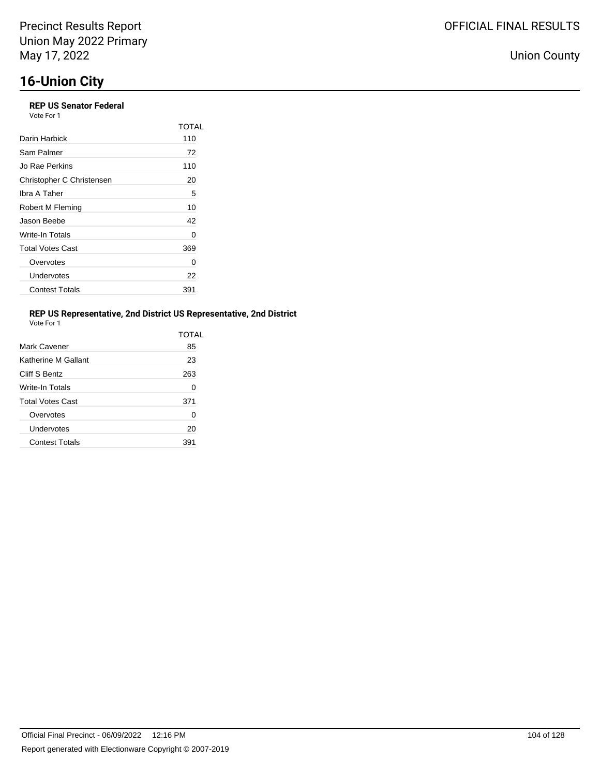# **16-Union City**

## **REP US Senator Federal**

| Vote For 1 |  |
|------------|--|
|------------|--|

|                           | TOTAL |
|---------------------------|-------|
| Darin Harbick             | 110   |
| Sam Palmer                | 72    |
| Jo Rae Perkins            | 110   |
| Christopher C Christensen | 20    |
| Ibra A Taher              | 5     |
| Robert M Fleming          | 10    |
| Jason Beebe               | 42    |
| Write-In Totals           | 0     |
| <b>Total Votes Cast</b>   | 369   |
| Overvotes                 | O     |
| Undervotes                | 22    |
| <b>Contest Totals</b>     | 391   |

## **REP US Representative, 2nd District US Representative, 2nd District**

| Vote For |  |
|----------|--|
|          |  |

|                         | TOTAL |
|-------------------------|-------|
| Mark Cavener            | 85    |
| Katherine M Gallant     | 23    |
| Cliff S Bentz           | 263   |
| <b>Write-In Totals</b>  | 0     |
| <b>Total Votes Cast</b> | 371   |
| Overvotes               | 0     |
| Undervotes              | 20    |
| <b>Contest Totals</b>   | 391   |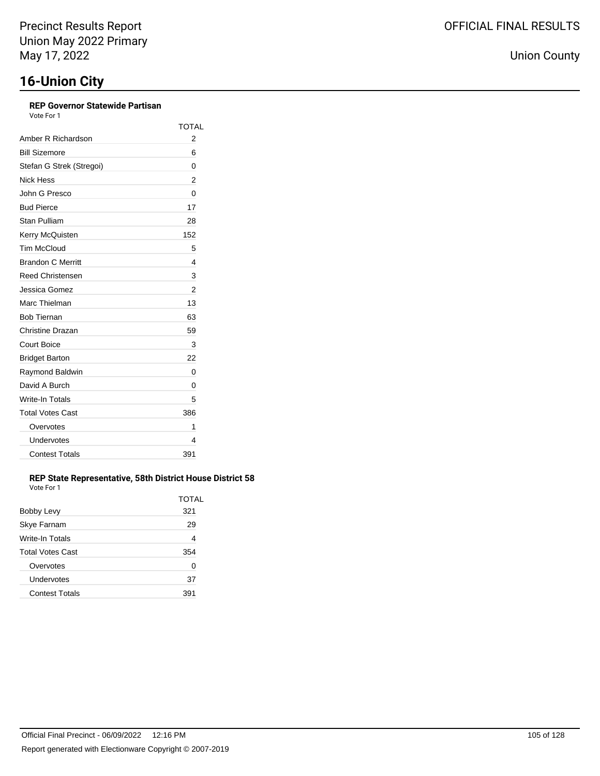## **REP Governor Statewide Partisan**

Vote For 1

|                          | <b>TOTAL</b> |
|--------------------------|--------------|
| Amber R Richardson       | 2            |
| <b>Bill Sizemore</b>     | 6            |
| Stefan G Strek (Stregoi) | 0            |
| Nick Hess                | 2            |
| John G Presco            | 0            |
| <b>Bud Pierce</b>        | 17           |
| Stan Pulliam             | 28           |
| Kerry McQuisten          | 152          |
| <b>Tim McCloud</b>       | 5            |
| <b>Brandon C Merritt</b> | 4            |
| <b>Reed Christensen</b>  | 3            |
| Jessica Gomez            | 2            |
| Marc Thielman            | 13           |
| <b>Bob Tiernan</b>       | 63           |
| Christine Drazan         | 59           |
| <b>Court Boice</b>       | 3            |
| <b>Bridget Barton</b>    | 22           |
| Raymond Baldwin          | 0            |
| David A Burch            | 0            |
| Write-In Totals          | 5            |
| <b>Total Votes Cast</b>  | 386          |
| Overvotes                | 1            |
| Undervotes               | 4            |
| <b>Contest Totals</b>    | 391          |

## **REP State Representative, 58th District House District 58** Vote For 1

|                         | TOTAL |
|-------------------------|-------|
| <b>Bobby Levy</b>       | 321   |
| Skye Farnam             | 29    |
| Write-In Totals         | 4     |
| <b>Total Votes Cast</b> | 354   |
| Overvotes               | 0     |
| Undervotes              | 37    |
| <b>Contest Totals</b>   | 391   |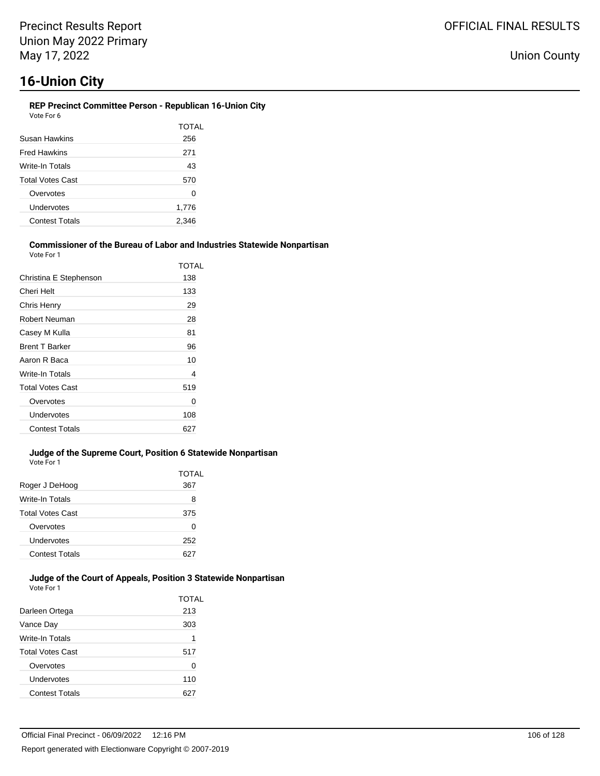#### **REP Precinct Committee Person - Republican 16-Union City** Vote For 6

|                         | TOTAL |
|-------------------------|-------|
|                         |       |
| Susan Hawkins           | 256   |
| <b>Fred Hawkins</b>     | 271   |
| Write-In Totals         | 43    |
| <b>Total Votes Cast</b> | 570   |
| Overvotes               | 0     |
| Undervotes              | 1,776 |
| <b>Contest Totals</b>   | 2,346 |
|                         |       |

#### **Commissioner of the Bureau of Labor and Industries Statewide Nonpartisan** Vote For 1

|                         | TOTAL |
|-------------------------|-------|
| Christina E Stephenson  | 138   |
| Cheri Helt              | 133   |
| Chris Henry             | 29    |
| Robert Neuman           | 28    |
| Casey M Kulla           | 81    |
| <b>Brent T Barker</b>   | 96    |
| Aaron R Baca            | 10    |
| Write-In Totals         | 4     |
| <b>Total Votes Cast</b> | 519   |
| Overvotes               | 0     |
| Undervotes              | 108   |
| <b>Contest Totals</b>   | 627   |

#### **Judge of the Supreme Court, Position 6 Statewide Nonpartisan** Vote For 1

|                         | <b>TOTAL</b> |
|-------------------------|--------------|
| Roger J DeHoog          | 367          |
| Write-In Totals         | 8            |
| <b>Total Votes Cast</b> | 375          |
| Overvotes               | 0            |
| Undervotes              | 252          |
| <b>Contest Totals</b>   | 627          |
|                         |              |

#### **Judge of the Court of Appeals, Position 3 Statewide Nonpartisan** Vote For 1

|                         | TOTAL |
|-------------------------|-------|
| Darleen Ortega          | 213   |
| Vance Day               | 303   |
| Write-In Totals         | 1     |
| <b>Total Votes Cast</b> | 517   |
| Overvotes               | 0     |
| Undervotes              | 110   |
| <b>Contest Totals</b>   |       |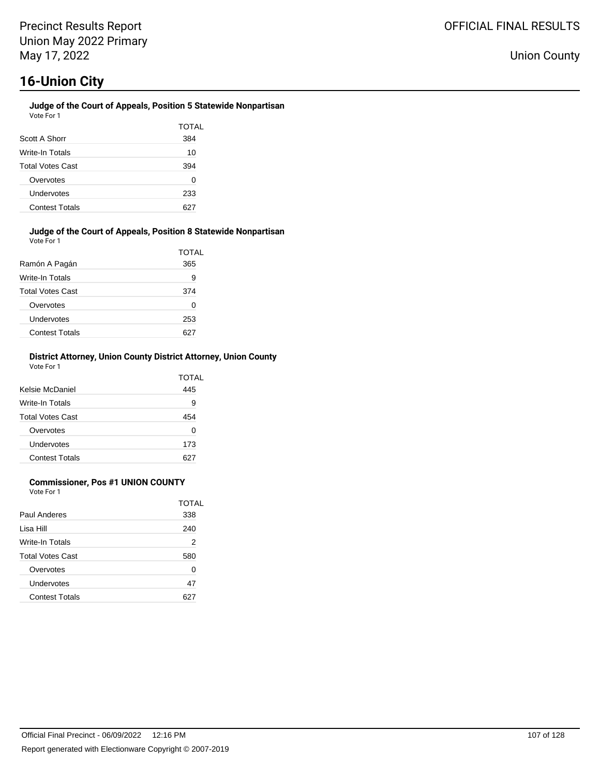### **Judge of the Court of Appeals, Position 5 Statewide Nonpartisan** Vote For 1

| Scott A Shorr           | TOTAL<br>384 |
|-------------------------|--------------|
| Write-In Totals         | 10           |
| <b>Total Votes Cast</b> | 394          |
| Overvotes               | 0            |
| Undervotes              | 233          |
| <b>Contest Totals</b>   |              |

#### **Judge of the Court of Appeals, Position 8 Statewide Nonpartisan** Vote For 1

| Ramón A Pagán           | TOTAL<br>365 |
|-------------------------|--------------|
| Write-In Totals         | 9            |
| <b>Total Votes Cast</b> | 374          |
| Overvotes               | 0            |
| Undervotes              | 253          |
| <b>Contest Totals</b>   |              |

### **District Attorney, Union County District Attorney, Union County** Vote For 1

| Kelsie McDaniel         | TOTAL<br>445 |
|-------------------------|--------------|
| Write-In Totals         | 9            |
| <b>Total Votes Cast</b> | 454          |
| Overvotes               | 0            |
| Undervotes              | 173          |
| <b>Contest Totals</b>   |              |

## **Commissioner, Pos #1 UNION COUNTY**

Vote For 1

|                         | TOTAL |
|-------------------------|-------|
| Paul Anderes            | 338   |
| l isa Hill              | 240   |
| Write-In Totals         | 2     |
| <b>Total Votes Cast</b> | 580   |
| Overvotes               | 0     |
| Undervotes              | 47    |
| <b>Contest Totals</b>   |       |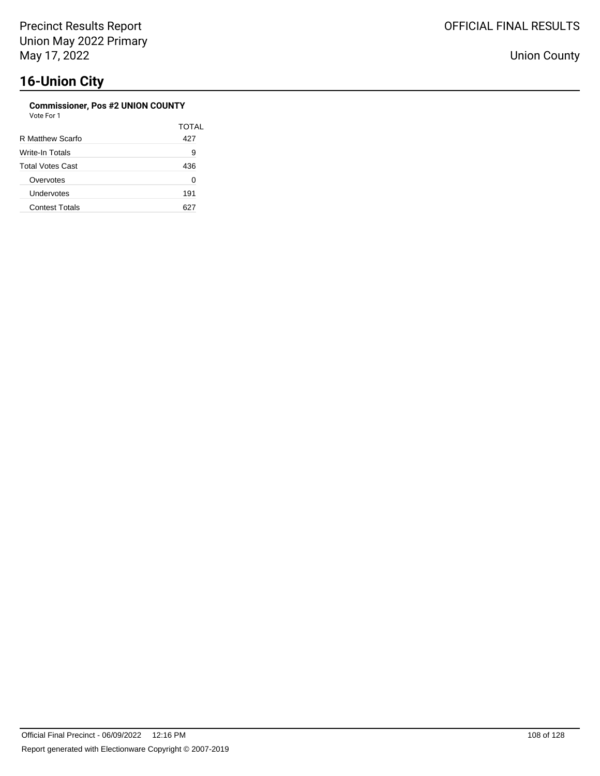## **Commissioner, Pos #2 UNION COUNTY**

TOTAL

| Vote For 1       |      |
|------------------|------|
|                  | TOT. |
| R Matthew Scarfo | 427  |
| Write-In Totals  | 9    |
|                  |      |

| Total Votes Cast      | 436 |
|-----------------------|-----|
| Overvotes             |     |
| Undervotes            | 191 |
| <b>Contest Totals</b> |     |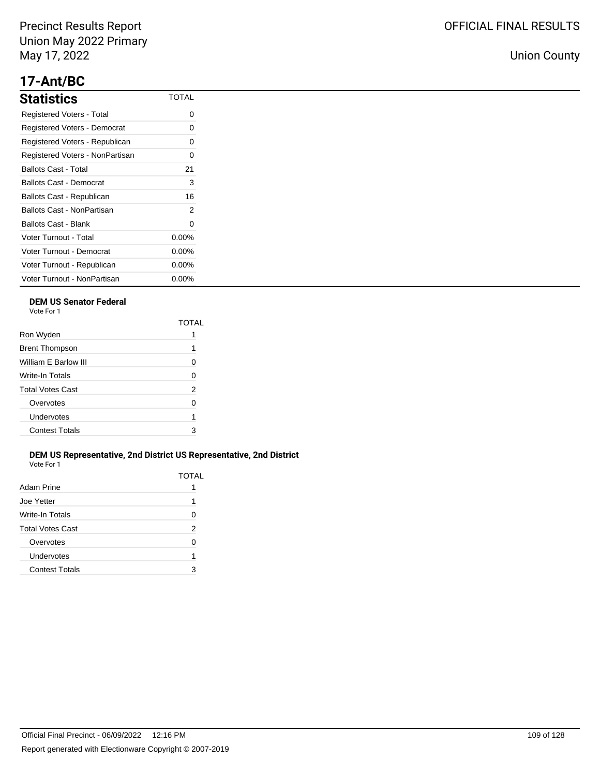# **17-Ant/BC**

| <b>Statistics</b>               | <b>TOTAL</b> |
|---------------------------------|--------------|
| Registered Voters - Total       | 0            |
| Registered Voters - Democrat    | 0            |
| Registered Voters - Republican  | 0            |
| Registered Voters - NonPartisan | $\Omega$     |
| Ballots Cast - Total            | 21           |
| Ballots Cast - Democrat         | 3            |
| Ballots Cast - Republican       | 16           |
| Ballots Cast - NonPartisan      | 2            |
| Ballots Cast - Blank            | 0            |
| Voter Turnout - Total           | $0.00\%$     |
| Voter Turnout - Democrat        | $0.00\%$     |
| Voter Turnout - Republican      | $0.00\%$     |
| Voter Turnout - NonPartisan     | $0.00\%$     |

## **DEM US Senator Federal**

Vote For 1

|                         | TOTAI |
|-------------------------|-------|
| Ron Wyden               |       |
| <b>Brent Thompson</b>   | 1     |
| William E Barlow III    | O     |
| Write-In Totals         | 0     |
| <b>Total Votes Cast</b> | 2     |
| Overvotes               | U     |
| Undervotes              | 1     |
| <b>Contest Totals</b>   | 3     |

### **DEM US Representative, 2nd District US Representative, 2nd District** Vote For 1

| Adam Prine              | TOTAL |
|-------------------------|-------|
| Joe Yetter              | 1     |
| Write-In Totals         | 0     |
| <b>Total Votes Cast</b> | 2     |
| Overvotes               | ∩     |
| Undervotes              | 1     |
| <b>Contest Totals</b>   | З     |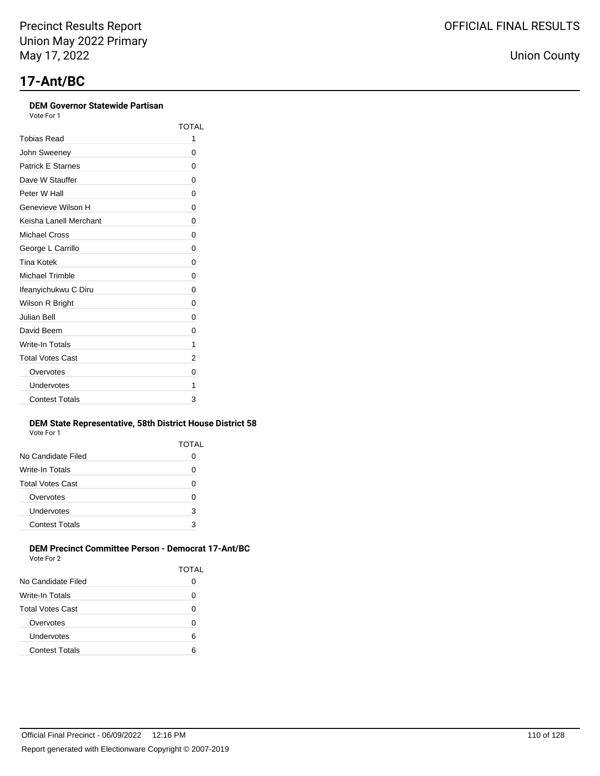### **DEM Governor Statewide Partisan**

Vote For 1

|                          | TOTAL |
|--------------------------|-------|
| Tobias Read              | 1     |
| John Sweeney             | 0     |
| <b>Patrick E Starnes</b> | 0     |
| Dave W Stauffer          | 0     |
| Peter W Hall             | 0     |
| Genevieve Wilson H       | 0     |
| Keisha Lanell Merchant   | 0     |
| Michael Cross            | 0     |
| George L Carrillo        | 0     |
| Tina Kotek               | 0     |
| <b>Michael Trimble</b>   | 0     |
| Ifeanyichukwu C Diru     | 0     |
| Wilson R Bright          | 0     |
| Julian Bell              | 0     |
| David Beem               | 0     |
| Write-In Totals          | 1     |
| <b>Total Votes Cast</b>  | 2     |
| Overvotes                | 0     |
| Undervotes               | 1     |
| <b>Contest Totals</b>    | 3     |

#### **DEM State Representative, 58th District House District 58** Vote For 1

| .                     |       |
|-----------------------|-------|
|                       | TOTAL |
| No Candidate Filed    |       |
| Write-In Totals       | O     |
| Total Votes Cast      | O     |
| Overvotes             | 0     |
| Undervotes            | 3     |
| <b>Contest Totals</b> | 3     |
|                       |       |

### **DEM Precinct Committee Person - Democrat 17-Ant/BC** Vote For 2

| VUEUML                |       |
|-----------------------|-------|
|                       | TOTAL |
| No Candidate Filed    |       |
| Write-In Totals       | 0     |
| Total Votes Cast      | 0     |
| Overvotes             | 0     |
| Undervotes            | 6     |
| <b>Contest Totals</b> | 6     |
|                       |       |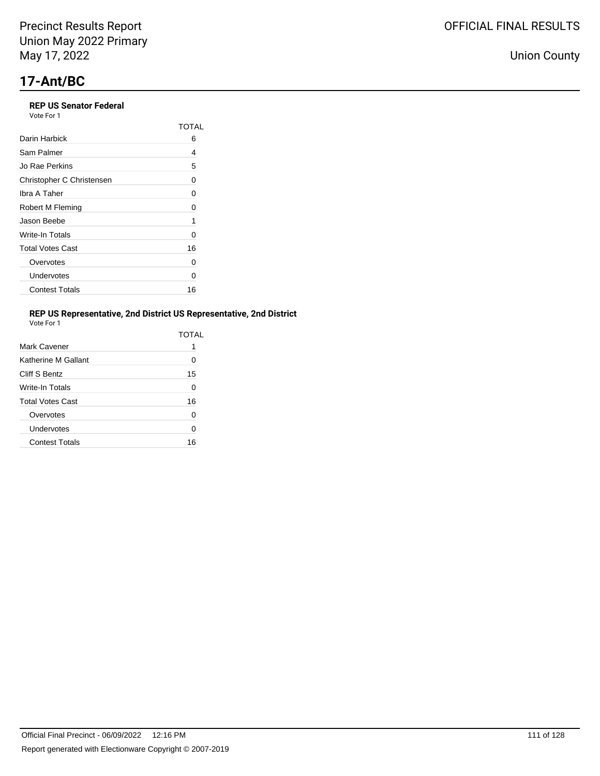## **REP US Senator Federal**

Vote For 1

|                           | TOTAL |
|---------------------------|-------|
| Darin Harbick             | 6     |
| Sam Palmer                | 4     |
| Jo Rae Perkins            | 5     |
| Christopher C Christensen | 0     |
| Ibra A Taher              | 0     |
| Robert M Fleming          | 0     |
| Jason Beebe               | 1     |
| Write-In Totals           | 0     |
| <b>Total Votes Cast</b>   | 16    |
| Overvotes                 | 0     |
| Undervotes                | 0     |
| <b>Contest Totals</b>     | 16    |

## **REP US Representative, 2nd District US Representative, 2nd District**

| Vote For |  |
|----------|--|

|                         | TOTAL    |
|-------------------------|----------|
| Mark Cavener            |          |
| Katherine M Gallant     | 0        |
| Cliff S Bentz           | 15       |
| Write-In Totals         | 0        |
| <b>Total Votes Cast</b> | 16       |
| Overvotes               | $\Omega$ |
| Undervotes              | 0        |
| <b>Contest Totals</b>   | 16       |
|                         |          |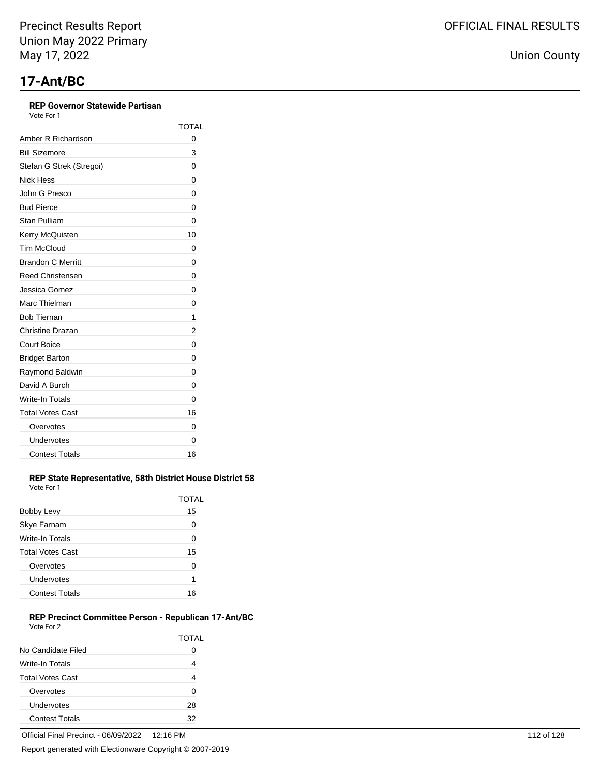## **REP Governor Statewide Partisan**

Vote For 1

|                          | TOTAL |
|--------------------------|-------|
| Amber R Richardson       | 0     |
| <b>Bill Sizemore</b>     | 3     |
| Stefan G Strek (Stregoi) | 0     |
| Nick Hess                | 0     |
| John G Presco            | 0     |
| <b>Bud Pierce</b>        | 0     |
| <b>Stan Pulliam</b>      | 0     |
| Kerry McQuisten          | 10    |
| <b>Tim McCloud</b>       | 0     |
| <b>Brandon C Merritt</b> | 0     |
| <b>Reed Christensen</b>  | 0     |
| Jessica Gomez            | 0     |
| Marc Thielman            | 0     |
| <b>Bob Tiernan</b>       | 1     |
| Christine Drazan         | 2     |
| <b>Court Boice</b>       | 0     |
| <b>Bridget Barton</b>    | 0     |
| Raymond Baldwin          | 0     |
| David A Burch            | 0     |
| Write-In Totals          | 0     |
| <b>Total Votes Cast</b>  | 16    |
| Overvotes                | 0     |
| Undervotes               | 0     |
| <b>Contest Totals</b>    | 16    |

#### **REP State Representative, 58th District House District 58** Vote For 1

|                         | TOTAL |
|-------------------------|-------|
| Bobby Levy              | 15    |
| Skye Farnam             | Ω     |
| Write-In Totals         | 0     |
| <b>Total Votes Cast</b> | 15    |
| Overvotes               | ი     |
| Undervotes              | 1     |
| <b>Contest Totals</b>   | 16    |

### **REP Precinct Committee Person - Republican 17-Ant/BC** Vote For 2

|                         | <b>TOTAL</b> |
|-------------------------|--------------|
| No Candidate Filed      | 0            |
| Write-In Totals         | 4            |
| <b>Total Votes Cast</b> | 4            |
| Overvotes               | ი            |
| Undervotes              | 28           |
| <b>Contest Totals</b>   | 32           |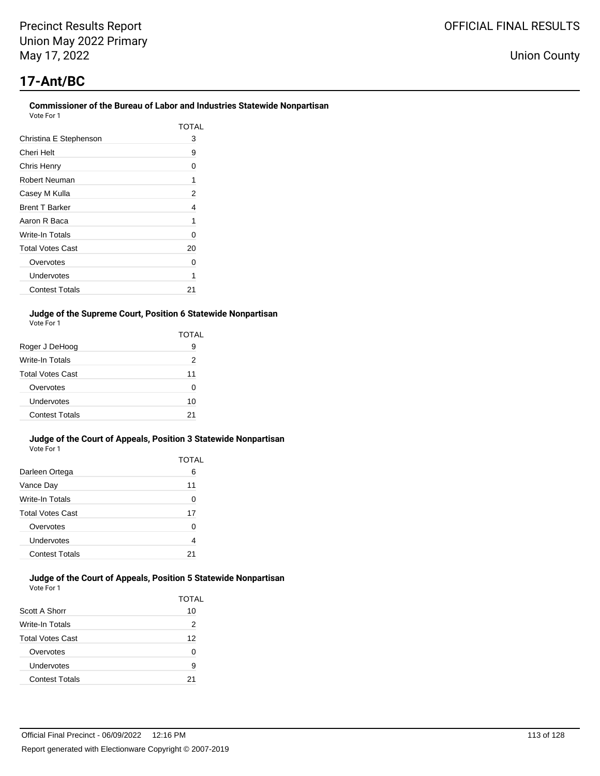# **17-Ant/BC**

| TOTAI |
|-------|
| 3     |
| 9     |
| 0     |
| 1     |
| 2     |
| 4     |
| 1     |
| 0     |
| 20    |
| O     |
| 1     |
| 21    |
|       |

### **Judge of the Supreme Court, Position 6 Statewide Nonpartisan** Vote For 1

|                         | TOTAL |
|-------------------------|-------|
| Roger J DeHoog          | 9     |
| Write-In Totals         | 2     |
| <b>Total Votes Cast</b> | 11    |
| Overvotes               | O     |
| Undervotes              | 10    |
| <b>Contest Totals</b>   | 21    |

#### **Judge of the Court of Appeals, Position 3 Statewide Nonpartisan** Vote For 1

|                         | TOTAL |
|-------------------------|-------|
| Darleen Ortega          | 6     |
| Vance Day               | 11    |
| Write-In Totals         | 0     |
| <b>Total Votes Cast</b> | 17    |
| Overvotes               | ŋ     |
| Undervotes              | 4     |
| <b>Contest Totals</b>   | 21    |

#### **Judge of the Court of Appeals, Position 5 Statewide Nonpartisan** Vote For 1

|                         | <b>TOTAL</b> |
|-------------------------|--------------|
| Scott A Shorr           | 10           |
| Write-In Totals         | 2            |
| <b>Total Votes Cast</b> | 12           |
| Overvotes               | n            |
| Undervotes              | 9            |
| <b>Contest Totals</b>   | 21           |

OFFICIAL FINAL RESULTS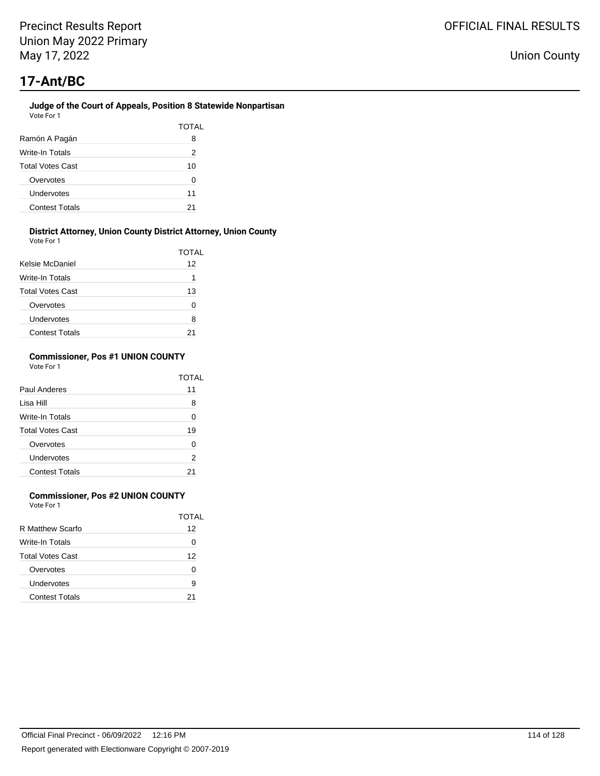#### **Judge of the Court of Appeals, Position 8 Statewide Nonpartisan** Vote For 1

|                         | TOTAL |
|-------------------------|-------|
|                         |       |
| Ramón A Pagán           | 8     |
| Write-In Totals         | 2     |
| <b>Total Votes Cast</b> | 10    |
| Overvotes               | 0     |
| Undervotes              | 11    |
| <b>Contest Totals</b>   | 21    |

### **District Attorney, Union County District Attorney, Union County**

| Vote For 1              |       |
|-------------------------|-------|
|                         | TOTAL |
| Kelsie McDaniel         | 12    |
| Write-In Totals         | 1     |
| <b>Total Votes Cast</b> | 13    |
| Overvotes               | ŋ     |
| Undervotes              | 8     |
| <b>Contest Totals</b>   |       |

### **Commissioner, Pos #1 UNION COUNTY** Vote For 1

|                         | TOTAI |
|-------------------------|-------|
| Paul Anderes            | 11    |
| Lisa Hill               | 8     |
| <b>Write-In Totals</b>  | ŋ     |
| <b>Total Votes Cast</b> | 19    |
| Overvotes               | ŋ     |
| Undervotes              | 2     |
| <b>Contest Totals</b>   |       |

## **Commissioner, Pos #2 UNION COUNTY**

Vote For 1

|                         | TOTAL |
|-------------------------|-------|
| R Matthew Scarfo        | 12    |
| Write-In Totals         | O     |
| <b>Total Votes Cast</b> | 12    |
| Overvotes               | O     |
| Undervotes              | 9     |
| <b>Contest Totals</b>   | 21    |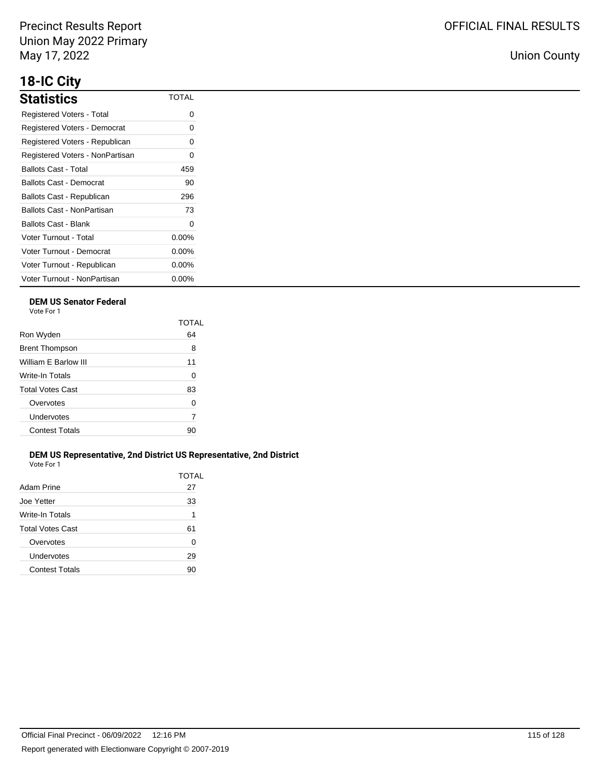# **18-IC City**

| <b>Statistics</b>                   | <b>TOTAL</b> |
|-------------------------------------|--------------|
| Registered Voters - Total           | 0            |
| <b>Registered Voters - Democrat</b> | O            |
| Registered Voters - Republican      | 0            |
| Registered Voters - NonPartisan     | 0            |
| Ballots Cast - Total                | 459          |
| Ballots Cast - Democrat             | 90           |
| Ballots Cast - Republican           | 296          |
| Ballots Cast - NonPartisan          | 73           |
| Ballots Cast - Blank                | 0            |
| Voter Turnout - Total               | $0.00\%$     |
| Voter Turnout - Democrat            | $0.00\%$     |
| Voter Turnout - Republican          | $0.00\%$     |
| Voter Turnout - NonPartisan         | $0.00\%$     |

## **DEM US Senator Federal**

Vote For 1

|                         | TOTAL |
|-------------------------|-------|
| Ron Wyden               | 64    |
| <b>Brent Thompson</b>   | 8     |
| William F Barlow III    | 11    |
| <b>Write-In Totals</b>  | 0     |
| <b>Total Votes Cast</b> | 83    |
| Overvotes               | 0     |
| Undervotes              | 7     |
| <b>Contest Totals</b>   | 90    |
|                         |       |

### **DEM US Representative, 2nd District US Representative, 2nd District** Vote For 1

| Adam Prine            | TOTAL<br>27 |
|-----------------------|-------------|
| Joe Yetter            | 33          |
| Write-In Totals       | 1           |
| Total Votes Cast      | 61          |
| Overvotes             | 0           |
| Undervotes            | 29          |
| <b>Contest Totals</b> | 90          |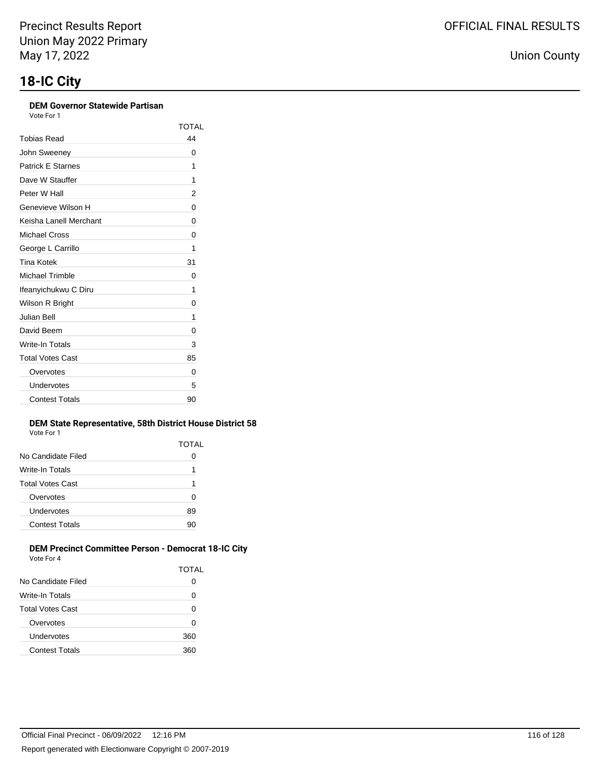### **DEM Governor Statewide Partisan**

Vote For 1

|                          | TOTAL    |
|--------------------------|----------|
| <b>Tobias Read</b>       | 44       |
| John Sweeney             | 0        |
| <b>Patrick E Starnes</b> | 1        |
| Dave W Stauffer          | 1        |
| Peter W Hall             | 2        |
| Genevieve Wilson H       | 0        |
| Keisha Lanell Merchant   | 0        |
| Michael Cross            | $\Omega$ |
| George L Carrillo        | 1        |
| <b>Tina Kotek</b>        | 31       |
| Michael Trimble          | 0        |
| Ifeanyichukwu C Diru     | 1        |
| Wilson R Bright          | 0        |
| <b>Julian Bell</b>       | 1        |
| David Beem               | 0        |
| Write-In Totals          | 3        |
| <b>Total Votes Cast</b>  | 85       |
| Overvotes                | 0        |
| Undervotes               | 5        |
| <b>Contest Totals</b>    | 90       |

#### **DEM State Representative, 58th District House District 58** Vote For 1

|                       | TOTAL |
|-----------------------|-------|
| No Candidate Filed    | 0     |
| Write-In Totals       | 1     |
| Total Votes Cast      | 1     |
| Overvotes             | 0     |
| Undervotes            | 89    |
| <b>Contest Totals</b> | 90    |
|                       |       |

### **DEM Precinct Committee Person - Democrat 18-IC City** Vote For 4

| .                       |       |
|-------------------------|-------|
|                         | TOTAL |
| No Candidate Filed      | 0     |
| Write-In Totals         | ი     |
| <b>Total Votes Cast</b> | ი     |
| Overvotes               | ი     |
| Undervotes              | 360   |
| <b>Contest Totals</b>   | 360   |
|                         |       |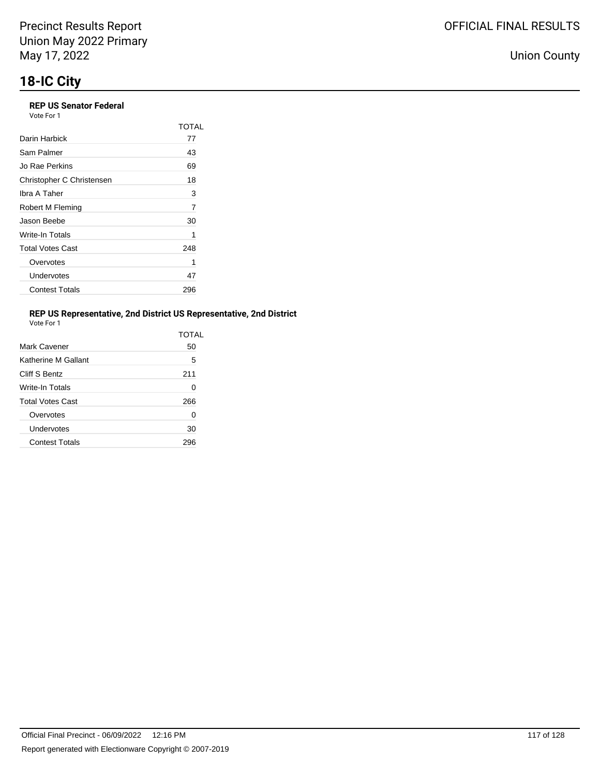## **REP US Senator Federal**

Vote For 1

|                           | TOTAL |
|---------------------------|-------|
| Darin Harbick             | 77    |
| Sam Palmer                | 43    |
| Jo Rae Perkins            | 69    |
| Christopher C Christensen | 18    |
| Ibra A Taher              | 3     |
| Robert M Fleming          | 7     |
| Jason Beebe               | 30    |
| Write-In Totals           | 1     |
| <b>Total Votes Cast</b>   | 248   |
| Overvotes                 | 1     |
| Undervotes                | 47    |
| <b>Contest Totals</b>     | 296   |

### **REP US Representative, 2nd District US Representative, 2nd District**

| Vote For |  |
|----------|--|
|          |  |

|                         | TOTAL |
|-------------------------|-------|
| Mark Cavener            | 50    |
| Katherine M Gallant     | 5     |
| Cliff S Bentz           | 211   |
| Write-In Totals         | 0     |
| <b>Total Votes Cast</b> | 266   |
| Overvotes               | 0     |
| Undervotes              | 30    |
| <b>Contest Totals</b>   |       |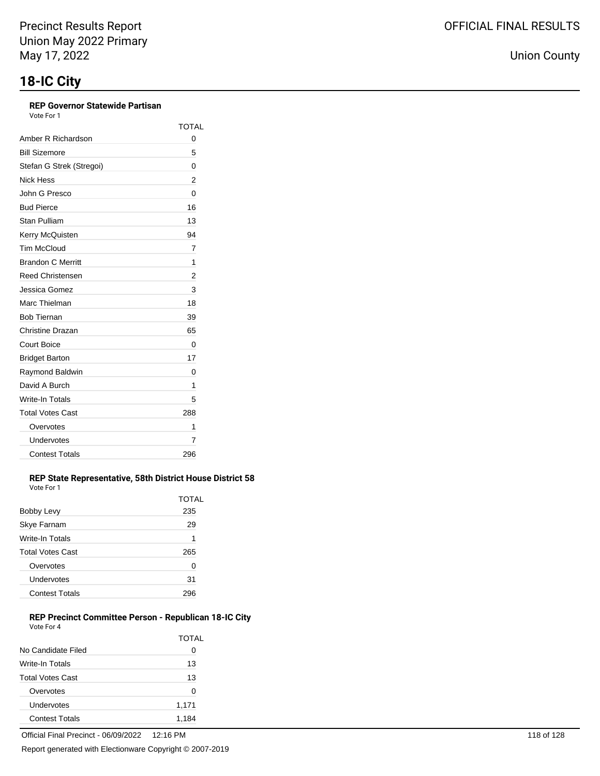## **REP Governor Statewide Partisan**

Vote For 1

|                          | TOTAL |
|--------------------------|-------|
| Amber R Richardson       | 0     |
| <b>Bill Sizemore</b>     | 5     |
| Stefan G Strek (Stregoi) | 0     |
| Nick Hess                | 2     |
| John G Presco            | 0     |
| <b>Bud Pierce</b>        | 16    |
| <b>Stan Pulliam</b>      | 13    |
| Kerry McQuisten          | 94    |
| <b>Tim McCloud</b>       | 7     |
| <b>Brandon C Merritt</b> | 1     |
| <b>Reed Christensen</b>  | 2     |
| Jessica Gomez            | 3     |
| Marc Thielman            | 18    |
| <b>Bob Tiernan</b>       | 39    |
| Christine Drazan         | 65    |
| <b>Court Boice</b>       | 0     |
| <b>Bridget Barton</b>    | 17    |
| Raymond Baldwin          | 0     |
| David A Burch            | 1     |
| Write-In Totals          | 5     |
| <b>Total Votes Cast</b>  | 288   |
| Overvotes                | 1     |
| Undervotes               | 7     |
| <b>Contest Totals</b>    | 296   |

#### **REP State Representative, 58th District House District 58** Vote For 1

|                         | TOTAL |
|-------------------------|-------|
| Bobby Levy              | 235   |
| Skye Farnam             | 29    |
| Write-In Totals         | 1     |
| <b>Total Votes Cast</b> | 265   |
| Overvotes               | 0     |
| Undervotes              | 31    |
| <b>Contest Totals</b>   |       |

### **REP Precinct Committee Person - Republican 18-IC City** Vote For 4

|                         | <b>TOTAL</b> |
|-------------------------|--------------|
| No Candidate Filed      | 0            |
| Write-In Totals         | 13           |
| <b>Total Votes Cast</b> | 13           |
| Overvotes               | 0            |
| Undervotes              | 1,171        |
| <b>Contest Totals</b>   | 1.184        |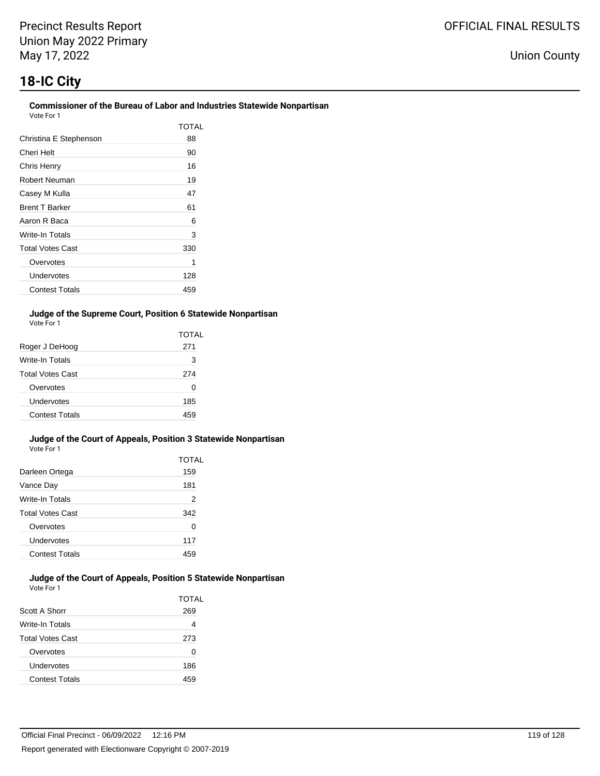# **18-IC City**

#### **Commissioner of the Bureau of Labor and Industries Statewide Nonpartisan** Vote For 1

| VULE FUII               |       |
|-------------------------|-------|
|                         | TOTAL |
| Christina E Stephenson  | 88    |
| Cheri Helt              | 90    |
| Chris Henry             | 16    |
| Robert Neuman           | 19    |
| Casey M Kulla           | 47    |
| <b>Brent T Barker</b>   | 61    |
| Aaron R Baca            | 6     |
| Write-In Totals         | 3     |
| <b>Total Votes Cast</b> | 330   |
| Overvotes               |       |
| Undervotes              | 128   |
| <b>Contest Totals</b>   | 459   |

### **Judge of the Supreme Court, Position 6 Statewide Nonpartisan** Vote For 1

|                         | TOTAL |
|-------------------------|-------|
| Roger J DeHoog          | 271   |
| <b>Write-In Totals</b>  | 3     |
| <b>Total Votes Cast</b> | 274   |
| Overvotes               | O     |
| Undervotes              | 185   |
| Contest Totals          | 45¢   |

#### **Judge of the Court of Appeals, Position 3 Statewide Nonpartisan** Vote For 1

|                         | TOTAL |
|-------------------------|-------|
| Darleen Ortega          | 159   |
| Vance Day               | 181   |
| Write-In Totals         | 2     |
| <b>Total Votes Cast</b> | 342   |
| Overvotes               | O     |
| Undervotes              | 117   |
| <b>Contest Totals</b>   | 45.   |

#### **Judge of the Court of Appeals, Position 5 Statewide Nonpartisan** Vote For 1

| Scott A Shorr           | TOTAL<br>269 |
|-------------------------|--------------|
| Write-In Totals         | 4            |
| <b>Total Votes Cast</b> | 273          |
| Overvotes               | 0            |
| Undervotes              | 186          |
| <b>Contest Totals</b>   |              |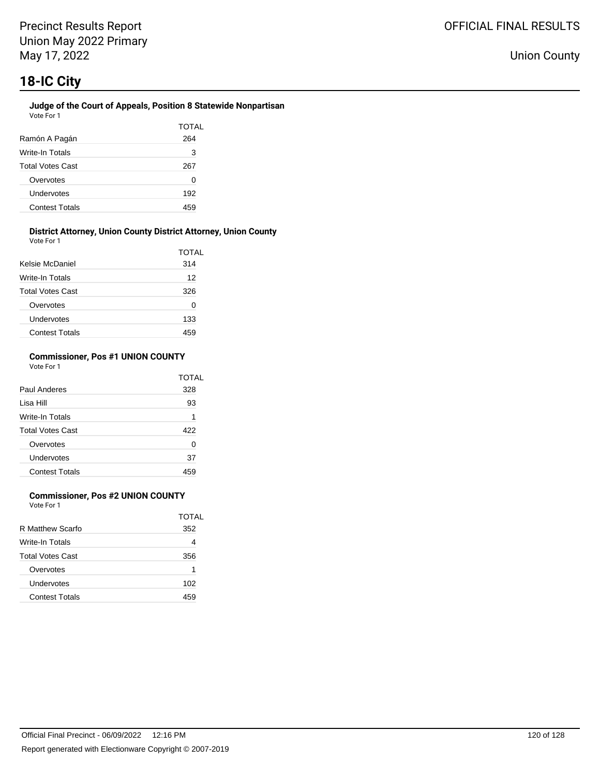### **Judge of the Court of Appeals, Position 8 Statewide Nonpartisan** Vote For 1

| Ramón A Pagán           | TOTAL<br>264 |
|-------------------------|--------------|
| Write-In Totals         | 3            |
| <b>Total Votes Cast</b> | 267          |
| Overvotes               | 0            |
| Undervotes              | 192          |
| <b>Contest Totals</b>   |              |

#### **District Attorney, Union County District Attorney, Union County** Vote For 1

| <b>VAJIL I MI I</b>     |              |
|-------------------------|--------------|
|                         | <b>TOTAL</b> |
| Kelsie McDaniel         | 314          |
| Write-In Totals         | 12           |
| <b>Total Votes Cast</b> | 326          |
| Overvotes               | 0            |
| Undervotes              | 133          |
| <b>Contest Totals</b>   | 459          |

### **Commissioner, Pos #1 UNION COUNTY** Vote For 1

|                         | TOTAL |
|-------------------------|-------|
| Paul Anderes            | 328   |
| Lisa Hill               | 93    |
| Write-In Totals         | 1     |
| <b>Total Votes Cast</b> | 422   |
| Overvotes               | 0     |
| Undervotes              | 37    |
| <b>Contest Totals</b>   |       |

## **Commissioner, Pos #2 UNION COUNTY**

Vote For 1

|                         | TOTAL |
|-------------------------|-------|
| R Matthew Scarfo        | 352   |
| Write-In Totals         |       |
| <b>Total Votes Cast</b> | 356   |
| Overvotes               | 1     |
| Undervotes              | 102   |
| <b>Contest Totals</b>   | 459   |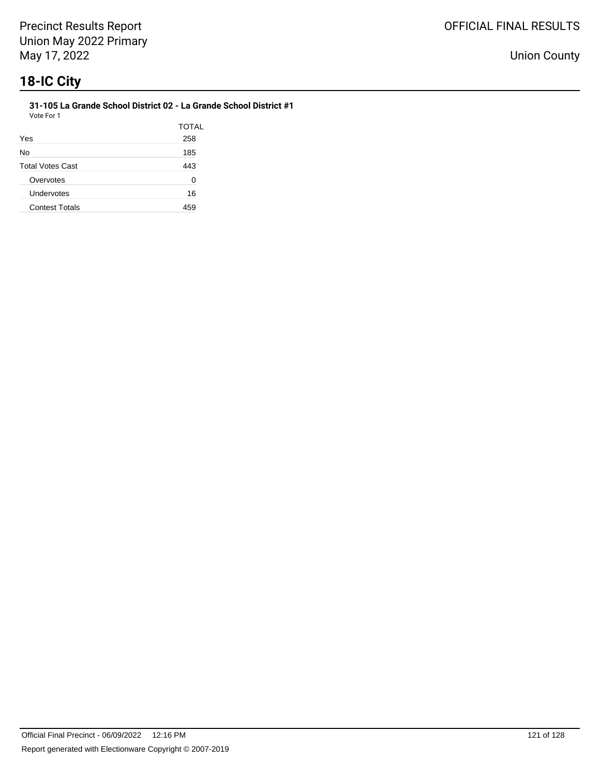**31-105 La Grande School District 02 - La Grande School District #1** Vote For 1

|                         | <b>TOTAL</b> |
|-------------------------|--------------|
| Yes                     | 258          |
| No                      | 185          |
| <b>Total Votes Cast</b> | 443          |
| Overvotes               | O            |
| Undervotes              | 16           |
| <b>Contest Totals</b>   | 459          |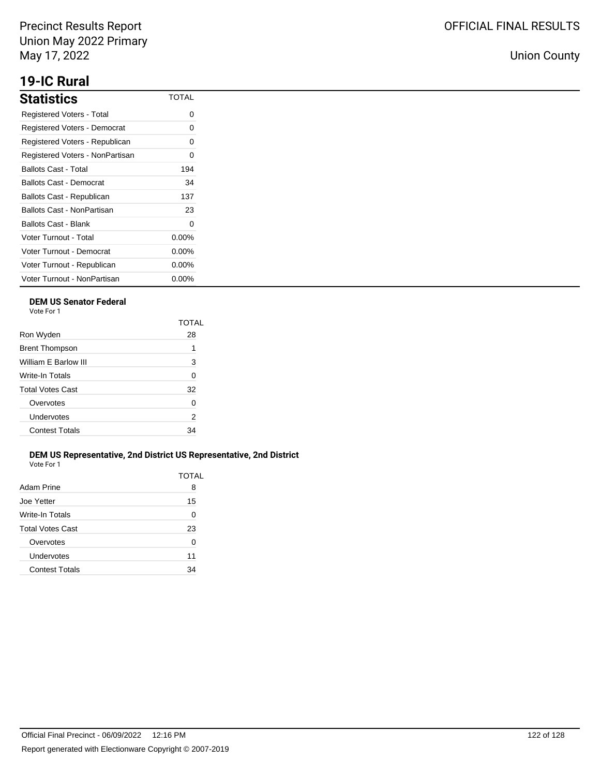## **19-IC Rural**

| <b>Statistics</b>               | <b>TOTAL</b> |
|---------------------------------|--------------|
| Registered Voters - Total       | 0            |
| Registered Voters - Democrat    | 0            |
| Registered Voters - Republican  | 0            |
| Registered Voters - NonPartisan | 0            |
| Ballots Cast - Total            | 194          |
| Ballots Cast - Democrat         | 34           |
| Ballots Cast - Republican       | 137          |
| Ballots Cast - NonPartisan      | 23           |
| Ballots Cast - Blank            | 0            |
| Voter Turnout - Total           | $0.00\%$     |
| Voter Turnout - Democrat        | $0.00\%$     |
| Voter Turnout - Republican      | $0.00\%$     |
| Voter Turnout - NonPartisan     | $0.00\%$     |

## **DEM US Senator Federal**

Vote For 1

|                         | TOTAI |
|-------------------------|-------|
| Ron Wyden               | 28    |
| <b>Brent Thompson</b>   | 1     |
| William F Barlow III    | 3     |
| Write-In Totals         | 0     |
| <b>Total Votes Cast</b> | 32    |
| Overvotes               | 0     |
| Undervotes              | 2     |
| <b>Contest Totals</b>   | 34    |
|                         |       |

### **DEM US Representative, 2nd District US Representative, 2nd District** Vote For 1

| Adam Prine            | TOTAL<br>8 |
|-----------------------|------------|
| Joe Yetter            | 15         |
| Write-In Totals       | 0          |
| Total Votes Cast      | 23         |
| Overvotes             | 0          |
| Undervotes            | 11         |
| <b>Contest Totals</b> | 34         |
|                       |            |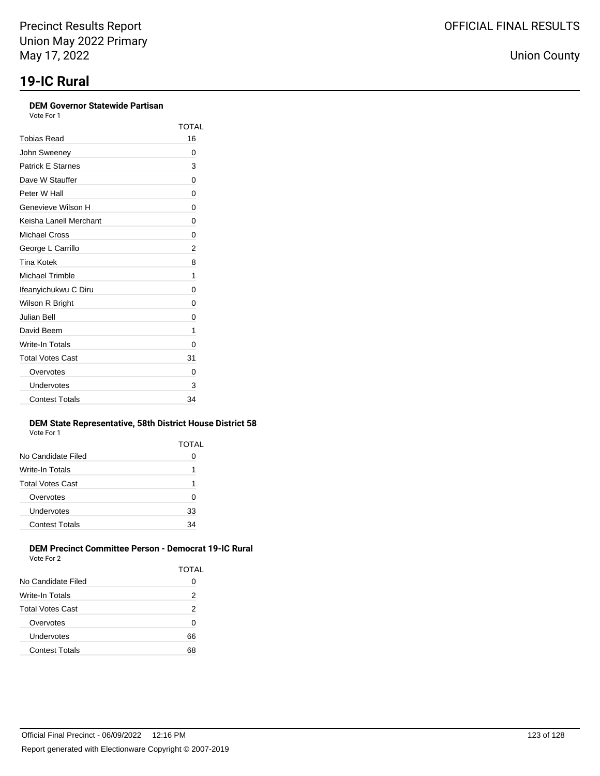### **DEM Governor Statewide Partisan**

Vote For 1

|                          | TOTAL |
|--------------------------|-------|
| Tobias Read              | 16    |
| John Sweeney             | 0     |
| <b>Patrick E Starnes</b> | 3     |
| Dave W Stauffer          | 0     |
| Peter W Hall             | 0     |
| Genevieve Wilson H       | 0     |
| Keisha Lanell Merchant   | 0     |
| Michael Cross            | 0     |
| George L Carrillo        | 2     |
| <b>Tina Kotek</b>        | 8     |
| <b>Michael Trimble</b>   | 1     |
| Ifeanyichukwu C Diru     | 0     |
| Wilson R Bright          | 0     |
| Julian Bell              | 0     |
| David Beem               | 1     |
| Write-In Totals          | 0     |
| <b>Total Votes Cast</b>  | 31    |
| Overvotes                | 0     |
| Undervotes               | 3     |
| <b>Contest Totals</b>    | 34    |

### **DEM State Representative, 58th District House District 58** Vote For 1

|                       | TOTAL |
|-----------------------|-------|
| No Candidate Filed    | Ω     |
| Write-In Totals       | 1     |
| Total Votes Cast      | 1     |
| Overvotes             | 0     |
| Undervotes            | 33    |
| <b>Contest Totals</b> | 34    |
|                       |       |

#### **DEM Precinct Committee Person - Democrat 19-IC Rural** Vote For 2

|                         | TOTAL |
|-------------------------|-------|
| No Candidate Filed      | 0     |
| Write-In Totals         | 2     |
| <b>Total Votes Cast</b> | 2     |
| Overvotes               | 0     |
| Undervotes              | 66    |
| <b>Contest Totals</b>   | 68    |
|                         |       |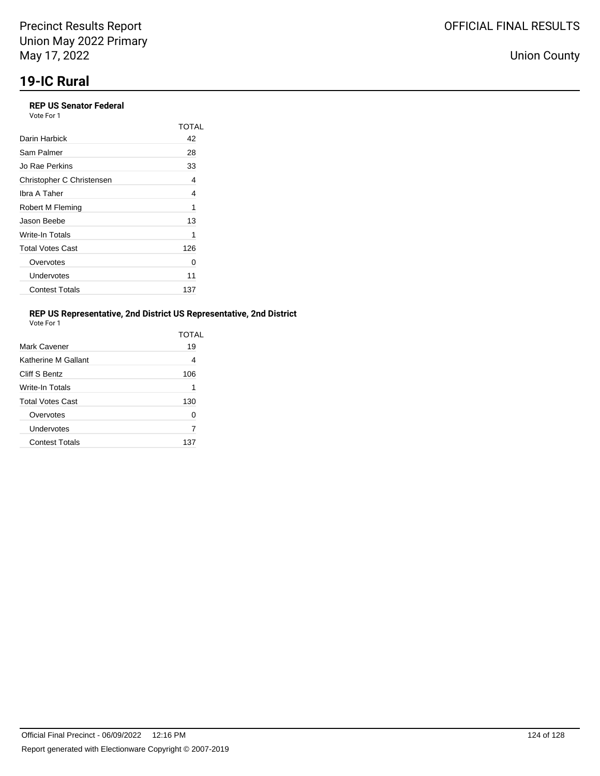### **REP US Senator Federal** Vote For 1

|                           | TOTAL |
|---------------------------|-------|
| Darin Harbick             | 42    |
| Sam Palmer                | 28    |
| Jo Rae Perkins            | 33    |
| Christopher C Christensen | 4     |
| Ibra A Taher              | 4     |
| Robert M Fleming          | 1     |
| Jason Beebe               | 13    |
| Write-In Totals           | 1     |
| <b>Total Votes Cast</b>   | 126   |
| Overvotes                 | 0     |
| Undervotes                | 11    |
| <b>Contest Totals</b>     | 137   |

## **REP US Representative, 2nd District US Representative, 2nd District**

| Vote For |  |
|----------|--|
|          |  |

|                         | TOTAI |
|-------------------------|-------|
| Mark Cavener            | 19    |
| Katherine M Gallant     | 4     |
| Cliff S Bentz           | 106   |
| Write-In Totals         | 1     |
| <b>Total Votes Cast</b> | 130   |
| Overvotes               | 0     |
| Undervotes              | 7     |
| <b>Contest Totals</b>   | 137   |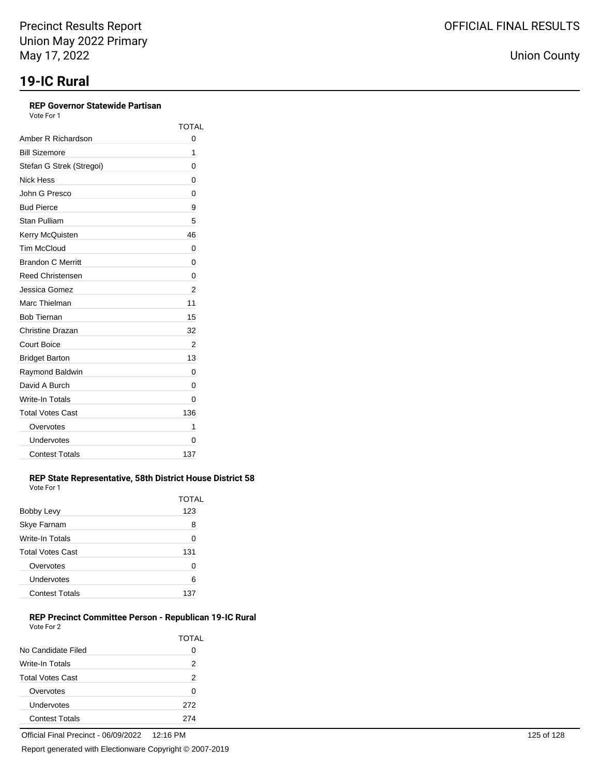## **REP Governor Statewide Partisan**

Vote For 1

|                          | <b>TOTAL</b> |
|--------------------------|--------------|
| Amber R Richardson       | 0            |
| <b>Bill Sizemore</b>     | 1            |
| Stefan G Strek (Stregoi) | 0            |
| Nick Hess                | 0            |
| John G Presco            | 0            |
| <b>Bud Pierce</b>        | 9            |
| <b>Stan Pulliam</b>      | 5            |
| Kerry McQuisten          | 46           |
| <b>Tim McCloud</b>       | 0            |
| <b>Brandon C Merritt</b> | 0            |
| <b>Reed Christensen</b>  | 0            |
| Jessica Gomez            | 2            |
| Marc Thielman            | 11           |
| <b>Bob Tiernan</b>       | 15           |
| Christine Drazan         | 32           |
| Court Boice              | 2            |
| <b>Bridget Barton</b>    | 13           |
| Raymond Baldwin          | 0            |
| David A Burch            | 0            |
| Write-In Totals          | 0            |
| <b>Total Votes Cast</b>  | 136          |
| Overvotes                | 1            |
| Undervotes               | 0            |
| <b>Contest Totals</b>    | 137          |

#### **REP State Representative, 58th District House District 58** Vote For 1

|                         | TOTAL |
|-------------------------|-------|
| Bobby Levy              | 123   |
| Skye Farnam             | 8     |
| Write-In Totals         | 0     |
| <b>Total Votes Cast</b> | 131   |
| Overvotes               | 0     |
| Undervotes              | 6     |
| <b>Contest Totals</b>   |       |

### **REP Precinct Committee Person - Republican 19-IC Rural** Vote For 2

|                         | <b>TOTAL</b> |
|-------------------------|--------------|
| No Candidate Filed      | 0            |
| Write-In Totals         | 2            |
| <b>Total Votes Cast</b> | 2            |
| Overvotes               | 0            |
| Undervotes              | 272          |
| <b>Contest Totals</b>   | 27Δ          |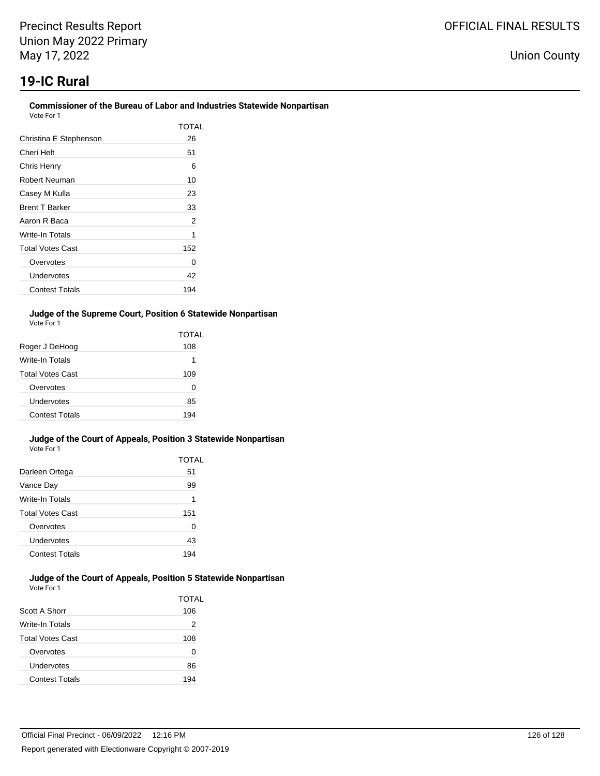## **19-IC Rural**

#### **Commissioner of the Bureau of Labor and Industries Statewide Nonpartisan** Vote For 1

| 1 U U U                 |       |
|-------------------------|-------|
|                         | TOTAL |
| Christina E Stephenson  | 26    |
| Cheri Helt              | 51    |
| Chris Henry             | 6     |
| Robert Neuman           | 10    |
| Casey M Kulla           | 23    |
| <b>Brent T Barker</b>   | 33    |
| Aaron R Baca            | 2     |
| Write-In Totals         | 1     |
| <b>Total Votes Cast</b> | 152   |
| Overvotes               | 0     |
| Undervotes              | 42    |
| <b>Contest Totals</b>   | 194   |

### **Judge of the Supreme Court, Position 6 Statewide Nonpartisan** Vote For 1

|                         | TOTAL |
|-------------------------|-------|
| Roger J DeHoog          | 108   |
| <b>Write-In Totals</b>  | 1     |
| <b>Total Votes Cast</b> | 109   |
| Overvotes               | O     |
| Undervotes              | 85    |
| Contest Totals          | 194   |

#### **Judge of the Court of Appeals, Position 3 Statewide Nonpartisan** Vote For 1

|                         | TOTAL |
|-------------------------|-------|
| Darleen Ortega          | 51    |
| Vance Day               | 99    |
| Write-In Totals         | 1     |
| <b>Total Votes Cast</b> | 151   |
| Overvotes               | O     |
| Undervotes              | 43    |
| <b>Contest Totals</b>   | 194   |

#### **Judge of the Court of Appeals, Position 5 Statewide Nonpartisan** Vote For 1

|                         | TOTAL |
|-------------------------|-------|
| Scott A Shorr           | 106   |
| Write-In Totals         | 2     |
| <b>Total Votes Cast</b> | 108   |
| Overvotes               | 0     |
| Undervotes              | 86    |
| <b>Contest Totals</b>   | 194   |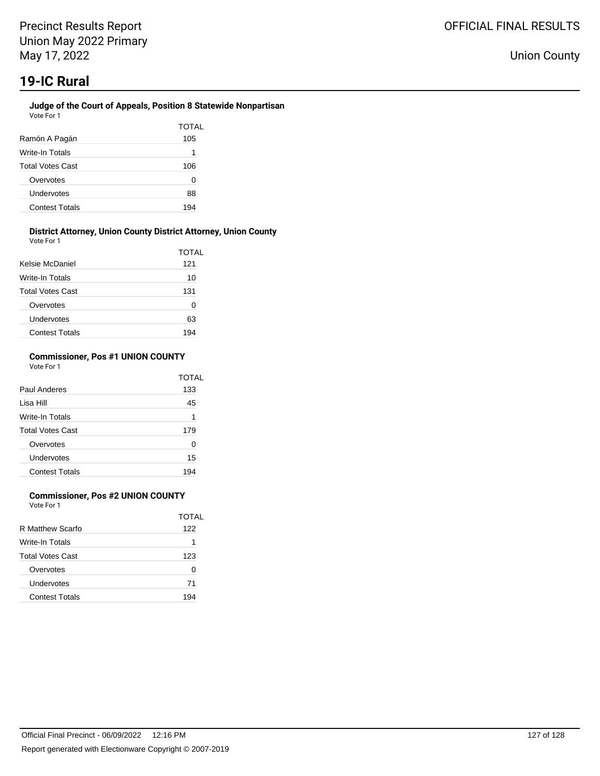### **Judge of the Court of Appeals, Position 8 Statewide Nonpartisan** Vote For 1

| Ramón A Pagán           | TOTAL<br>105 |
|-------------------------|--------------|
| Write-In Totals         | 1            |
| <b>Total Votes Cast</b> | 106          |
| Overvotes               | O            |
| Undervotes              | 88           |
| <b>Contest Totals</b>   | 194          |

#### **District Attorney, Union County District Attorney, Union County** Vote For 1

| <b>VAJIL I MI I</b>     |       |
|-------------------------|-------|
|                         | TOTAL |
| Kelsie McDaniel         | 121   |
| Write-In Totals         | 10    |
| <b>Total Votes Cast</b> | 131   |
| Overvotes               | 0     |
| Undervotes              | 63    |
| <b>Contest Totals</b>   | 194   |

### **Commissioner, Pos #1 UNION COUNTY** Vote For 1

|                         | TOTAL |
|-------------------------|-------|
| Paul Anderes            | 133   |
| Lisa Hill               | 45    |
| Write-In Totals         | 1     |
| <b>Total Votes Cast</b> | 179   |
| Overvotes               | 0     |
| Undervotes              | 15    |
| <b>Contest Totals</b>   | 194   |

## **Commissioner, Pos #2 UNION COUNTY**

Vote For 1

|                         | TOTAI |
|-------------------------|-------|
| R Matthew Scarfo        | 122   |
| Write-In Totals         | 1     |
| <b>Total Votes Cast</b> | 123   |
| Overvotes               | O     |
| Undervotes              | 71    |
| <b>Contest Totals</b>   | 194   |